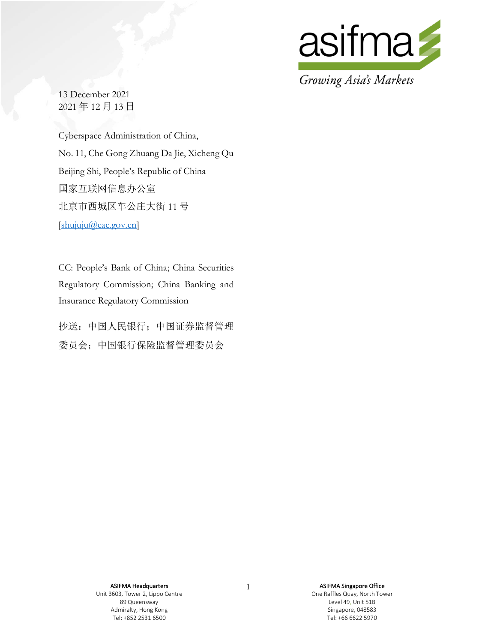

13 December 2021 2021 年 12 月 13 日

Cyberspace Administration of China, No. 11, Che Gong Zhuang Da Jie, Xicheng Qu Beijing Shi, People's Republic of China 国家互联网信息办公室 北京市西城区车公庄大街 11 号 [shujuju@cac.gov.cn]

CC: People's Bank of China; China Securities Regulatory Commission; China Banking and Insurance Regulatory Commission

抄送:中国人民银行;中国证券监督管理 委员会;中国银行保险监督管理委员会

> ASIFMA Headquarters Unit 3603, Tower 2, Lippo Centre 89 Queensway Admiralty, Hong Kong Tel: +852 2531 6500

1 **ASIFMA Singapore Office** One Raffles Quay, North Tower Level 49, Unit 51B Singapore, 048583 Tel: +66 6622 5970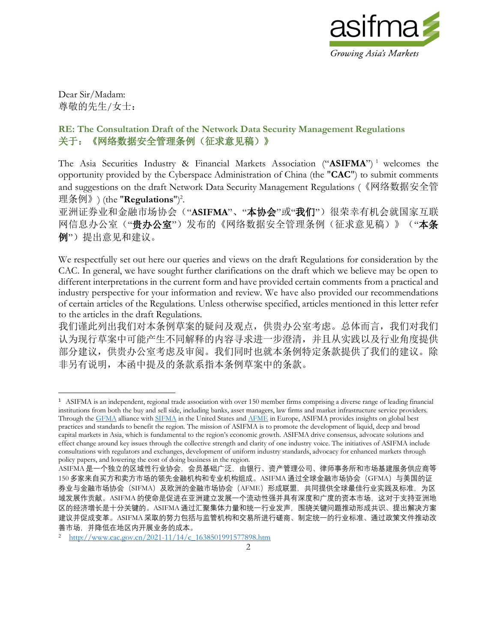

Dear Sir/Madam: 尊敬的先生/女士:

# **RE: The Consultation Draft of the Network Data Security Management Regulations** 关于:《网络数据安全管理条例(征求意见稿)》

The Asia Securities Industry & Financial Markets Association ("ASIFMA")<sup>1</sup> welcomes the opportunity provided by the Cyberspace Administration of China (the "**CAC**") to submit comments and suggestions on the draft Network Data Security Management Regulations (《网络数据安全管 理条例》) (the "**Regulations**")<sup>2</sup>.

亚洲证券业和金融市场协会("**ASIFMA**"、"本协会"或"我们")很荣幸有机会就国家互联 网信息办公室("贵办公室")发布的《网络数据安全管理条例(征求意见稿)》("本条 例")提出意见和建议。

We respectfully set out here our queries and views on the draft Regulations for consideration by the CAC. In general, we have sought further clarifications on the draft which we believe may be open to different interpretations in the current form and have provided certain comments from a practical and industry perspective for your information and review. We have also provided our recommendations of certain articles of the Regulations. Unless otherwise specified, articles mentioned in this letter refer to the articles in the draft Regulations.

我们谨此列出我们对本条例草案的疑问及观点,供贵办公室考虑。总体而言,我们对我们 认为现行草案中可能产生不同解释的内容寻求进一步澄清,并且从实践以及行业角度提供 部分建议,供贵办公室考虑及审阅。我们同时也就本条例特定条款提供了我们的建议。除 非另有说明,本函中提及的条款系指本条例草案中的条款。

<sup>1</sup> ASIFMA is an independent, regional trade association with over 150 member firms comprising a diverse range of leading financial institutions from both the buy and sell side, including banks, asset managers, law firms and market infrastructure service providers. Through the [GFMA](http://www.gfma.org/) alliance wit[h SIFMA](http://www.sifma.org/) in the United States an[d AFME](http://www.afme.eu/) in Europe, ASIFMA provides insights on global best practices and standards to benefit the region. The mission of ASIFMA is to promote the development of liquid, deep and broad capital markets in Asia, which is fundamental to the region's economic growth. ASIFMA drive consensus, advocate solutions and effect change around key issues through the collective strength and clarity of one industry voice. The initiatives of ASIFMA include consultations with regulators and exchanges, development of uniform industry standards, advocacy for enhanced markets through policy papers, and lowering the cost of doing business in the region.

ASIFMA 是一个独立的区域性行业协会,会员基础广泛,由银行、资产管理公司、律师事务所和市场基建服务供应商等 150 多家来自买方和卖方市场的领先金融机构和专业机构组成。ASIFMA 通过全球金融市场协会(GFMA)与美国的证 券业与金融市场协会(SIFMA)及欧洲的金融市场协会(AFME)形成联盟,共同提供全球最佳行业实践及标准,为区 域发展作贡献。ASIFMA 的使命是促进在亚洲建立发展一个流动性强并具有深度和广度的资本市场,这对于支持亚洲地 区的经济增长是十分关键的。ASIFMA 通过汇聚集体力量和统一行业发声,围国绕关键问题推动形成共识、提出解决方案 建议并促成变革。ASIFMA 采取的努力包括与监管机构和交易所进行磋商、制定统一的行业标准、通过政策文件推动改 善市场,并降低在地区内开展业务的成本。

<sup>2</sup> http://www.cac.gov.cn/2021-11/14/c\_1638501991577898.htm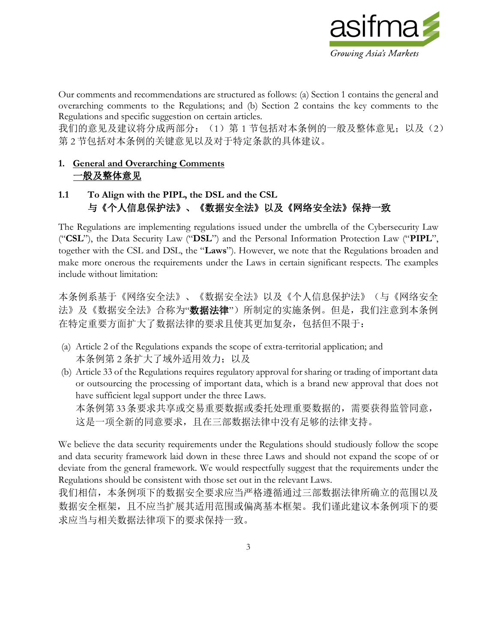

Our comments and recommendations are structured as follows: (a) Section 1 contains the general and overarching comments to the Regulations; and (b) Section 2 contains the key comments to the Regulations and specific suggestion on certain articles.

我们的意见及建议将分成两部分: (1) 第 1 节包括对本条例的一般及整体意见; 以及(2) 第 2 节包括对本条例的关键意见以及对于特定条款的具体建议。

#### **1. General and Overarching Comments** 一般及整体意见

# **1.1 To Align with the PIPL, the DSL and the CSL** 与《个人信息保护法》、《数据安全法》以及《网络安全法》保持一致

The Regulations are implementing regulations issued under the umbrella of the Cybersecurity Law ("**CSL**"), the Data Security Law ("**DSL**") and the Personal Information Protection Law ("**PIPL**", together with the CSL and DSL, the "**Laws**"). However, we note that the Regulations broaden and make more onerous the requirements under the Laws in certain significant respects. The examples include without limitation:

本条例系基于《网络安全法》、《数据安全法》以及《个人信息保护法》(与《网络安全 法》及《数据安全法》合称为"数据法律")所制定的实施条例。但是,我们注意到本条例 在特定重要方面扩大了数据法律的要求且使其更加复杂,包括但不限于:

- (a) Article 2 of the Regulations expands the scope of extra-territorial application; and 本条例第 2 条扩大了域外适用效力; 以及
- (b) Article 33 of the Regulations requires regulatory approval for sharing or trading of important data or outsourcing the processing of important data, which is a brand new approval that does not have sufficient legal support under the three Laws. 本条例第33条要求共享或交易重要数据或委托处理重要数据的,需要获得监管同意, 这是一项全新的同意要求,且在三部数据法律中没有足够的法律支持。

We believe the data security requirements under the Regulations should studiously follow the scope and data security framework laid down in these three Laws and should not expand the scope of or deviate from the general framework. We would respectfully suggest that the requirements under the Regulations should be consistent with those set out in the relevant Laws.

我们相信,本条例项下的数据安全要求应当严格遵循通过三部数据法律所确立的范围以及 数据安全框架,且不应当扩展其适用范围或偏离基本框架。我们谨此建议本条例项下的要 求应当与相关数据法律项下的要求保持一致。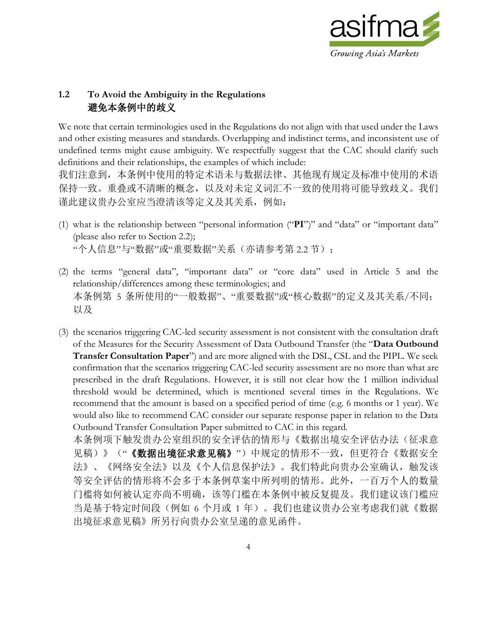

#### **1.2 To Avoid the Ambiguity in the Regulations** 避免本条例中的歧义

We note that certain terminologies used in the Regulations do not align with that used under the Laws and other existing measures and standards. Overlapping and indistinct terms, and inconsistent use of undefined terms might cause ambiguity. We respectfully suggest that the CAC should clarify such definitions and their relationships, the examples of which include: 我们注意到,本条例中使用的特定术语未与数据法律、其他现有规定及标准中使用的术语

保持一致。重叠或不清晰的概念,以及对未定义词汇不一致的使用将可能导致歧义。我们 谨此建议贵办公室应当澄清该等定义及其关系,例如:

- (1) what is the relationship between "personal information ("**PI**")" and "data" or "important data" (please also refer to Section 2.2); "个人信息"与"数据"或"重要数据"关系(亦请参考第 2.2 节);
- (2) the terms "general data", "important data" or "core data" used in Article 5 and the relationship/differences among these terminologies; and 本条例第 5 条所使用的"一般数据"、"重要数据"或"核心数据"的定义及其关系/不同; 以及
- (3) the scenarios triggering CAC-led security assessment is not consistent with the consultation draft of the Measures for the Security Assessment of Data Outbound Transfer (the "**Data Outbound Transfer Consultation Paper**") and are more aligned with the DSL, CSL and the PIPL. We seek confirmation that the scenarios triggering CAC-led security assessment are no more than what are prescribed in the draft Regulations. However, it is still not clear how the 1 million individual threshold would be determined, which is mentioned several times in the Regulations. We recommend that the amount is based on a specified period of time (e.g. 6 months or 1 year). We would also like to recommend CAC consider our separate response paper in relation to the Data Outbound Transfer Consultation Paper submitted to CAC in this regard.

本条例项下触发贵办公室组织的安全评估的情形与《数据出境安全评估办法(征求意 见稿)》("《数据出境征求意见稿》")中规定的情形不一致,但更符合《数据安全 法》、《网络安全法》以及《个人信息保护法》。我们特此向贵办公室确认,触发该 等安全评估的情形将不会多于本条例草案中所列明的情形。此外,一百万个人的数量 门槛将如何被认定亦尚不明确,该等门槛在本条例中被反复提及。我们建议该门槛应 当是基于特定时间段(例如 6 个月或 1 年)。我们也建议贵办公室考虑我们就《数据 出境征求意见稿》所另行向贵办公室呈递的意见函件。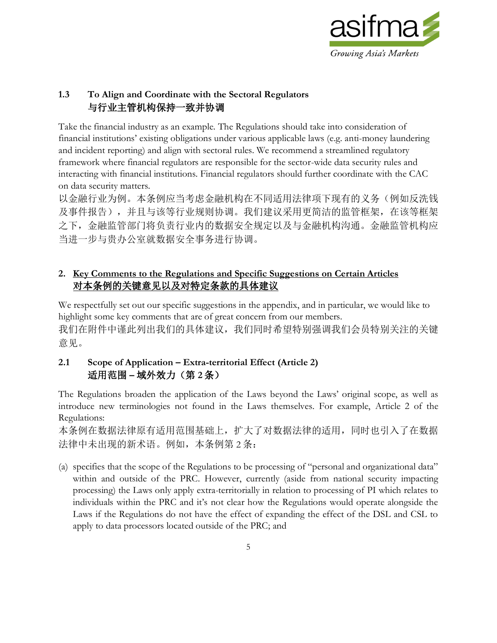

# **1.3 To Align and Coordinate with the Sectoral Regulators** 与行业主管机构保持一致并协调

Take the financial industry as an example. The Regulations should take into consideration of financial institutions' existing obligations under various applicable laws (e.g. anti-money laundering and incident reporting) and align with sectoral rules. We recommend a streamlined regulatory framework where financial regulators are responsible for the sector-wide data security rules and interacting with financial institutions. Financial regulators should further coordinate with the CAC on data security matters.

以金融行业为例。本条例应当考虑金融机构在不同适用法律项下现有的义务(例如反洗钱 及事件报告),并且与该等行业规则协调。我们建议采用更简洁的监管框架,在该等框架 之下,金融监管部门将负责行业内的数据安全规定以及与金融机构沟通。金融监管机构应 当进一步与贵办公室就数据安全事务进行协调。

# **2. Key Comments to the Regulations and Specific Suggestions on Certain Articles** 对本条例的关键意见以及对特定条款的具体建议

We respectfully set out our specific suggestions in the appendix, and in particular, we would like to highlight some key comments that are of great concern from our members. 我们在附件中谨此列出我们的具体建议,我们同时希望特别强调我们会员特别关注的关键 意见。

# **2.1 Scope of Application – Extra-territorial Effect (Article 2)** 适用范围 **–** 域外效力(第 **2** 条)

The Regulations broaden the application of the Laws beyond the Laws' original scope, as well as introduce new terminologies not found in the Laws themselves. For example, Article 2 of the Regulations:

本条例在数据法律原有适用范围基础上,扩大了对数据法律的适用,同时也引入了在数据 法律中未出现的新术语。例如,本条例第2条:

(a) specifies that the scope of the Regulations to be processing of "personal and organizational data" within and outside of the PRC. However, currently (aside from national security impacting processing) the Laws only apply extra-territorially in relation to processing of PI which relates to individuals within the PRC and it's not clear how the Regulations would operate alongside the Laws if the Regulations do not have the effect of expanding the effect of the DSL and CSL to apply to data processors located outside of the PRC; and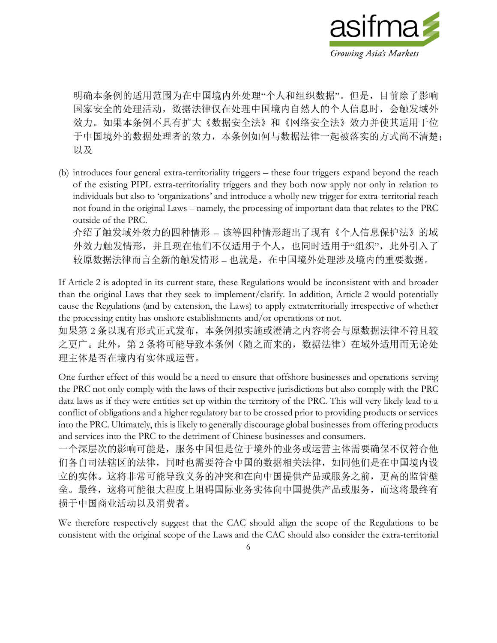

明确本条例的适用范围为在中国境内外处理"个人和组织数据"。但是,目前除了影响 国家安全的处理活动,数据法律仅在处理中国境内自然人的个人信息时,会触发域外 效力。如果本条例不具有扩大《数据安全法》和《网络安全法》效力并使其适用于位 于中国境外的数据处理者的效力,本条例如何与数据法律一起被落实的方式尚不清楚; 以及

(b) introduces four general extra-territoriality triggers – these four triggers expand beyond the reach of the existing PIPL extra-territoriality triggers and they both now apply not only in relation to individuals but also to 'organizations' and introduce a wholly new trigger for extra-territorial reach not found in the original Laws – namely, the processing of important data that relates to the PRC outside of the PRC.

介绍了触发域外效力的四种情形 – 该等四种情形超出了现有《个人信息保护法》的域 外效力触发情形,并且现在他们不仅适用于个人,也同时适用于"组织",此外引入了 较原数据法律而言全新的触发情形 – 也就是,在中国境外处理涉及境内的重要数据。

If Article 2 is adopted in its current state, these Regulations would be inconsistent with and broader than the original Laws that they seek to implement/clarify. In addition, Article 2 would potentially cause the Regulations (and by extension, the Laws) to apply extraterritorially irrespective of whether the processing entity has onshore establishments and/or operations or not.

如果第 2 条以现有形式正式发布,本条例拟实施或澄清之内容将会与原数据法律不符且较 之更广。此外,第 2 条将可能导致本条例(随之而来的,数据法律)在域外适用而无论处 理主体是否在境内有实体或运营。

One further effect of this would be a need to ensure that offshore businesses and operations serving the PRC not only comply with the laws of their respective jurisdictions but also comply with the PRC data laws as if they were entities set up within the territory of the PRC. This will very likely lead to a conflict of obligations and a higher regulatory bar to be crossed prior to providing products or services into the PRC. Ultimately, this is likely to generally discourage global businesses from offering products and services into the PRC to the detriment of Chinese businesses and consumers.

一个深层次的影响可能是,服务中国但是位于境外的业务或运营主体需要确保不仅符合他 们各自司法辖区的法律,同时也需要符合中国的数据相关法律,如同他们是在中国境内设 立的实体。这将非常可能导致义务的冲突和在向中国提供产品或服务之前,更高的监管壁 垒。最终,这将可能很大程度上阻碍国际业务实体向中国提供产品或服务,而这将最终有 损于中国商业活动以及消费者。

We therefore respectively suggest that the CAC should align the scope of the Regulations to be consistent with the original scope of the Laws and the CAC should also consider the extra-territorial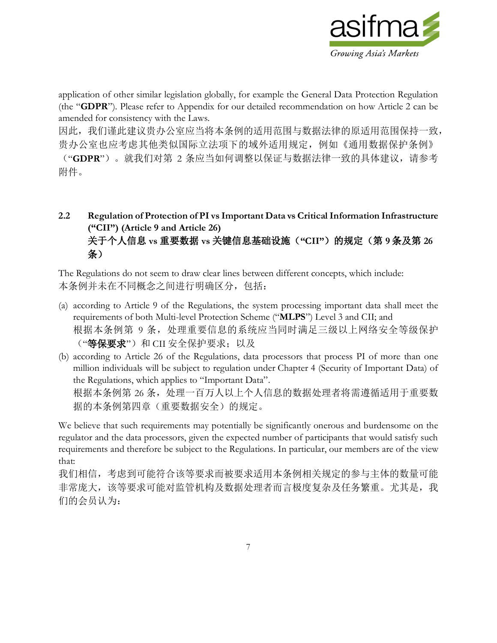

application of other similar legislation globally, for example the General Data Protection Regulation (the "**GDPR**"). Please refer to Appendix for our detailed recommendation on how Article 2 can be amended for consistency with the Laws.

因此,我们谨此建议贵办公室应当将本条例的适用范围与数据法律的原适用范围保持一致, 贵办公室也应考虑其他类似国际立法项下的域外适用规定,例如《通用数据保护条例》

("**GDPR**")。就我们对第 2 条应当如何调整以保证与数据法律一致的具体建议,请参考 附件。

**2.2 Regulation of Protection of PI vs Important Data vs Critical Information Infrastructure ("CII") (Article 9 and Article 26)** 关于个人信息 **vs** 重要数据 **vs** 关键信息基础设施(**"CII"**)的规定(第 **9** 条及第 **26** 条)

The Regulations do not seem to draw clear lines between different concepts, which include: 本条例并未在不同概念之间进行明确区分,包括:

- (a) according to Article 9 of the Regulations, the system processing important data shall meet the requirements of both Multi-level Protection Scheme ("**MLPS**") Level 3 and CII; and 根据本条例第 9 条,处理重要信息的系统应当同时满足三级以上网络安全等级保护 ("等保要求")和 CII 安全保护要求; 以及
- (b) according to Article 26 of the Regulations, data processors that process PI of more than one million individuals will be subject to regulation under Chapter 4 (Security of Important Data) of the Regulations, which applies to "Important Data". 根据本条例第 26 条,处理一百万人以上个人信息的数据处理者将需遵循适用于重要数 据的本条例第四章(重要数据安全)的规定。

We believe that such requirements may potentially be significantly onerous and burdensome on the regulator and the data processors, given the expected number of participants that would satisfy such requirements and therefore be subject to the Regulations. In particular, our members are of the view that:

我们相信,考虑到可能符合该等要求而被要求适用本条例相关规定的参与主体的数量可能 非常庞大,该等要求可能对监管机构及数据处理者而言极度复杂及任务繁重。尤其是,我 们的会员认为: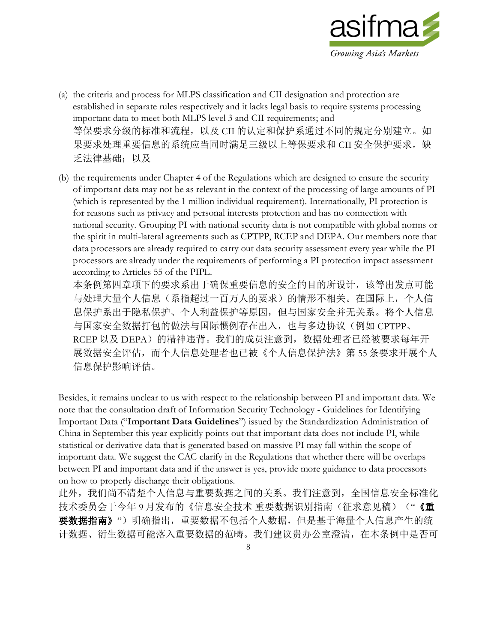

- (a) the criteria and process for MLPS classification and CII designation and protection are established in separate rules respectively and it lacks legal basis to require systems processing important data to meet both MLPS level 3 and CII requirements; and 等保要求分级的标准和流程,以及 CII 的认定和保护系通过不同的规定分别建立。如 果要求处理重要信息的系统应当同时满足三级以上等保要求和 CII 安全保护要求, 缺 乏法律基础;以及
- (b) the requirements under Chapter 4 of the Regulations which are designed to ensure the security of important data may not be as relevant in the context of the processing of large amounts of PI (which is represented by the 1 million individual requirement). Internationally, PI protection is for reasons such as privacy and personal interests protection and has no connection with national security. Grouping PI with national security data is not compatible with global norms or the spirit in multi-lateral agreements such as CPTPP, RCEP and DEPA. Our members note that data processors are already required to carry out data security assessment every year while the PI processors are already under the requirements of performing a PI protection impact assessment according to Articles 55 of the PIPL.

本条例第四章项下的要求系出于确保重要信息的安全的目的所设计,该等出发点可能 与处理大量个人信息(系指超过一百万人的要求)的情形不相关。在国际上,个人信 息保护系出于隐私保护、个人利益保护等原因,但与国家安全并无关系。将个人信息 与国家安全数据打包的做法与国际惯例存在出入,也与多边协议(例如 CPTPP、 RCEP 以及 DEPA)的精神违背。我们的成员注意到, 数据处理者已经被要求每年开 展数据安全评估,而个人信息处理者也已被《个人信息保护法》第 55 条要求开展个人 信息保护影响评估。

Besides, it remains unclear to us with respect to the relationship between PI and important data. We note that the consultation draft of Information Security Technology - Guidelines for Identifying Important Data ("**Important Data Guidelines**") issued by the Standardization Administration of China in September this year explicitly points out that important data does not include PI, while statistical or derivative data that is generated based on massive PI may fall within the scope of important data. We suggest the CAC clarify in the Regulations that whether there will be overlaps between PI and important data and if the answer is yes, provide more guidance to data processors on how to properly discharge their obligations.

此外,我们尚不清楚个人信息与重要数据之间的关系。我们注意到,全国信息安全标准化 技术委员会于今年9月发布的《信息安全技术 重要数据识别指南(征求意见稿)("《重 要数据指南》")明确指出,重要数据不包括个人数据,但是基于海量个人信息产生的统 计数据、衍生数据可能落入重要数据的范畴。我们建议贵办公室澄清,在本条例中是否可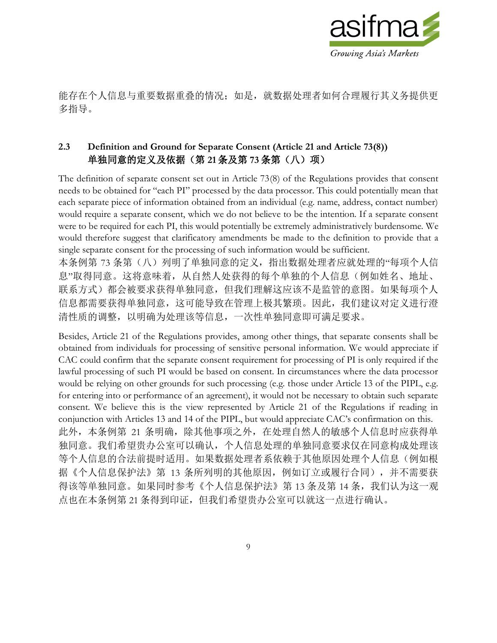

能存在个人信息与重要数据重叠的情况;如是,就数据处理者如何合理履行其义务提供更 多指导。

# **2.3 Definition and Ground for Separate Consent (Article 21 and Article 73(8))** 单独同意的定义及依据(第 **21** 条及第 **73** 条第(八)项)

The definition of separate consent set out in Article 73(8) of the Regulations provides that consent needs to be obtained for "each PI" processed by the data processor. This could potentially mean that each separate piece of information obtained from an individual (e.g. name, address, contact number) would require a separate consent, which we do not believe to be the intention. If a separate consent were to be required for each PI, this would potentially be extremely administratively burdensome. We would therefore suggest that clarificatory amendments be made to the definition to provide that a single separate consent for the processing of such information would be sufficient.

本条例第 73 条第(八) 列明了单独同意的定义,指出数据处理者应就处理的"每项个人信 息"取得同意。这将意味着,从自然人处获得的每个单独的个人信息(例如姓名、地址、 联系方式)都会被要求获得单独同意,但我们理解这应该不是监管的意图。如果每项个人 信息都需要获得单独同意,这可能导致在管理上极其繁琐。因此,我们建议对定义进行澄 清性质的调整,以明确为处理该等信息,一次性单独同意即可满足要求。

Besides, Article 21 of the Regulations provides, among other things, that separate consents shall be obtained from individuals for processing of sensitive personal information. We would appreciate if CAC could confirm that the separate consent requirement for processing of PI is only required if the lawful processing of such PI would be based on consent. In circumstances where the data processor would be relying on other grounds for such processing (e.g. those under Article 13 of the PIPL, e.g. for entering into or performance of an agreement), it would not be necessary to obtain such separate consent. We believe this is the view represented by Article 21 of the Regulations if reading in conjunction with Articles 13 and 14 of the PIPL, but would appreciate CAC's confirmation on this. 此外,本条例第 21 条明确,除其他事项之外,在处理自然人的敏感个人信息时应获得单 独同意。我们希望贵办公室可以确认,个人信息处理的单独同意要求仅在同意构成处理该 等个人信息的合法前提时适用。如果数据处理者系依赖于其他原因处理个人信息(例如根 据《个人信息保护法》第 13 条所列明的其他原因, 例如订立或履行合同), 并不需要获 得该等单独同意。如果同时参考《个人信息保护法》第13条及第14条,我们认为这一观 点也在本条例第 21 条得到印证,但我们希望贵办公室可以就这一点进行确认。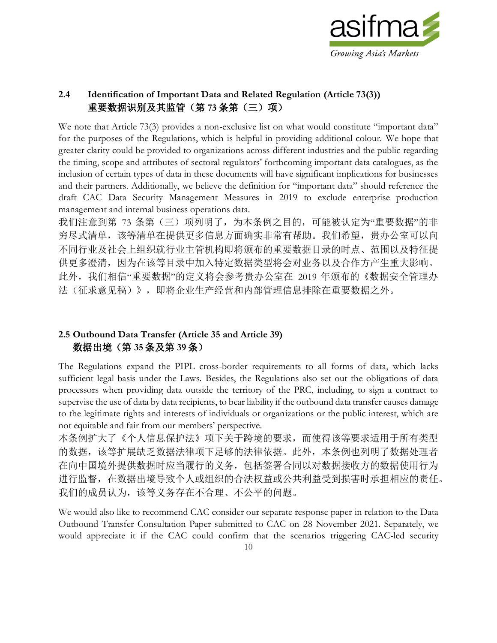

#### **2.4 Identification of Important Data and Related Regulation (Article 73(3))** 重要数据识别及其监管(第 **73** 条第(三)项)

We note that Article 73(3) provides a non-exclusive list on what would constitute "important data" for the purposes of the Regulations, which is helpful in providing additional colour. We hope that greater clarity could be provided to organizations across different industries and the public regarding the timing, scope and attributes of sectoral regulators' forthcoming important data catalogues, as the inclusion of certain types of data in these documents will have significant implications for businesses and their partners. Additionally, we believe the definition for "important data" should reference the draft CAC Data Security Management Measures in 2019 to exclude enterprise production management and internal business operations data.

我们注意到第 73 条第(三)项列明了,为本条例之目的,可能被认定为"重要数据"的非 穷尽式清单,该等清单在提供更多信息方面确实非常有帮助。我们希望,贵办公室可以向 不同行业及社会上组织就行业主管机构即将颁布的重要数据目录的时点、范围以及特征提 供更多澄清,因为在该等目录中加入特定数据类型将会对业务以及合作方产生重大影响。 此外,我们相信"重要数据"的定义将会参考贵办公室在 2019 年颁布的《数据安全管理办 法(征求意见稿)》,即将企业生产经营和内部管理信息排除在重要数据之外。

#### **2.5 Outbound Data Transfer (Article 35 and Article 39)** 数据出境(第 **35** 条及第 **39** 条)

The Regulations expand the PIPL cross-border requirements to all forms of data, which lacks sufficient legal basis under the Laws. Besides, the Regulations also set out the obligations of data processors when providing data outside the territory of the PRC, including, to sign a contract to supervise the use of data by data recipients, to bear liability if the outbound data transfer causes damage to the legitimate rights and interests of individuals or organizations or the public interest, which are not equitable and fair from our members' perspective.

本条例扩大了《个人信息保护法》项下关于跨境的要求,而使得该等要求适用于所有类型 的数据,该等扩展缺乏数据法律项下足够的法律依据。此外,本条例也列明了数据处理者 在向中国境外提供数据时应当履行的义务,包括签署合同以对数据接收方的数据使用行为 进行监督,在数据出境导致个人或组织的合法权益或公共利益受到损害时承担相应的责任。 我们的成员认为,该等义务存在不合理、不公平的问题。

We would also like to recommend CAC consider our separate response paper in relation to the Data Outbound Transfer Consultation Paper submitted to CAC on 28 November 2021. Separately, we would appreciate it if the CAC could confirm that the scenarios triggering CAC-led security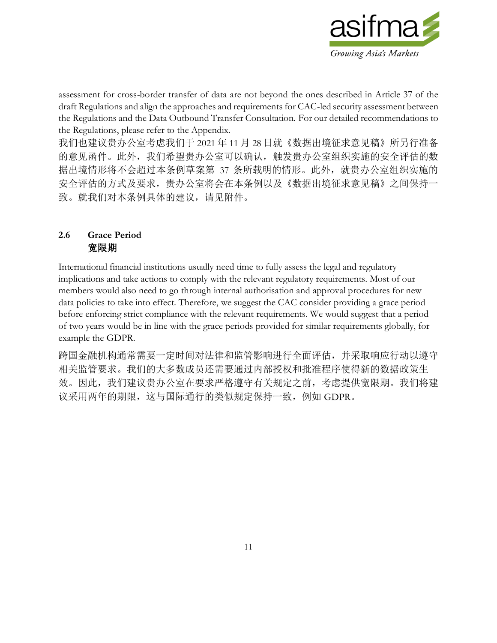

assessment for cross-border transfer of data are not beyond the ones described in Article 37 of the draft Regulations and align the approaches and requirements for CAC-led security assessment between the Regulations and the Data Outbound Transfer Consultation. For our detailed recommendations to the Regulations, please refer to the Appendix.

我们也建议贵办公室考虑我们于 2021 年 11 月 28 日就《数据出境征求意见稿》所另行准备 的意见函件。此外,我们希望贵办公室可以确认,触发贵办公室组织实施的安全评估的数 据出境情形将不会超过本条例草案第 37 条所载明的情形。此外,就贵办公室组织实施的 安全评估的方式及要求,贵办公室将会在本条例以及《数据出境征求意见稿》之间保持一 致。就我们对本条例具体的建议,请见附件。

#### **2.6 Grace Period** 宽限期

International financial institutions usually need time to fully assess the legal and regulatory implications and take actions to comply with the relevant regulatory requirements. Most of our members would also need to go through internal authorisation and approval procedures for new data policies to take into effect. Therefore, we suggest the CAC consider providing a grace period before enforcing strict compliance with the relevant requirements. We would suggest that a period of two years would be in line with the grace periods provided for similar requirements globally, for example the GDPR.

跨国金融机构通常需要一定时间对法律和监管影响进行全面评估,并采取响应行动以遵守 相关监管要求。我们的大多数成员还需要通过内部授权和批准程序使得新的数据政策生 效。因此,我们建议贵办公室在要求严格遵守有关规定之前,考虑提供宽限期。我们将建 议采用两年的期限,这与国际通行的类似规定保持一致,例如 GDPR。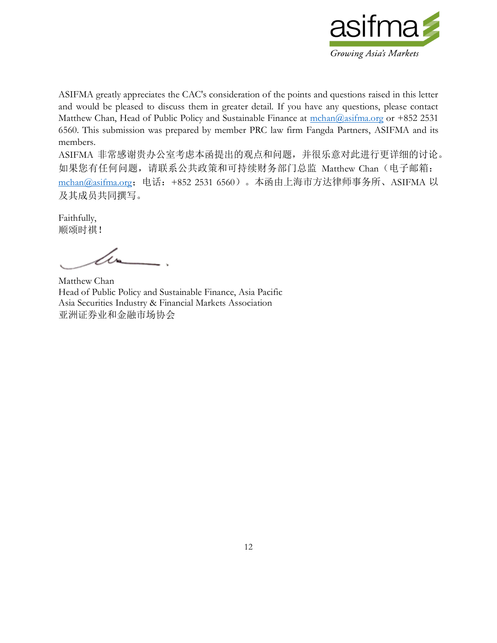

ASIFMA greatly appreciates the CAC's consideration of the points and questions raised in this letter and would be pleased to discuss them in greater detail. If you have any questions, please contact Matthew Chan, Head of Public Policy and Sustainable Finance at  $\frac{\text{mchan}(a)_{33} + \text{mason}(a)}{a_{33} + a_{33} + a_{33}}$  2531 6560. This submission was prepared by member PRC law firm Fangda Partners, ASIFMA and its members.

ASIFMA 非常感谢贵办公室考虑本函提出的观点和问题,并很乐意对此进行更详细的讨论。 如果您有任何问题,请联系公共政策和可持续财务部门总监 Matthew Chan (电子邮箱: [mchan@asifma.org](mailto:mchan@asifma.org);电话:+852 2531 6560)。本函由上海市方达律师事务所、ASIFMA 以 及其成员共同撰写。

Faithfully, 顺颂时祺!

Matthew Chan Head of Public Policy and Sustainable Finance, Asia Pacific Asia Securities Industry & Financial Markets Association 亚洲证券业和金融市场协会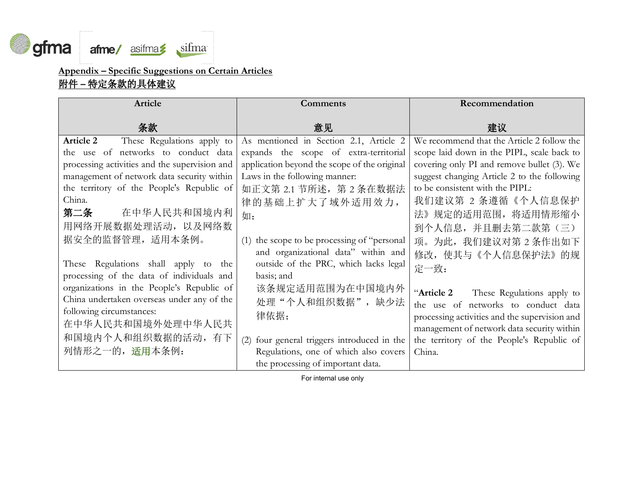

# **Appendix – Specific Suggestions on Certain Articles** 附件 **–** 特定条款的具体建议

| <b>Article</b>                                                                                                                                                                                                                                                                                                                                                                                                                                                                                                         | Comments                                                                                                                                                                                                                                                                                                                                                                                                   | Recommendation                                                                                                                                                                                                                                                                                                                                                                                                                  |
|------------------------------------------------------------------------------------------------------------------------------------------------------------------------------------------------------------------------------------------------------------------------------------------------------------------------------------------------------------------------------------------------------------------------------------------------------------------------------------------------------------------------|------------------------------------------------------------------------------------------------------------------------------------------------------------------------------------------------------------------------------------------------------------------------------------------------------------------------------------------------------------------------------------------------------------|---------------------------------------------------------------------------------------------------------------------------------------------------------------------------------------------------------------------------------------------------------------------------------------------------------------------------------------------------------------------------------------------------------------------------------|
| 条款                                                                                                                                                                                                                                                                                                                                                                                                                                                                                                                     | 意见                                                                                                                                                                                                                                                                                                                                                                                                         | 建议                                                                                                                                                                                                                                                                                                                                                                                                                              |
| These Regulations apply to<br><b>Article 2</b><br>the use of networks to conduct data<br>processing activities and the supervision and<br>management of network data security within<br>the territory of the People's Republic of<br>China.<br>在中华人民共和国境内利<br>第二条<br>用网络开展数据处理活动, 以及网络数<br>据安全的监督管理,适用本条例。<br>These Regulations shall apply to the<br>processing of the data of individuals and<br>organizations in the People's Republic of<br>China undertaken overseas under any of the<br>following circumstances: | As mentioned in Section 2.1, Article 2<br>expands the scope of extra-territorial<br>application beyond the scope of the original<br>Laws in the following manner:<br>如正文第 2.1 节所述, 第 2 条在数据法<br>律的基础上扩大了域外适用效力,<br>如:<br>(1) the scope to be processing of "personal"<br>and organizational data" within and<br>outside of the PRC, which lacks legal<br>basis; and<br>该条规定适用范围为在中国境内外<br>处理"个人和组织数据", 缺少法 | We recommend that the Article 2 follow the<br>scope laid down in the PIPL, scale back to<br>covering only PI and remove bullet (3). We<br>suggest changing Article 2 to the following<br>to be consistent with the PIPL:<br>我们建议第 2 条遵循《个人信息保护<br>法》规定的适用范围, 将适用情形缩小<br>到个人信息,并且删去第二款第(三)<br>项。为此, 我们建议对第2条作出如下<br>修改,使其与《个人信息保护法》的规<br>定一致:<br>"Article 2<br>These Regulations apply to<br>the use of networks to conduct data |
| 在中华人民共和国境外处理中华人民共<br>和国境内个人和组织数据的活动, 有下<br>列情形之一的, 适用本条例:                                                                                                                                                                                                                                                                                                                                                                                                                                                              | 律依据;<br>(2) four general triggers introduced in the<br>Regulations, one of which also covers                                                                                                                                                                                                                                                                                                               | processing activities and the supervision and<br>management of network data security within<br>the territory of the People's Republic of<br>China.                                                                                                                                                                                                                                                                              |
|                                                                                                                                                                                                                                                                                                                                                                                                                                                                                                                        | the processing of important data.                                                                                                                                                                                                                                                                                                                                                                          |                                                                                                                                                                                                                                                                                                                                                                                                                                 |

For internal use only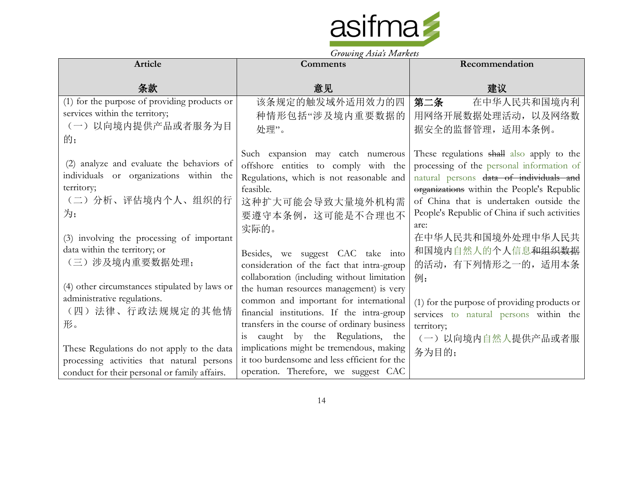

|                                               | Growing Tistus Indiacus                      |                                               |
|-----------------------------------------------|----------------------------------------------|-----------------------------------------------|
| Article                                       | <b>Comments</b>                              | Recommendation                                |
|                                               |                                              |                                               |
| 条款                                            | 意见                                           | 建议                                            |
| (1) for the purpose of providing products or  | 该条规定的触发域外适用效力的四                              | 第二条<br>在中华人民共和国境内利                            |
| services within the territory;                | 种情形包括"涉及境内重要数据的                              | 用网络开展数据处理活动, 以及网络数                            |
| (一)以向境内提供产品或者服务为目                             | 处理"。                                         | 据安全的监督管理,适用本条例。                               |
| 的;                                            |                                              |                                               |
|                                               | Such expansion may catch numerous            | These regulations shall also apply to the     |
| (2) analyze and evaluate the behaviors of     | offshore entities to comply with the         | processing of the personal information of     |
| individuals or organizations within the       | Regulations, which is not reasonable and     | natural persons data of individuals and       |
| territory;                                    | feasible.                                    | organizations within the People's Republic    |
| (二)分析、评估境内个人、组织的行                             | 这种扩大可能会导致大量境外机构需                             | of China that is undertaken outside the       |
| 为;                                            | 要遵守本条例, 这可能是不合理也不                            | People's Republic of China if such activities |
|                                               | 实际的。                                         | are:                                          |
| (3) involving the processing of important     |                                              | 在中华人民共和国境外处理中华人民共                             |
| data within the territory; or                 | Besides, we suggest CAC take into            | 和国境内自然人的个人信息和组织数据                             |
| (三)涉及境内重要数据处理;                                | consideration of the fact that intra-group   | 的活动, 有下列情形之一的, 适用本条                           |
|                                               | collaboration (including without limitation  | 例:                                            |
| (4) other circumstances stipulated by laws or | the human resources management) is very      |                                               |
| administrative regulations.                   | common and important for international       | (1) for the purpose of providing products or  |
| (四)法律、行政法规规定的其他情                              | financial institutions. If the intra-group   | services to natural persons within the        |
| 形。                                            | transfers in the course of ordinary business | territory;                                    |
|                                               | caught by the Regulations, the<br>1S         | (一)以向境内自然人提供产品或者服                             |
| These Regulations do not apply to the data    | implications might be tremendous, making     | 务为目的;                                         |
| processing activities that natural persons    | it too burdensome and less efficient for the |                                               |
| conduct for their personal or family affairs. | operation. Therefore, we suggest CAC         |                                               |

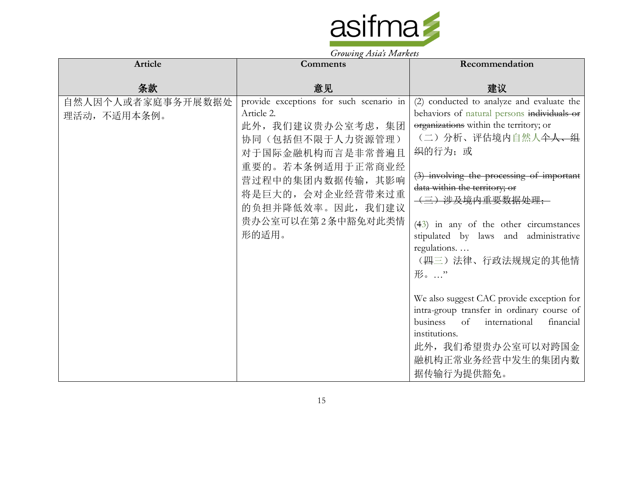

| Article                           | $\sigma$ , $\sigma$ $\sigma$ $\mu$ <sub><math>\chi</math></sub> $\tau$ $\sigma$ $\sigma$ $\sigma$ $\tau$ $\sigma$ $\sigma$ $\sigma$ $\sigma$ $\sigma$ $\sigma$<br>Comments                                                        | Recommendation                                                                                                                                                                                                                                                                                                                                                                                                                                                                                               |
|-----------------------------------|-----------------------------------------------------------------------------------------------------------------------------------------------------------------------------------------------------------------------------------|--------------------------------------------------------------------------------------------------------------------------------------------------------------------------------------------------------------------------------------------------------------------------------------------------------------------------------------------------------------------------------------------------------------------------------------------------------------------------------------------------------------|
|                                   |                                                                                                                                                                                                                                   |                                                                                                                                                                                                                                                                                                                                                                                                                                                                                                              |
| 条款                                | 意见                                                                                                                                                                                                                                | 建议                                                                                                                                                                                                                                                                                                                                                                                                                                                                                                           |
| 自然人因个人或者家庭事务开展数据处<br>理活动, 不适用本条例。 | provide exceptions for such scenario in<br>Article 2.<br>此外, 我们建议贵办公室考虑, 集团<br>协同(包括但不限于人力资源管理)<br>对于国际金融机构而言是非常普遍且<br>重要的。若本条例适用于正常商业经<br>营过程中的集团内数据传输,其影响<br>将是巨大的,会对企业经营带来过重<br>的负担并降低效率。因此,我们建议<br>贵办公室可以在第2条中豁免对此类情<br>形的适用。 | (2) conducted to analyze and evaluate the<br>behaviors of natural persons individuals or<br>organizations within the territory; or<br>(二) 分析、评估境内自然人 <del>个人、组</del><br>织的行为;或<br>$(3)$ involving the processing of important<br>data within the territory; or<br>(三)涉及境内重要数据处理;<br>$(43)$ in any of the other circumstances<br>stipulated by laws and administrative<br>regulations<br>(四三)法律、行政法规规定的其他情<br>形。…"<br>We also suggest CAC provide exception for<br>intra-group transfer in ordinary course of |
|                                   |                                                                                                                                                                                                                                   | of international<br>business<br>financial<br>institutions.<br>此外, 我们希望贵办公室可以对跨国金                                                                                                                                                                                                                                                                                                                                                                                                                             |
|                                   |                                                                                                                                                                                                                                   | 融机构正常业务经营中发生的集团内数<br>据传输行为提供豁免。                                                                                                                                                                                                                                                                                                                                                                                                                                                                              |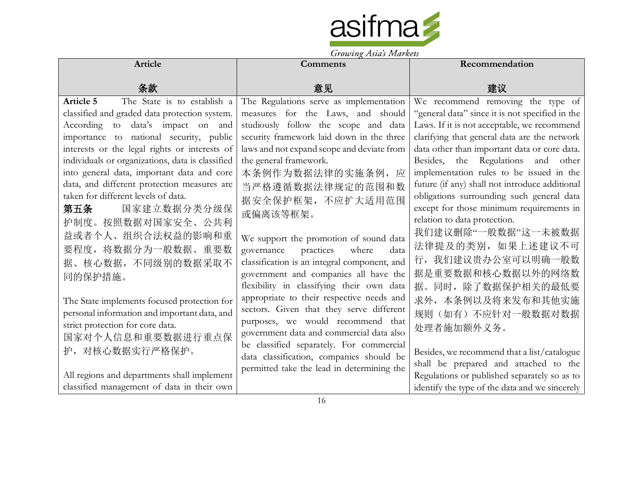

| Article                                                                                   | $1.0\omega$ ing $1.5\omega$ s 1.1 $\omega$ , $\omega$ is | Recommendation                                  |
|-------------------------------------------------------------------------------------------|----------------------------------------------------------|-------------------------------------------------|
|                                                                                           | <b>Comments</b>                                          |                                                 |
| 条款                                                                                        | 意见                                                       | 建议                                              |
| The State is to establish a<br>Article 5                                                  | The Regulations serve as implementation                  | We recommend removing the type of               |
| classified and graded data protection system.                                             | measures for the Laws, and should                        | "general data" since it is not specified in the |
| According to data's impact on and                                                         | studiously follow the scope and data                     | Laws. If it is not acceptable, we recommend     |
| importance to national security, public                                                   | security framework laid down in the three                | clarifying that general data are the network    |
| interests or the legal rights or interests of                                             | laws and not expand scope and deviate from               | data other than important data or core data.    |
| individuals or organizations, data is classified                                          | the general framework.                                   | Besides, the Regulations and other              |
| into general data, important data and core                                                | 本条例作为数据法律的实施条例,<br>应                                     | implementation rules to be issued in the        |
| data, and different protection measures are                                               | 当严格遵循数据法律规定的范围和数                                         | future (if any) shall not introduce additional  |
| taken for different levels of data.                                                       | 据安全保护框架, 不应扩大适用范围                                        | obligations surrounding such general data       |
| 国家建立数据分类分级保<br>第五条                                                                        | 或偏离该等框架。                                                 | except for those minimum requirements in        |
| 护制度。按照数据对国家安全、公共利                                                                         |                                                          | relation to data protection.                    |
| 益或者个人、组织合法权益的影响和重                                                                         | We support the promotion of sound data                   | 我们建议删除"一般数据"这一未被数据                              |
| 要程度, 将数据分为一般数据、重要数                                                                        | governance<br>practices<br>where<br>data                 | 法律提及的类别, 如果上述建议不可                               |
| 据、核心数据, 不同级别的数据采取不                                                                        | classification is an integral component, and             | 行, 我们建议贵办公室可以明确一般数                              |
| 同的保护措施。                                                                                   | government and companies all have the                    | 据是重要数据和核心数据以外的网络数                               |
|                                                                                           | flexibility in classifying their own data                | 据。同时, 除了数据保护相关的最低要                              |
| The State implements focused protection for                                               | appropriate to their respective needs and                | 求外,本条例以及将来发布和其他实施                               |
| personal information and important data, and                                              | sectors. Given that they serve different                 | 规则(如有)不应针对一般数据对数据                               |
| strict protection for core data.                                                          | purposes, we would recommend that                        |                                                 |
| 国家对个人信息和重要数据进行重点保                                                                         | government data and commercial data also                 | 处理者施加额外义务。                                      |
| 护, 对核心数据实行严格保护。                                                                           | be classified separately. For commercial                 |                                                 |
|                                                                                           | data classification, companies should be                 | Besides, we recommend that a list/catalogue     |
|                                                                                           | permitted take the lead in determining the               | shall be prepared and attached to the           |
| All regions and departments shall implement<br>classified management of data in their own |                                                          | Regulations or published separately so as to    |
|                                                                                           |                                                          | identify the type of the data and we sincerely  |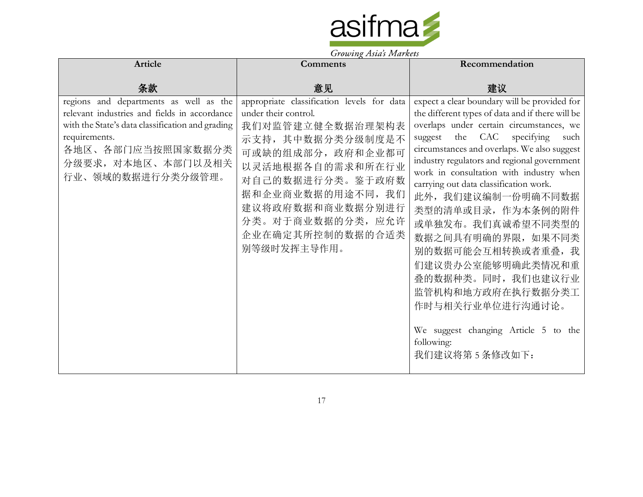

| <b>Article</b>                                                                                                                                                                                                              | <b>Comments</b>                                                                                                                                                                                                                                                          | Recommendation                                                                                                                                                                                                                                                                                                                                                                                                                                                                                                                                                                                                                                |
|-----------------------------------------------------------------------------------------------------------------------------------------------------------------------------------------------------------------------------|--------------------------------------------------------------------------------------------------------------------------------------------------------------------------------------------------------------------------------------------------------------------------|-----------------------------------------------------------------------------------------------------------------------------------------------------------------------------------------------------------------------------------------------------------------------------------------------------------------------------------------------------------------------------------------------------------------------------------------------------------------------------------------------------------------------------------------------------------------------------------------------------------------------------------------------|
| 条款                                                                                                                                                                                                                          | 意见                                                                                                                                                                                                                                                                       | 建议                                                                                                                                                                                                                                                                                                                                                                                                                                                                                                                                                                                                                                            |
| regions and departments as well as the<br>relevant industries and fields in accordance<br>with the State's data classification and grading<br>requirements.<br>各地区、各部门应当按照国家数据分类<br>分级要求, 对本地区、本部门以及相关<br>行业、领域的数据进行分类分级管理。 | appropriate classification levels for data<br>under their control.<br>我们对监管建立健全数据治理架构表<br>示支持, 其中数据分类分级制度是不<br>可或缺的组成部分, 政府和企业都可<br>以灵活地根据各自的需求和所在行业<br>对自己的数据进行分类。鉴于政府数<br>据和企业商业数据的用途不同, 我们<br>建议将政府数据和商业数据分别进行<br>分类。对于商业数据的分类,应允许<br>企业在确定其所控制的数据的合适类<br>别等级时发挥主导作用。 | expect a clear boundary will be provided for<br>the different types of data and if there will be<br>overlaps under certain circumstances, we<br>suggest the CAC specifying<br>such<br>circumstances and overlaps. We also suggest<br>industry regulators and regional government<br>work in consultation with industry when<br>carrying out data classification work.<br>此外, 我们建议编制一份明确不同数据<br>类型的清单或目录, 作为本条例的附件<br>或单独发布。我们真诚希望不同类型的<br>数据之间具有明确的界限, 如果不同类<br>别的数据可能会互相转换或者重叠, 我<br>们建议贵办公室能够明确此类情况和重<br>叠的数据种类。同时, 我们也建议行业<br>监管机构和地方政府在执行数据分类工<br>作时与相关行业单位进行沟通讨论。<br>We suggest changing Article 5 to the<br>following:<br>我们建议将第5条修改如下: |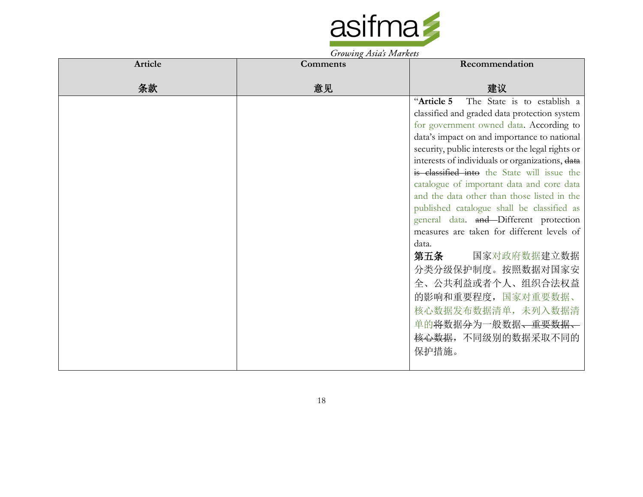

| Article | <b>Comments</b> | Recommendation                                    |
|---------|-----------------|---------------------------------------------------|
| 条款      | 意见              | 建议                                                |
|         |                 | The State is to establish a<br>"Article 5         |
|         |                 | classified and graded data protection system      |
|         |                 | for government owned data. According to           |
|         |                 | data's impact on and importance to national       |
|         |                 | security, public interests or the legal rights or |
|         |                 | interests of individuals or organizations, data   |
|         |                 | is classified into the State will issue the       |
|         |                 | catalogue of important data and core data         |
|         |                 | and the data other than those listed in the       |
|         |                 | published catalogue shall be classified as        |
|         |                 | general data. and Different protection            |
|         |                 | measures are taken for different levels of        |
|         |                 | data.                                             |
|         |                 | 国家对政府数据建立数据<br>第五条                                |
|         |                 | 分类分级保护制度。按照数据对国家安                                 |
|         |                 | 全、公共利益或者个人、组织合法权益                                 |
|         |                 | 的影响和重要程度,国家对重要数据、                                 |
|         |                 | 核心数据发布数据清单,未列入数据清                                 |
|         |                 | 单的将数据分为一般数据、重要数据、                                 |
|         |                 | <del>核心数据</del> , 不同级别的数据采取不同的                    |
|         |                 | 保护措施。                                             |
|         |                 |                                                   |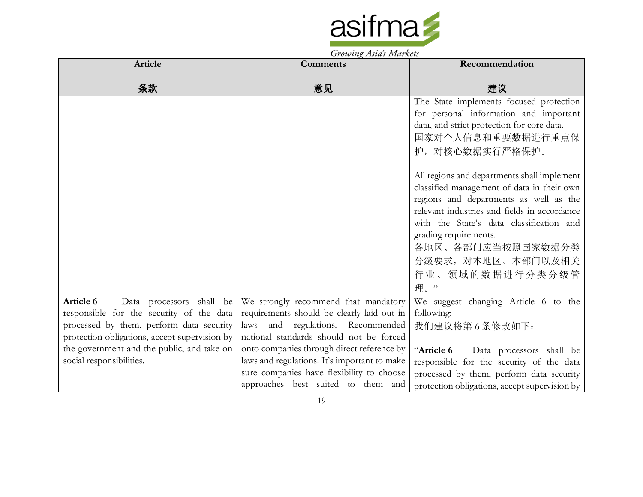

| Article                                       | $J_{\ell}$ owning themes followings<br><b>Comments</b> | Recommendation                                |
|-----------------------------------------------|--------------------------------------------------------|-----------------------------------------------|
|                                               |                                                        |                                               |
| 条款                                            | 意见                                                     | 建议                                            |
|                                               |                                                        | The State implements focused protection       |
|                                               |                                                        | for personal information and important        |
|                                               |                                                        | data, and strict protection for core data.    |
|                                               |                                                        | 国家对个人信息和重要数据进行重点保                             |
|                                               |                                                        | 护, 对核心数据实行严格保护。                               |
|                                               |                                                        |                                               |
|                                               |                                                        | All regions and departments shall implement   |
|                                               |                                                        | classified management of data in their own    |
|                                               |                                                        | regions and departments as well as the        |
|                                               |                                                        | relevant industries and fields in accordance  |
|                                               |                                                        | with the State's data classification and      |
|                                               |                                                        | grading requirements.                         |
|                                               |                                                        | 各地区、各部门应当按照国家数据分类                             |
|                                               |                                                        | 分级要求, 对本地区、本部门以及相关                            |
|                                               |                                                        | 行业、领域的数据进行分类分级管                               |
|                                               |                                                        | 理。"                                           |
| Article 6<br>Data processors shall be         | We strongly recommend that mandatory                   | We suggest changing Article 6 to the          |
| responsible for the security of the data      | requirements should be clearly laid out in             | following:                                    |
| processed by them, perform data security      | laws and regulations. Recommended                      | 我们建议将第6条修改如下:                                 |
| protection obligations, accept supervision by | national standards should not be forced                |                                               |
| the government and the public, and take on    | onto companies through direct reference by             | "Article 6<br>Data processors shall be        |
| social responsibilities.                      | laws and regulations. It's important to make           | responsible for the security of the data      |
|                                               | sure companies have flexibility to choose              | processed by them, perform data security      |
|                                               | approaches best suited to them and                     | protection obligations, accept supervision by |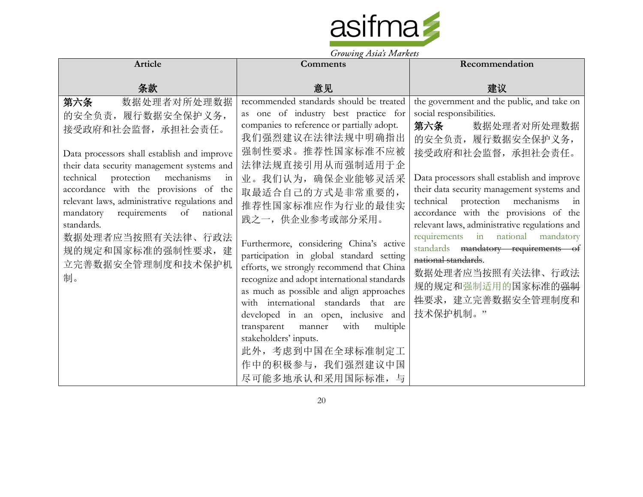

| Article                                                                                                                                                                                                                                                                                                                                                                   | <b>Comments</b>                                                                                                                                                                                                                                                                                                                                                                                                                             | Recommendation                                                                                                                                                                                                                                                                                                                                                                                              |
|---------------------------------------------------------------------------------------------------------------------------------------------------------------------------------------------------------------------------------------------------------------------------------------------------------------------------------------------------------------------------|---------------------------------------------------------------------------------------------------------------------------------------------------------------------------------------------------------------------------------------------------------------------------------------------------------------------------------------------------------------------------------------------------------------------------------------------|-------------------------------------------------------------------------------------------------------------------------------------------------------------------------------------------------------------------------------------------------------------------------------------------------------------------------------------------------------------------------------------------------------------|
| 条款                                                                                                                                                                                                                                                                                                                                                                        | 意见                                                                                                                                                                                                                                                                                                                                                                                                                                          | 建议                                                                                                                                                                                                                                                                                                                                                                                                          |
| 第六条<br>数据处理者对所处理数据<br>的安全负责,履行数据安全保护义务,<br>接受政府和社会监督, 承担社会责任。<br>Data processors shall establish and improve<br>their data security management systems and<br>technical protection mechanisms<br>in<br>accordance with the provisions of the<br>relevant laws, administrative regulations and<br>mandatory requirements of<br>national<br>standards.<br>数据处理者应当按照有关法律、行政法 | recommended standards should be treated<br>as one of industry best practice for<br>companies to reference or partially adopt.<br>我们强烈建议在法律法规中明确指出<br>强制性要求。推荐性国家标准不应被<br>法律法规直接引用从而强制适用于企<br>业。我们认为, 确保企业能够灵活采<br>取最适合自己的方式是非常重要的,<br>推荐性国家标准应作为行业的最佳实<br>践之一,供企业参考或部分采用。                                                                                                                                                                   | the government and the public, and take on<br>social responsibilities.<br>第六条<br>数据处理者对所处理数据<br>的安全负责, 履行数据安全保护义务,<br>接受政府和社会监督, 承担社会责任。<br>Data processors shall establish and improve<br>their data security management systems and<br>technical protection mechanisms in<br>accordance with the provisions of the<br>relevant laws, administrative regulations and<br>requirements in national mandatory |
| 规的规定和国家标准的强制性要求,建<br>立完善数据安全管理制度和技术保护机<br>制。                                                                                                                                                                                                                                                                                                                              | Furthermore, considering China's active<br>participation in global standard setting<br>efforts, we strongly recommend that China<br>recognize and adopt international standards<br>as much as possible and align approaches<br>with international standards that are<br>developed in an open, inclusive and<br>transparent manner<br>multiple<br>with<br>stakeholders' inputs.<br>此外,考虑到中国在全球标准制定工<br>作中的积极参与, 我们强烈建议中国<br>尽可能多地承认和采用国际标准,与 | standards mandatory requirements of<br>national standards.<br>数据处理者应当按照有关法律、行政法<br>规的规定和强制适用的国家标准的 <del>强制</del><br><del>性</del> 要求, 建立完善数据安全管理制度和<br>技术保护机制。"                                                                                                                                                                                                                                              |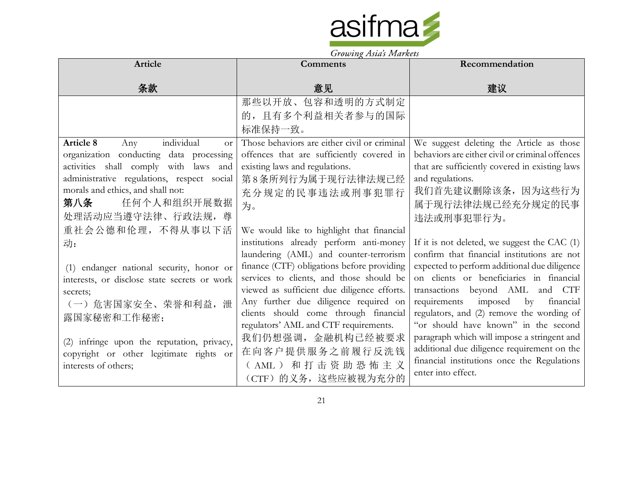

|                                              | Growing Tistus Indiana                       |                                                 |
|----------------------------------------------|----------------------------------------------|-------------------------------------------------|
| Article                                      | <b>Comments</b>                              | Recommendation                                  |
|                                              |                                              |                                                 |
| 条款                                           | 意见                                           | 建议                                              |
|                                              | 那些以开放、包容和透明的方式制定                             |                                                 |
|                                              | 的, 且有多个利益相关者参与的国际                            |                                                 |
|                                              | 标准保持一致。                                      |                                                 |
| individual<br>Article 8<br>Any<br><b>or</b>  | Those behaviors are either civil or criminal | We suggest deleting the Article as those        |
| organization conducting data processing      | offences that are sufficiently covered in    | behaviors are either civil or criminal offences |
| activities shall comply with laws and        | existing laws and regulations.               | that are sufficiently covered in existing laws  |
| administrative regulations, respect social   | 第8条所列行为属于现行法律法规已经                            | and regulations.                                |
| morals and ethics, and shall not:            | 充分规定的民事违法或刑事犯罪行                              | 我们首先建议删除该条, 因为这些行为                              |
| 任何个人和组织开展数据<br>第八条                           | 为。                                           | 属于现行法律法规已经充分规定的民事                               |
| 处理活动应当遵守法律、行政法规, 尊                           |                                              | 违法或刑事犯罪行为。                                      |
| 重社会公德和伦理, 不得从事以下活                            | We would like to highlight that financial    |                                                 |
| 动:                                           | institutions already perform anti-money      | If it is not deleted, we suggest the CAC (1)    |
|                                              | laundering (AML) and counter-terrorism       | confirm that financial institutions are not     |
| (1) endanger national security, honor or     | finance (CTF) obligations before providing   | expected to perform additional due diligence    |
| interests, or disclose state secrets or work | services to clients, and those should be     | on clients or beneficiaries in financial        |
| secrets;                                     | viewed as sufficient due diligence efforts.  | transactions beyond AML and CTF                 |
| (一) 危害国家安全、荣誉和利益,泄                           | Any further due diligence required on        | requirements imposed<br>by<br>financial         |
| 露国家秘密和工作秘密;                                  | clients should come through financial        | regulators, and (2) remove the wording of       |
|                                              | regulators' AML and CTF requirements.        | "or should have known" in the second            |
| (2) infringe upon the reputation, privacy,   | 我们仍想强调,金融机构已经被要求                             | paragraph which will impose a stringent and     |
| copyright or other legitimate rights or      | 在向客户提供服务之前履行反洗钱                              | additional due diligence requirement on the     |
| interests of others;                         | (AML) 和打击资助恐怖主义                              | financial institutions once the Regulations     |
|                                              | (CTF) 的义务, 这些应被视为充分的                         | enter into effect.                              |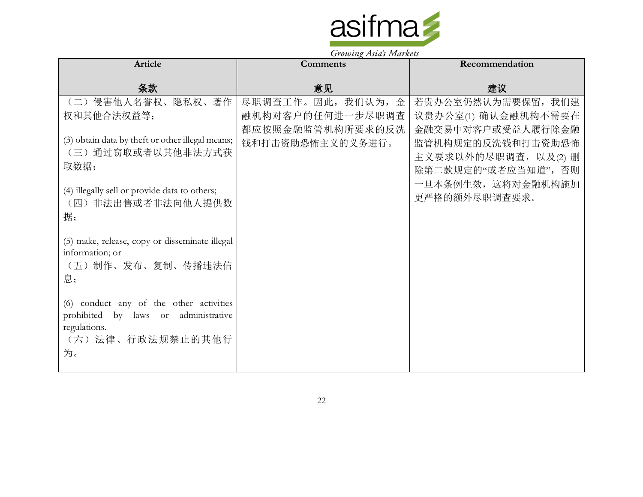

| Article                                                                                                                                                     | <b>Comments</b>                      | Recommendation                                                                                                              |
|-------------------------------------------------------------------------------------------------------------------------------------------------------------|--------------------------------------|-----------------------------------------------------------------------------------------------------------------------------|
| 条款                                                                                                                                                          | 意见                                   | 建议                                                                                                                          |
| (二)侵害他人名誉权、隐私权、著作                                                                                                                                           | 尽职调查工作。因此,我们认为,金                     | 若贵办公室仍然认为需要保留, 我们建                                                                                                          |
| 权和其他合法权益等;                                                                                                                                                  | 融机构对客户的任何进一步尽职调查                     | 议贵办公室(1) 确认金融机构不需要在                                                                                                         |
| (3) obtain data by theft or other illegal means;<br>(三) 通过窃取或者以其他非法方式获<br>取数据;<br>(4) illegally sell or provide data to others;<br>(四) 非法出售或者非法向他人提供数<br>据; | 都应按照金融监管机构所要求的反洗<br>钱和打击资助恐怖主义的义务进行。 | 金融交易中对客户或受益人履行除金融<br>监管机构规定的反洗钱和打击资助恐怖<br>主义要求以外的尽职调查, 以及(2) 删<br>除第二款规定的"或者应当知道",否则<br>一旦本条例生效, 这将对金融机构施加<br>更严格的额外尽职调查要求。 |
| (5) make, release, copy or disseminate illegal<br>information; or<br>(五) 制作、发布、复制、传播违法信<br>息;                                                               |                                      |                                                                                                                             |
| (6) conduct any of the other activities<br>prohibited by laws or administrative<br>regulations.<br>(六)法律、行政法规禁止的其他行<br>为。                                   |                                      |                                                                                                                             |

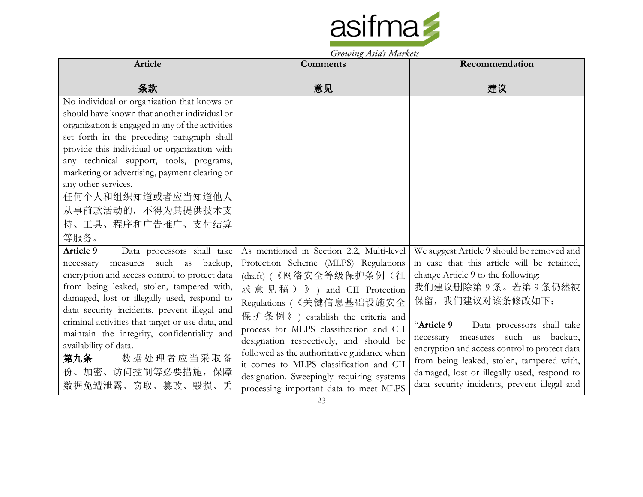

| Article                                                                                                                                                                                                                                                                                  | Comments                                                                                                                                                                                                                                                                                                 | Recommendation                                                                                                                                                                                                                                                              |
|------------------------------------------------------------------------------------------------------------------------------------------------------------------------------------------------------------------------------------------------------------------------------------------|----------------------------------------------------------------------------------------------------------------------------------------------------------------------------------------------------------------------------------------------------------------------------------------------------------|-----------------------------------------------------------------------------------------------------------------------------------------------------------------------------------------------------------------------------------------------------------------------------|
| 条款                                                                                                                                                                                                                                                                                       | 意见                                                                                                                                                                                                                                                                                                       | 建议                                                                                                                                                                                                                                                                          |
| No individual or organization that knows or<br>should have known that another individual or<br>organization is engaged in any of the activities<br>set forth in the preceding paragraph shall<br>provide this individual or organization with<br>any technical support, tools, programs, |                                                                                                                                                                                                                                                                                                          |                                                                                                                                                                                                                                                                             |
| marketing or advertising, payment clearing or<br>any other services.<br>任何个人和组织知道或者应当知道他人<br>从事前款活动的, 不得为其提供技术支<br>持、工具、程序和广告推广、支付结算<br>等服务。                                                                                                                                             |                                                                                                                                                                                                                                                                                                          |                                                                                                                                                                                                                                                                             |
| <b>Article 9</b><br>Data processors shall take<br>measures such as<br>backup,<br>necessary<br>encryption and access control to protect data<br>from being leaked, stolen, tampered with,<br>damaged, lost or illegally used, respond to<br>data security incidents, prevent illegal and  | As mentioned in Section 2.2, Multi-level<br>Protection Scheme (MLPS) Regulations<br>(draft) (《网络安全等级保护条例(征<br>求意见稿)》) and CII Protection<br>Regulations (《关键信息基础设施安全                                                                                                                                     | We suggest Article 9 should be removed and<br>in case that this article will be retained,<br>change Article 9 to the following:<br>我们建议删除第9条。若第9条仍然被<br>保留, 我们建议对该条修改如下:                                                                                                    |
| criminal activities that target or use data, and<br>maintain the integrity, confidentiality and<br>availability of data.<br>数据处理者应当采取备<br>第九条<br>份、加密、访问控制等必要措施, 保障<br>数据免遭泄露、窃取、篡改、毁损、丢                                                                                                 | 保护条例》) establish the criteria and<br>process for MLPS classification and CII<br>designation respectively, and should be<br>followed as the authoritative guidance when<br>it comes to MLPS classification and CII<br>designation. Sweepingly requiring systems<br>processing important data to meet MLPS | "Article 9<br>Data processors shall take<br>necessary measures such as backup,<br>encryption and access control to protect data<br>from being leaked, stolen, tampered with,<br>damaged, lost or illegally used, respond to<br>data security incidents, prevent illegal and |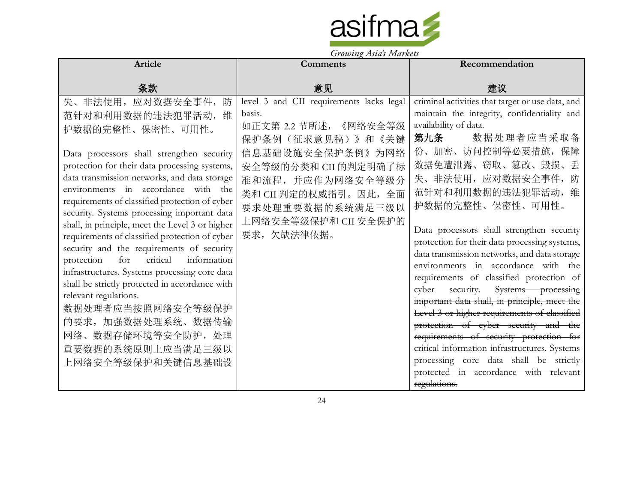

| <b>Article</b>                                                                                                                                                                                                                                                                                                                                                                                                                                                                                                                                                                                                                                                                                                                                                                                    | $\frac{1}{2}$<br>Comments                                                                                                                                                                                                                               | Recommendation                                                                                                                                                                                                                                                                                                                                                                                                                                                                                                                                                                                                                                                                                                                                                                                                                                                                 |
|---------------------------------------------------------------------------------------------------------------------------------------------------------------------------------------------------------------------------------------------------------------------------------------------------------------------------------------------------------------------------------------------------------------------------------------------------------------------------------------------------------------------------------------------------------------------------------------------------------------------------------------------------------------------------------------------------------------------------------------------------------------------------------------------------|---------------------------------------------------------------------------------------------------------------------------------------------------------------------------------------------------------------------------------------------------------|--------------------------------------------------------------------------------------------------------------------------------------------------------------------------------------------------------------------------------------------------------------------------------------------------------------------------------------------------------------------------------------------------------------------------------------------------------------------------------------------------------------------------------------------------------------------------------------------------------------------------------------------------------------------------------------------------------------------------------------------------------------------------------------------------------------------------------------------------------------------------------|
| 条款                                                                                                                                                                                                                                                                                                                                                                                                                                                                                                                                                                                                                                                                                                                                                                                                | 意见                                                                                                                                                                                                                                                      | 建议                                                                                                                                                                                                                                                                                                                                                                                                                                                                                                                                                                                                                                                                                                                                                                                                                                                                             |
| 矢、非法使用,应对数据安全事件,<br>防<br>范针对和利用数据的违法犯罪活动,<br>维<br>护数据的完整性、保密性、可用性。<br>Data processors shall strengthen security<br>protection for their data processing systems,<br>data transmission networks, and data storage<br>environments in accordance with the<br>requirements of classified protection of cyber<br>security. Systems processing important data<br>shall, in principle, meet the Level 3 or higher<br>requirements of classified protection of cyber<br>security and the requirements of security<br>critical<br>information<br>for<br>protection<br>infrastructures. Systems processing core data<br>shall be strictly protected in accordance with<br>relevant regulations.<br>数据处理者应当按照网络安全等级保护<br>的要求, 加强数据处理系统、数据传输<br>网络、数据存储环境等安全防护, 处理<br>重要数据的系统原则上应当满足三级以<br>上网络安全等级保护和关键信息基础设 | level 3 and CII requirements lacks legal<br>basis.<br>如正文第 2.2 节所述,<br>《网络安全等级<br>保护条例(征求意见稿)》和《关键<br>信息基础设施安全保护条例》为网络<br>安全等级的分类和 CII 的判定明确了标<br>准和流程, 并应作为网络安全等级分<br>类和 CII 判定的权威指引。因此, 全面<br>要求处理重要数据的系统满足三级以<br>上网络安全等级保护和 CII 安全保护的<br>要求, 欠缺法律依据。 | criminal activities that target or use data, and<br>maintain the integrity, confidentiality and<br>availability of data.<br>第九条<br>数据处理者应当采取备<br>份、加密、访问控制等必要措施, 保障<br>数据免遭泄露、窃取、篡改、毁损、丢<br>失、非法使用, 应对数据安全事件,<br>范针对和利用数据的违法犯罪活动,<br>维<br>护数据的完整性、保密性、可用性。<br>Data processors shall strengthen security<br>protection for their data processing systems,<br>data transmission networks, and data storage<br>environments in accordance with the<br>requirements of classified protection of<br>security.<br>Systems processing<br>cyber<br>important data shall, in principle, meet the<br>Level 3 or higher requirements of classified<br>protection of cyber security and the<br>requirements of security protection for<br>critical information infrastructures. Systems<br>processing core data shall be strictly<br>protected in accordance with relevant<br>regulations. |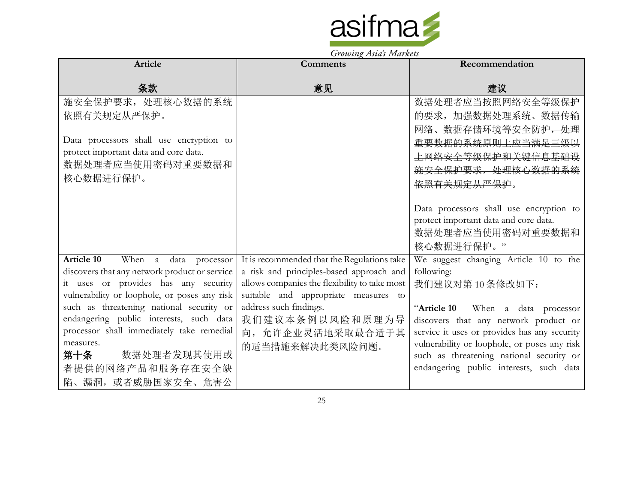

| Article                                                                                  | Comments                                                       | Recommendation                                                             |
|------------------------------------------------------------------------------------------|----------------------------------------------------------------|----------------------------------------------------------------------------|
| 条款                                                                                       | 意见                                                             | 建议                                                                         |
| 施安全保护要求, 处理核心数据的系统                                                                       |                                                                | 数据处理者应当按照网络安全等级保护                                                          |
| 依照有关规定从严保护。                                                                              |                                                                | 的要求, 加强数据处理系统、数据传输                                                         |
|                                                                                          |                                                                | 网络、数据存储环境等安全防护 <del>,处理</del>                                              |
| Data processors shall use encryption to                                                  |                                                                | 重要数据的系统原则上应当满足三级以                                                          |
| protect important data and core data.                                                    |                                                                | 上网络安全等级保护和关键信息基础设                                                          |
| 数据处理者应当使用密码对重要数据和                                                                        |                                                                | 施安全保护要求, 处理核心数据的系统                                                         |
| 核心数据进行保护。                                                                                |                                                                | <del>依照有关规定从严保护</del> 。                                                    |
|                                                                                          |                                                                |                                                                            |
|                                                                                          |                                                                | Data processors shall use encryption to                                    |
|                                                                                          |                                                                | protect important data and core data.                                      |
|                                                                                          |                                                                | 数据处理者应当使用密码对重要数据和                                                          |
|                                                                                          |                                                                | 核心数据进行保护。"                                                                 |
| <b>Article 10</b><br>When a data processor                                               | It is recommended that the Regulations take                    | We suggest changing Article 10 to the                                      |
| discovers that any network product or service                                            | a risk and principles-based approach and                       | following:                                                                 |
| it uses or provides has any security                                                     | allows companies the flexibility to take most                  | 我们建议对第10条修改如下:                                                             |
| vulnerability or loophole, or poses any risk<br>such as threatening national security or | suitable and appropriate measures to<br>address such findings. |                                                                            |
| endangering public interests, such data                                                  | 我们建议本条例以风险和原理为导                                                | "Article 10 When a data processor<br>discovers that any network product or |
| processor shall immediately take remedial                                                | 向, 允许企业灵活地采取最合适于其                                              | service it uses or provides has any security                               |
| measures.                                                                                | 的适当措施来解决此类风险问题。                                                | vulnerability or loophole, or poses any risk                               |
| 数据处理者发现其使用或<br>第十条                                                                       |                                                                | such as threatening national security or                                   |
| 者提供的网络产品和服务存在安全缺                                                                         |                                                                | endangering public interests, such data                                    |
| 陷、漏洞, 或者威胁国家安全、危害公                                                                       |                                                                |                                                                            |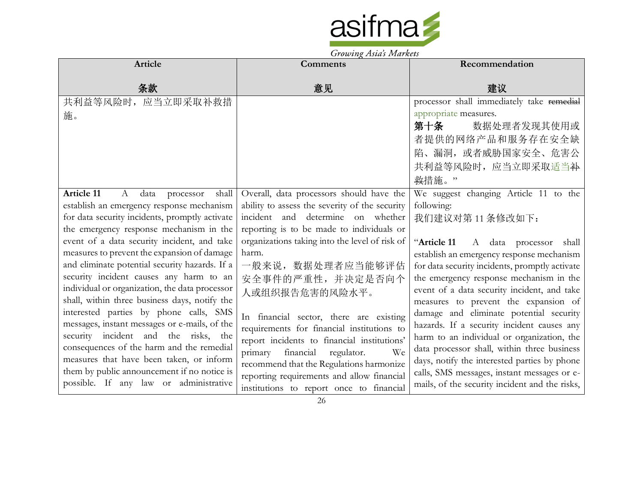

| <b>Article</b>                                                                                                                                                                                                                                                                                                    | <b>Comments</b>                                                                                                                                                                                                                                                                                                     | Recommendation                                                                                                                                                                                                                                                                                                                      |
|-------------------------------------------------------------------------------------------------------------------------------------------------------------------------------------------------------------------------------------------------------------------------------------------------------------------|---------------------------------------------------------------------------------------------------------------------------------------------------------------------------------------------------------------------------------------------------------------------------------------------------------------------|-------------------------------------------------------------------------------------------------------------------------------------------------------------------------------------------------------------------------------------------------------------------------------------------------------------------------------------|
| 条款                                                                                                                                                                                                                                                                                                                | 意见                                                                                                                                                                                                                                                                                                                  | 建议                                                                                                                                                                                                                                                                                                                                  |
| 共利益等风险时, 应当立即采取补救措<br>施。                                                                                                                                                                                                                                                                                          |                                                                                                                                                                                                                                                                                                                     | processor shall immediately take remedial<br>appropriate measures.<br>第十条<br>数据处理者发现其使用或<br>者提供的网络产品和服务存在安全缺<br>陷、漏洞, 或者威胁国家安全、危害公<br>共利益等风险时,应当立即采取适当补<br>救措施。"                                                                                                                                                                    |
| <b>Article 11</b><br>data<br>shall<br>A<br>processor<br>establish an emergency response mechanism<br>for data security incidents, promptly activate<br>the emergency response mechanism in the<br>event of a data security incident, and take                                                                     | Overall, data processors should have the<br>ability to assess the severity of the security<br>incident and determine on whether<br>reporting is to be made to individuals or<br>organizations taking into the level of risk of                                                                                      | We suggest changing Article 11 to the<br>following:<br>我们建议对第11条修改如下:<br>"Article 11<br>A data processor<br>shall                                                                                                                                                                                                                   |
| measures to prevent the expansion of damage<br>and eliminate potential security hazards. If a<br>security incident causes any harm to an<br>individual or organization, the data processor<br>shall, within three business days, notify the                                                                       | harm.<br>一般来说, 数据处理者应当能够评估<br>安全事件的严重性,并决定是否向个<br>人或组织报告危害的风险水平。                                                                                                                                                                                                                                                    | establish an emergency response mechanism<br>for data security incidents, promptly activate<br>the emergency response mechanism in the<br>event of a data security incident, and take<br>measures to prevent the expansion of                                                                                                       |
| interested parties by phone calls, SMS<br>messages, instant messages or e-mails, of the<br>security incident and the risks, the<br>consequences of the harm and the remedial<br>measures that have been taken, or inform<br>them by public announcement if no notice is<br>possible. If any law or administrative | In financial sector, there are existing<br>requirements for financial institutions to<br>report incidents to financial institutions'<br>primary financial<br>regulator.<br>We<br>recommend that the Regulations harmonize<br>reporting requirements and allow financial<br>institutions to report once to financial | damage and eliminate potential security<br>hazards. If a security incident causes any<br>harm to an individual or organization, the<br>data processor shall, within three business<br>days, notify the interested parties by phone<br>calls, SMS messages, instant messages or e-<br>mails, of the security incident and the risks, |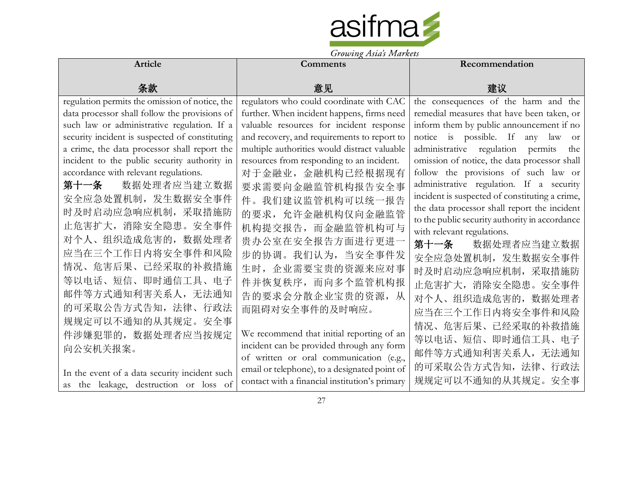

|                                                | Growing Asias Indikers                         |                                                |
|------------------------------------------------|------------------------------------------------|------------------------------------------------|
| <b>Article</b>                                 | <b>Comments</b>                                | Recommendation                                 |
| 条款                                             | 意见                                             | 建议                                             |
| regulation permits the omission of notice, the | regulators who could coordinate with CAC       | the consequences of the harm and the           |
| data processor shall follow the provisions of  | further. When incident happens, firms need     | remedial measures that have been taken, or     |
| such law or administrative regulation. If a    | valuable resources for incident response       | inform them by public announcement if no       |
| security incident is suspected of constituting | and recovery, and requirements to report to    | notice is possible. If any law<br><b>or</b>    |
| a crime, the data processor shall report the   | multiple authorities would distract valuable   | administrative regulation permits<br>the       |
| incident to the public security authority in   | resources from responding to an incident.      | omission of notice, the data processor shall   |
| accordance with relevant regulations.          | 对于金融业,金融机构已经根据现有                               | follow the provisions of such law or           |
| 数据处理者应当建立数据<br>第十一条                            | 要求需要向金融监管机构报告安全事                               | administrative regulation. If a security       |
| 安全应急处置机制,发生数据安全事件                              | 件。我们建议监管机构可以统一报告                               | incident is suspected of constituting a crime, |
| 时及时启动应急响应机制, 采取措施防                             | 的要求,允许金融机构仅向金融监管                               | the data processor shall report the incident   |
| 止危害扩大, 消除安全隐患。安全事件                             | 机构提交报告, 而金融监管机构可与                              | to the public security authority in accordance |
| 对个人、组织造成危害的, 数据处理者                             | 贵办公室在安全报告方面进行更进一                               | with relevant regulations.                     |
| 应当在三个工作日内将安全事件和风险                              |                                                | 数据处理者应当建立数据<br>第十一条                            |
|                                                | 步的协调。我们认为, 当安全事件发                              | 安全应急处置机制, 发生数据安全事件                             |
| 情况、危害后果、已经采取的补救措施                              | 生时,企业需要宝贵的资源来应对事                               | 时及时启动应急响应机制, 采取措施防                             |
| 等以电话、短信、即时通信工具、电子                              | 件并恢复秩序, 而向多个监管机构报                              | 止危害扩大, 消除安全隐患。安全事件                             |
| 邮件等方式通知利害关系人, 无法通知                             | 告的要求会分散企业宝贵的资源, 从                              | 对个人、组织造成危害的, 数据处理者                             |
| 的可采取公告方式告知, 法律、行政法                             | 而阻碍对安全事件的及时响应。                                 | 应当在三个工作日内将安全事件和风险                              |
| 规规定可以不通知的从其规定。安全事                              |                                                | 情况、危害后果、已经采取的补救措施                              |
| 件涉嫌犯罪的, 数据处理者应当按规定                             | We recommend that initial reporting of an      |                                                |
| 向公安机关报案。                                       | incident can be provided through any form      | 等以电话、短信、即时通信工具、电子                              |
|                                                | of written or oral communication (e.g.,        | 邮件等方式通知利害关系人, 无法通知                             |
| In the event of a data security incident such  | email or telephone), to a designated point of  | 的可采取公告方式告知, 法律、行政法                             |
| as the leakage, destruction or loss of         | contact with a financial institution's primary | 规规定可以不通知的从其规定。安全事                              |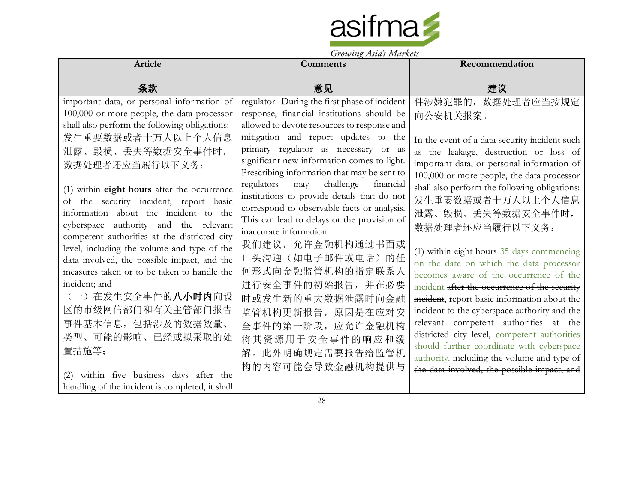

|                                                                                                                                                                                                                                                                                                          | <i>Growing Asias Indianos</i>                                                                                                                                                                                       |                                                                                                                                                                                                                                                                                                                                                                                                                                                                                                                     |
|----------------------------------------------------------------------------------------------------------------------------------------------------------------------------------------------------------------------------------------------------------------------------------------------------------|---------------------------------------------------------------------------------------------------------------------------------------------------------------------------------------------------------------------|---------------------------------------------------------------------------------------------------------------------------------------------------------------------------------------------------------------------------------------------------------------------------------------------------------------------------------------------------------------------------------------------------------------------------------------------------------------------------------------------------------------------|
| Article                                                                                                                                                                                                                                                                                                  | <b>Comments</b>                                                                                                                                                                                                     | Recommendation                                                                                                                                                                                                                                                                                                                                                                                                                                                                                                      |
| 条款                                                                                                                                                                                                                                                                                                       | 意见                                                                                                                                                                                                                  | 建议                                                                                                                                                                                                                                                                                                                                                                                                                                                                                                                  |
| important data, or personal information of<br>100,000 or more people, the data processor                                                                                                                                                                                                                 | regulator. During the first phase of incident<br>response, financial institutions should be                                                                                                                         | 件涉嫌犯罪的, 数据处理者应当按规定                                                                                                                                                                                                                                                                                                                                                                                                                                                                                                  |
| shall also perform the following obligations:                                                                                                                                                                                                                                                            | allowed to devote resources to response and                                                                                                                                                                         | 向公安机关报案。                                                                                                                                                                                                                                                                                                                                                                                                                                                                                                            |
| 发生重要数据或者十万人以上个人信息<br>泄露、毁损、丢失等数据安全事件时,                                                                                                                                                                                                                                                                   | mitigation and report updates to the<br>primary regulator as necessary or as                                                                                                                                        | In the event of a data security incident such                                                                                                                                                                                                                                                                                                                                                                                                                                                                       |
| 数据处理者还应当履行以下义务:                                                                                                                                                                                                                                                                                          | significant new information comes to light.<br>Prescribing information that may be sent to                                                                                                                          | as the leakage, destruction or loss of<br>important data, or personal information of<br>100,000 or more people, the data processor                                                                                                                                                                                                                                                                                                                                                                                  |
| (1) within eight hours after the occurrence<br>of the security incident, report basic<br>information about the incident to the<br>cyberspace authority and the relevant                                                                                                                                  | regulators<br>challenge<br>financial<br>may<br>institutions to provide details that do not<br>correspond to observable facts or analysis.<br>This can lead to delays or the provision of<br>inaccurate information. | shall also perform the following obligations:<br>发生重要数据或者十万人以上个人信息<br>泄露、毁损、丢失等数据安全事件时,<br>数据处理者还应当履行以下义务:                                                                                                                                                                                                                                                                                                                                                                                                          |
| competent authorities at the districted city<br>level, including the volume and type of the<br>data involved, the possible impact, and the<br>measures taken or to be taken to handle the<br>incident; and<br>(一) 在发生安全事件的八小时内向设<br>区的市级网信部门和有关主管部门报告<br>事件基本信息,包括涉及的数据数量、<br>类型、可能的影响、已经或拟采取的处<br>置措施等; | 我们建议, 允许金融机构通过书面或<br>口头沟通(如电子邮件或电话)的任<br>何形式向金融监管机构的指定联系人<br>进行安全事件的初始报告,并在必要<br>时或发生新的重大数据泄露时向金融<br>监管机构更新报告, 原因是在应对安<br>全事件的第一阶段,应允许金融机构<br>将其资源用于安全事件的响应和缓<br>解。此外明确规定需要报告给监管机<br>构的内容可能会导致金融机构提供与               | (1) within eight hours 35 days commencing<br>on the date on which the data processor<br>becomes aware of the occurrence of the<br>incident after the occurrence of the security<br>incident, report basic information about the<br>incident to the eyberspace authority and the<br>relevant competent authorities at the<br>districted city level, competent authorities<br>should further coordinate with cyberspace<br>authority. including the volume and type of<br>the data involved, the possible impact, and |
| within five business days after the<br>(2)<br>handling of the incident is completed, it shall                                                                                                                                                                                                            |                                                                                                                                                                                                                     |                                                                                                                                                                                                                                                                                                                                                                                                                                                                                                                     |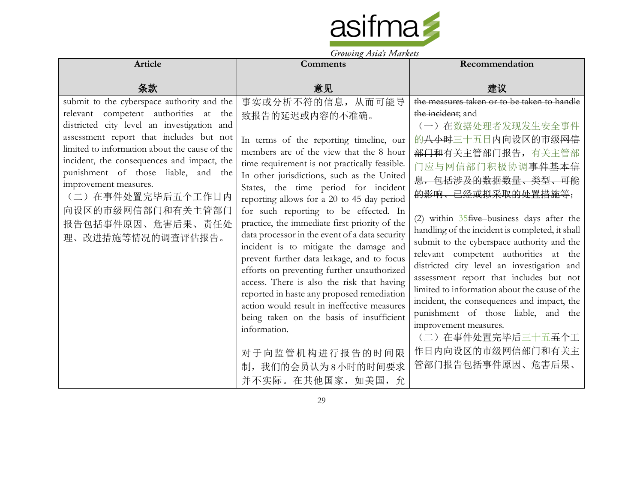

|                                                                                                                                                                                                                                                                                                                                                                                                                                     | $J_{\ell}$ owning themes form were                                                                                                                                                                                                                                                                                                                                                                                                                                                                                                                                                                                                                                                                                                                                                                                                                                     |                                                                                                                                                                                                                                                                                                                                                                                                                                                                                                                                                                                                                                                                                                                                            |
|-------------------------------------------------------------------------------------------------------------------------------------------------------------------------------------------------------------------------------------------------------------------------------------------------------------------------------------------------------------------------------------------------------------------------------------|------------------------------------------------------------------------------------------------------------------------------------------------------------------------------------------------------------------------------------------------------------------------------------------------------------------------------------------------------------------------------------------------------------------------------------------------------------------------------------------------------------------------------------------------------------------------------------------------------------------------------------------------------------------------------------------------------------------------------------------------------------------------------------------------------------------------------------------------------------------------|--------------------------------------------------------------------------------------------------------------------------------------------------------------------------------------------------------------------------------------------------------------------------------------------------------------------------------------------------------------------------------------------------------------------------------------------------------------------------------------------------------------------------------------------------------------------------------------------------------------------------------------------------------------------------------------------------------------------------------------------|
| Article                                                                                                                                                                                                                                                                                                                                                                                                                             | <b>Comments</b>                                                                                                                                                                                                                                                                                                                                                                                                                                                                                                                                                                                                                                                                                                                                                                                                                                                        | Recommendation                                                                                                                                                                                                                                                                                                                                                                                                                                                                                                                                                                                                                                                                                                                             |
| 条款                                                                                                                                                                                                                                                                                                                                                                                                                                  | 意见                                                                                                                                                                                                                                                                                                                                                                                                                                                                                                                                                                                                                                                                                                                                                                                                                                                                     | 建议                                                                                                                                                                                                                                                                                                                                                                                                                                                                                                                                                                                                                                                                                                                                         |
| submit to the cyberspace authority and the<br>relevant competent authorities at<br>the<br>districted city level an investigation and<br>assessment report that includes but not<br>limited to information about the cause of the<br>incident, the consequences and impact, the<br>punishment of those liable, and the<br>improvement measures.<br>(二) 在事件处置完毕后五个工作日内<br>向设区的市级网信部门和有关主管部门<br>报告包括事件原因、危害后果、责任处<br>理、改进措施等情况的调查评估报告。 | 事实或分析不符的信息, 从而可能导<br>致报告的延迟或内容的不准确。<br>In terms of the reporting timeline, our<br>members are of the view that the 8 hour<br>time requirement is not practically feasible.<br>In other jurisdictions, such as the United<br>States, the time period for incident<br>reporting allows for a 20 to 45 day period<br>for such reporting to be effected. In<br>practice, the immediate first priority of the<br>data processor in the event of a data security<br>incident is to mitigate the damage and<br>prevent further data leakage, and to focus<br>efforts on preventing further unauthorized<br>access. There is also the risk that having<br>reported in haste any proposed remediation<br>action would result in ineffective measures<br>being taken on the basis of insufficient<br>information.<br>对于向监管机构进行报告的时间限<br>制, 我们的会员认为8小时的时间要求<br>并不实际。在其他国家, 如美国, 允 | the measures taken or to be taken to handle<br>the incident; and<br>(一) 在数据处理者发现发生安全事件<br>的 <del>八小时</del> 三十五日内向设区的市级网信<br>部门和有关主管部门报告, 有关主管部<br>门应与网信部门积极协调 <del>事件基本信</del><br>息,包括涉及的数据数量、类型、可能<br>的影响、已经或拟采取的处置措施等;<br>(2) within $35$ five business days after the<br>handling of the incident is completed, it shall<br>submit to the cyberspace authority and the<br>relevant competent authorities at the<br>districted city level an investigation and<br>assessment report that includes but not<br>limited to information about the cause of the<br>incident, the consequences and impact, the<br>punishment of those liable, and the<br>improvement measures.<br>(二) 在事件处置完毕后三十五五个工<br>作日内向设区的市级网信部门和有关主<br>管部门报告包括事件原因、危害后果、 |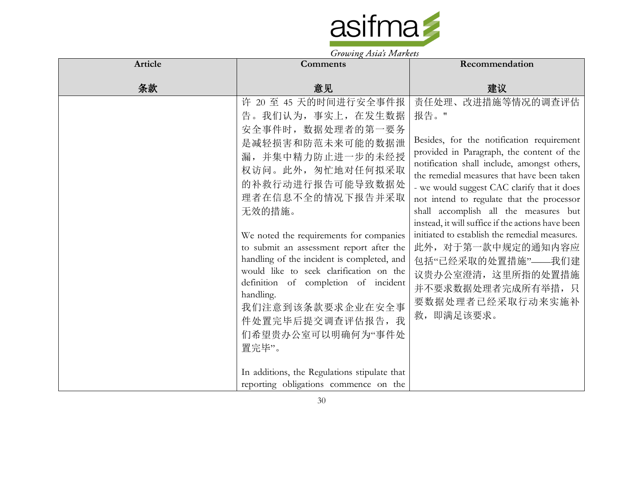

| Article | Comments                                                                                                                                                                                                                                                                                                                                                                                                                                                                                                                                                                             | Recommendation                                                                                                                                                                                                                                                                                                                                                                                                                                                                                                                                                                        |
|---------|--------------------------------------------------------------------------------------------------------------------------------------------------------------------------------------------------------------------------------------------------------------------------------------------------------------------------------------------------------------------------------------------------------------------------------------------------------------------------------------------------------------------------------------------------------------------------------------|---------------------------------------------------------------------------------------------------------------------------------------------------------------------------------------------------------------------------------------------------------------------------------------------------------------------------------------------------------------------------------------------------------------------------------------------------------------------------------------------------------------------------------------------------------------------------------------|
| 条款      | 意见                                                                                                                                                                                                                                                                                                                                                                                                                                                                                                                                                                                   | 建议                                                                                                                                                                                                                                                                                                                                                                                                                                                                                                                                                                                    |
|         | 许 20 至 45 天的时间进行安全事件报<br>告。我们认为, 事实上, 在发生数据<br>安全事件时, 数据处理者的第一要务<br>是减轻损害和防范未来可能的数据泄<br>漏,并集中精力防止进一步的未经授<br>权访问。此外, 匆忙地对任何拟采取<br>的补救行动进行报告可能导致数据处<br>理者在信息不全的情况下报告并采取<br>无效的措施。<br>We noted the requirements for companies<br>to submit an assessment report after the<br>handling of the incident is completed, and<br>would like to seek clarification on the<br>definition of completion of incident<br>handling.<br>我们注意到该条款要求企业在安全事<br>件处置完毕后提交调查评估报告, 我<br>们希望贵办公室可以明确何为"事件处<br>置完毕"。<br>In additions, the Regulations stipulate that<br>reporting obligations commence on the | 责任处理、改进措施等情况的调查评估<br>报告。"<br>Besides, for the notification requirement<br>provided in Paragraph, the content of the<br>notification shall include, amongst others,<br>the remedial measures that have been taken<br>- we would suggest CAC clarify that it does<br>not intend to regulate that the processor<br>shall accomplish all the measures but<br>instead, it will suffice if the actions have been<br>initiated to establish the remedial measures.<br>此外, 对于第一款中规定的通知内容应<br>包括"已经采取的处置措施"——我们建<br>议贵办公室澄清, 这里所指的处置措施<br>并不要求数据处理者完成所有举措, 只<br>要数据处理者已经采取行动来实施补<br>救, 即满足该要求。 |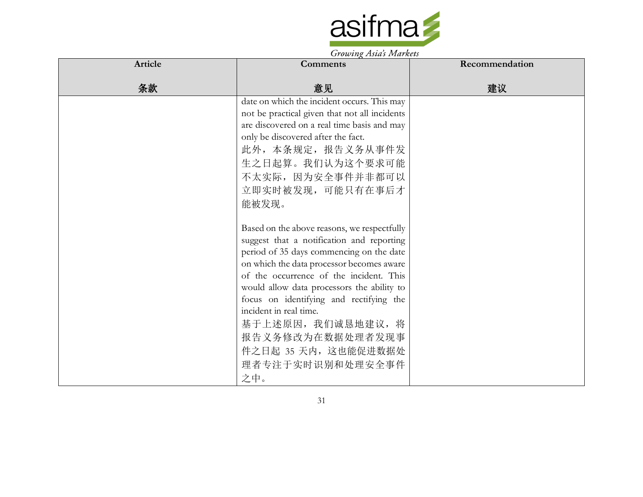

| Article | Comments                                                                                                                                                                                                                                                                                                                                                                                                                                     | Recommendation |
|---------|----------------------------------------------------------------------------------------------------------------------------------------------------------------------------------------------------------------------------------------------------------------------------------------------------------------------------------------------------------------------------------------------------------------------------------------------|----------------|
| 条款      | 意见                                                                                                                                                                                                                                                                                                                                                                                                                                           | 建议             |
|         | date on which the incident occurs. This may<br>not be practical given that not all incidents<br>are discovered on a real time basis and may<br>only be discovered after the fact.<br>此外,本条规定,报告义务从事件发<br>生之日起算。我们认为这个要求可能<br>不太实际, 因为安全事件并非都可以<br>立即实时被发现,可能只有在事后才<br>能被发现。                                                                                                                                                                  |                |
|         | Based on the above reasons, we respectfully<br>suggest that a notification and reporting<br>period of 35 days commencing on the date<br>on which the data processor becomes aware<br>of the occurrence of the incident. This<br>would allow data processors the ability to<br>focus on identifying and rectifying the<br>incident in real time.<br>基于上述原因, 我们诚恳地建议, 将<br>报告义务修改为在数据处理者发现事<br>件之日起 35 天内, 这也能促进数据处<br>理者专注于实时识别和处理安全事件<br>之中。 |                |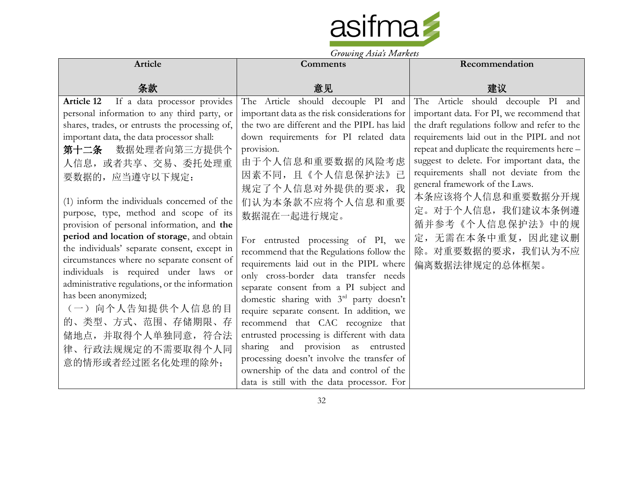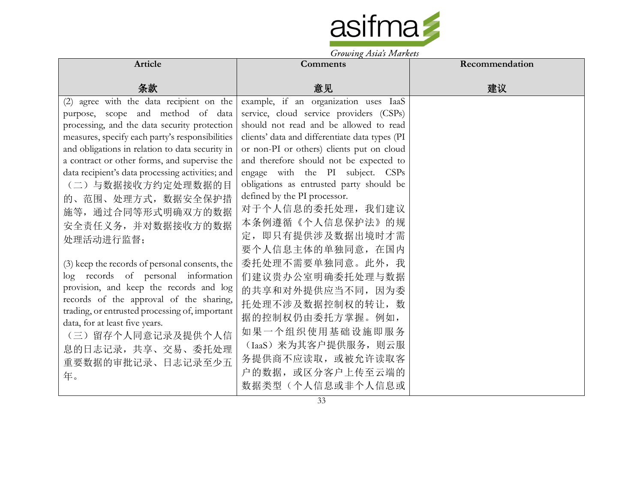

|                                                                                                                                                                                                                                                                                                                                                                                                                                            | Growing Asias Indiana.                                                                                                                                                                                                                                                                                                                                                                                                                                                  |                |
|--------------------------------------------------------------------------------------------------------------------------------------------------------------------------------------------------------------------------------------------------------------------------------------------------------------------------------------------------------------------------------------------------------------------------------------------|-------------------------------------------------------------------------------------------------------------------------------------------------------------------------------------------------------------------------------------------------------------------------------------------------------------------------------------------------------------------------------------------------------------------------------------------------------------------------|----------------|
| Article                                                                                                                                                                                                                                                                                                                                                                                                                                    | Comments                                                                                                                                                                                                                                                                                                                                                                                                                                                                | Recommendation |
| 条款                                                                                                                                                                                                                                                                                                                                                                                                                                         | 意见                                                                                                                                                                                                                                                                                                                                                                                                                                                                      | 建议             |
| (2) agree with the data recipient on the<br>purpose, scope and method of data<br>processing, and the data security protection<br>measures, specify each party's responsibilities<br>and obligations in relation to data security in<br>a contract or other forms, and supervise the<br>data recipient's data processing activities; and<br>(二)与数据接收方约定处理数据的目<br>的、范围、处理方式, 数据安全保护措<br>施等,通过合同等形式明确双方的数据<br>安全责任义务, 并对数据接收方的数据<br>处理活动进行监督; | example, if an organization uses IaaS<br>service, cloud service providers (CSPs)<br>should not read and be allowed to read<br>clients' data and differentiate data types (PI<br>or non-PI or others) clients put on cloud<br>and therefore should not be expected to<br>engage with the PI subject. CSPs<br>obligations as entrusted party should be<br>defined by the PI processor.<br>对于个人信息的委托处理, 我们建议<br>本条例遵循《个人信息保护法》的规<br>定, 即只有提供涉及数据出境时才需<br>要个人信息主体的单独同意, 在国内 |                |
| (3) keep the records of personal consents, the<br>log records of personal information<br>provision, and keep the records and log<br>records of the approval of the sharing,<br>trading, or entrusted processing of, important<br>data, for at least five years.<br>(三) 留存个人同意记录及提供个人信<br>息的日志记录, 共享、交易、委托处理<br>重要数据的审批记录、日志记录至少五<br>年。                                                                                                     | 委托处理不需要单独同意。此外,我<br>们建议贵办公室明确委托处理与数据<br>的共享和对外提供应当不同, 因为委<br>托处理不涉及数据控制权的转让, 数<br>据的控制权仍由委托方掌握。例如,<br>如果一个组织使用基础设施即服务<br>(IaaS) 来为其客户提供服务, 则云服<br>务提供商不应读取, 或被允许读取客<br>户的数据, 或区分客户上传至云端的<br>数据类型(个人信息或非个人信息或                                                                                                                                                                                                                                                            |                |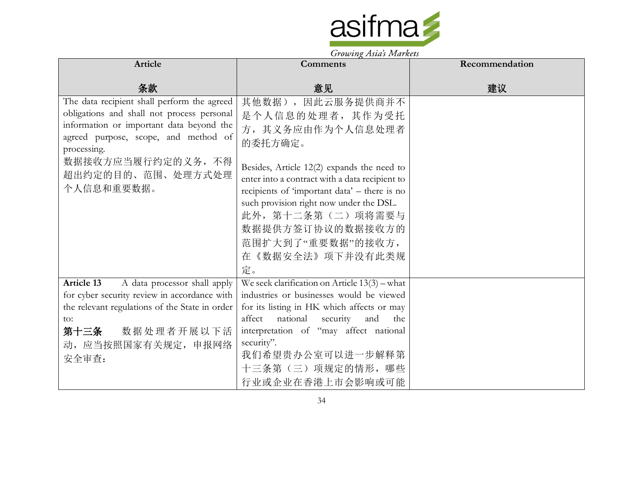

|                                                | $3700$ with $\chi$ 2.13 lbs 2.1.1 with $\sigma$ |                |
|------------------------------------------------|-------------------------------------------------|----------------|
| <b>Article</b>                                 | Comments                                        | Recommendation |
|                                                |                                                 |                |
| 条款                                             | 意见                                              | 建议             |
| The data recipient shall perform the agreed    | 其他数据),因此云服务提供商并不                                |                |
| obligations and shall not process personal     | 是个人信息的处理者, 其作为受托                                |                |
| information or important data beyond the       | 方, 其义务应由作为个人信息处理者                               |                |
| agreed purpose, scope, and method of           | 的委托方确定。                                         |                |
| processing.                                    |                                                 |                |
| 数据接收方应当履行约定的义务, 不得                             | Besides, Article 12(2) expands the need to      |                |
| 超出约定的目的、范围、处理方式处理                              | enter into a contract with a data recipient to  |                |
| 个人信息和重要数据。                                     | recipients of 'important data' - there is no    |                |
|                                                | such provision right now under the DSL.         |                |
|                                                | 此外, 第十二条第(二) 项将需要与                              |                |
|                                                | 数据提供方签订协议的数据接收方的                                |                |
|                                                | 范围扩大到了"重要数据"的接收方,                               |                |
|                                                | 在《数据安全法》项下并没有此类规                                |                |
|                                                | 定。                                              |                |
| Article 13<br>A data processor shall apply     | We seek clarification on Article $13(3)$ – what |                |
| for cyber security review in accordance with   | industries or businesses would be viewed        |                |
| the relevant regulations of the State in order | for its listing in HK which affects or may      |                |
| to:                                            | affect national security<br>and<br>the          |                |
| 数据处理者开展以下活<br>第十三条                             | interpretation of "may affect national          |                |
| 动, 应当按照国家有关规定, 申报网络                            | security".                                      |                |
| 安全审查:                                          | 我们希望贵办公室可以进一步解释第                                |                |
|                                                | 十三条第(三)项规定的情形,哪些                                |                |
|                                                | 行业或企业在香港上市会影响或可能                                |                |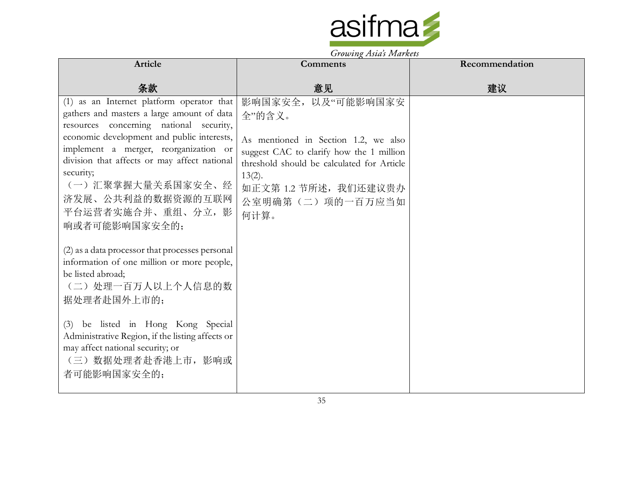

| Article                                                                                                                                                                                                                                                                                                                                                                 | <b>Comments</b>                                                                                                                                                                                                                  | Recommendation |
|-------------------------------------------------------------------------------------------------------------------------------------------------------------------------------------------------------------------------------------------------------------------------------------------------------------------------------------------------------------------------|----------------------------------------------------------------------------------------------------------------------------------------------------------------------------------------------------------------------------------|----------------|
| 条款                                                                                                                                                                                                                                                                                                                                                                      | 意见                                                                                                                                                                                                                               | 建议             |
| (1) as an Internet platform operator that<br>gathers and masters a large amount of data<br>resources concerning national security,<br>economic development and public interests,<br>implement a merger, reorganization or<br>division that affects or may affect national<br>security;<br>(一) 汇聚掌握大量关系国家安全、经<br>济发展、公共利益的数据资源的互联网<br>平台运营者实施合并、重组、分立,影<br>响或者可能影响国家安全的; | 影响国家安全, 以及"可能影响国家安<br>全"的含义。<br>As mentioned in Section 1.2, we also<br>suggest CAC to clarify how the 1 million<br>threshold should be calculated for Article<br>$13(2)$ .<br>如正文第 1.2 节所述, 我们还建议贵办<br>公室明确第(二)项的一百万应当如<br>何计算。 |                |
| (2) as a data processor that processes personal<br>information of one million or more people,<br>be listed abroad;<br>(二) 处理一百万人以上个人信息的数<br>据处理者赴国外上市的;                                                                                                                                                                                                                 |                                                                                                                                                                                                                                  |                |
| (3) be listed in Hong Kong Special<br>Administrative Region, if the listing affects or<br>may affect national security; or<br>(三) 数据处理者赴香港上市, 影响或<br>者可能影响国家安全的;                                                                                                                                                                                                        |                                                                                                                                                                                                                                  |                |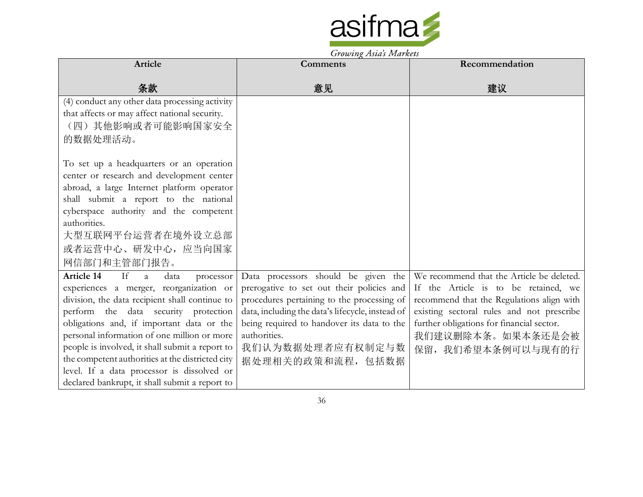

Growing Asia's Markets

| Article                                           | Comments                                         | Recommendation                            |
|---------------------------------------------------|--------------------------------------------------|-------------------------------------------|
|                                                   |                                                  |                                           |
| 条款                                                | 意见                                               | 建议                                        |
| (4) conduct any other data processing activity    |                                                  |                                           |
| that affects or may affect national security.     |                                                  |                                           |
| (四)其他影响或者可能影响国家安全                                 |                                                  |                                           |
| 的数据处理活动。                                          |                                                  |                                           |
|                                                   |                                                  |                                           |
| To set up a headquarters or an operation          |                                                  |                                           |
| center or research and development center         |                                                  |                                           |
| abroad, a large Internet platform operator        |                                                  |                                           |
| shall submit a report to the national             |                                                  |                                           |
| cyberspace authority and the competent            |                                                  |                                           |
| authorities.                                      |                                                  |                                           |
| 大型互联网平台运营者在境外设立总部                                 |                                                  |                                           |
| 或者运营中心、研发中心, 应当向国家                                |                                                  |                                           |
| 网信部门和主管部门报告。                                      |                                                  |                                           |
| <b>Article 14</b><br>If<br>a<br>data<br>processor | Data processors should be given the              | We recommend that the Article be deleted. |
| experiences a merger, reorganization or           | prerogative to set out their policies and        | If the Article is to be retained, we      |
| division, the data recipient shall continue to    | procedures pertaining to the processing of       | recommend that the Regulations align with |
| perform the data security protection              | data, including the data's lifecycle, instead of | existing sectoral rules and not prescribe |
| obligations and, if important data or the         | being required to handover its data to the       | further obligations for financial sector. |
| personal information of one million or more       | authorities.                                     | 我们建议删除本条。如果本条还是会被                         |
| people is involved, it shall submit a report to   | 我们认为数据处理者应有权制定与数                                 | 保留, 我们希望本条例可以与现有的行                        |
| the competent authorities at the districted city  | 据处理相关的政策和流程,包括数据                                 |                                           |
| level. If a data processor is dissolved or        |                                                  |                                           |
| declared bankrupt, it shall submit a report to    |                                                  |                                           |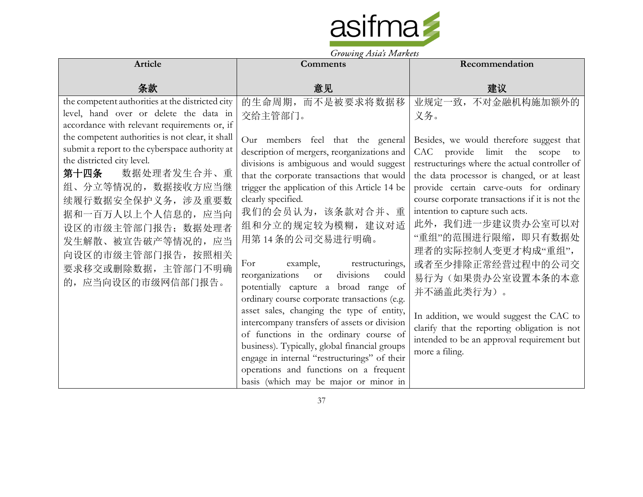

| Article                                          | $J_{\ell}$ owning themes form were<br><b>Comments</b>                                   | Recommendation                                 |
|--------------------------------------------------|-----------------------------------------------------------------------------------------|------------------------------------------------|
|                                                  |                                                                                         |                                                |
| 条款                                               | 意见                                                                                      | 建议                                             |
| the competent authorities at the districted city | 的生命周期, 而不是被要求将数据移                                                                       | 业规定一致,不对金融机构施加额外的                              |
| level, hand over or delete the data in           | 交给主管部门。                                                                                 | 义务。                                            |
| accordance with relevant requirements or, if     |                                                                                         |                                                |
| the competent authorities is not clear, it shall | Our members feel that the general                                                       | Besides, we would therefore suggest that       |
| submit a report to the cyberspace authority at   | description of mergers, reorganizations and                                             | CAC provide limit the scope to                 |
| the districted city level.                       | divisions is ambiguous and would suggest                                                | restructurings where the actual controller of  |
| 第十四条<br>数据处理者发生合并、重                              | that the corporate transactions that would                                              | the data processor is changed, or at least     |
| 组、分立等情况的, 数据接收方应当继                               | trigger the application of this Article 14 be                                           | provide certain carve-outs for ordinary        |
| 续履行数据安全保护义务, 涉及重要数                               | clearly specified.                                                                      | course corporate transactions if it is not the |
| 据和一百万人以上个人信息的, 应当向                               | 我们的会员认为,该条款对合并、重                                                                        | intention to capture such acts.                |
| 设区的市级主管部门报告; 数据处理者                               | 组和分立的规定较为模糊, 建议对适                                                                       | 此外,我们进一步建议贵办公室可以对                              |
| 发生解散、被宣告破产等情况的, 应当                               | 用第14条的公司交易进行明确。                                                                         | "重组"的范围进行限缩, 即只有数据处                            |
| 向设区的市级主管部门报告, 按照相关                               |                                                                                         | 理者的实际控制人变更才构成"重组",                             |
| 要求移交或删除数据, 主管部门不明确                               | For<br>example,<br>restructurings,                                                      | 或者至少排除正常经营过程中的公司交                              |
| 的,应当向设区的市级网信部门报告。                                | reorganizations or<br>divisions<br>could                                                | 易行为(如果贵办公室设置本条的本意                              |
|                                                  | potentially capture a broad range of                                                    | 并不涵盖此类行为)。                                     |
|                                                  | ordinary course corporate transactions (e.g.                                            |                                                |
|                                                  | asset sales, changing the type of entity,                                               | In addition, we would suggest the CAC to       |
|                                                  | intercompany transfers of assets or division                                            | clarify that the reporting obligation is not   |
|                                                  | of functions in the ordinary course of<br>business). Typically, global financial groups | intended to be an approval requirement but     |
|                                                  | engage in internal "restructurings" of their                                            | more a filing.                                 |
|                                                  | operations and functions on a frequent                                                  |                                                |
|                                                  | basis (which may be major or minor in                                                   |                                                |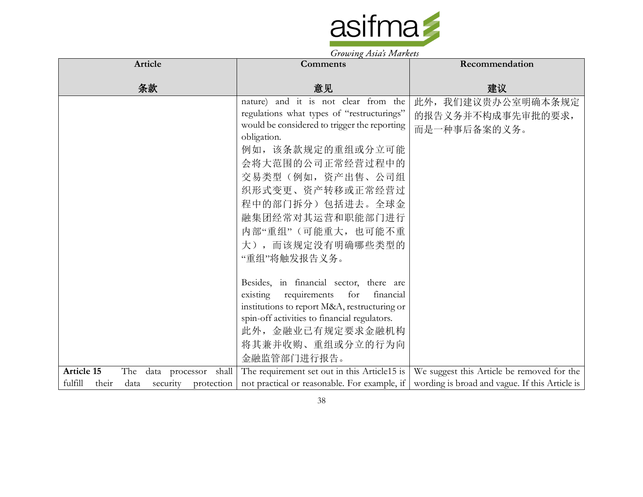

| Article                                       | <b>Comments</b>                                                                                        | Recommendation                                                                            |
|-----------------------------------------------|--------------------------------------------------------------------------------------------------------|-------------------------------------------------------------------------------------------|
|                                               |                                                                                                        |                                                                                           |
| 条款                                            | 意见                                                                                                     | 建议                                                                                        |
|                                               | nature) and it is not clear from the                                                                   | 此外, 我们建议贵办公室明确本条规定                                                                        |
|                                               | regulations what types of "restructurings"                                                             | 的报告义务并不构成事先审批的要求,                                                                         |
|                                               | would be considered to trigger the reporting                                                           | 而是一种事后备案的义务。                                                                              |
|                                               | obligation.                                                                                            |                                                                                           |
|                                               | 例如,该条款规定的重组或分立可能                                                                                       |                                                                                           |
|                                               | 会将大范围的公司正常经营过程中的                                                                                       |                                                                                           |
|                                               | 交易类型(例如,资产出售、公司组                                                                                       |                                                                                           |
|                                               | 织形式变更、资产转移或正常经营过                                                                                       |                                                                                           |
|                                               | 程中的部门拆分)包括进去。全球金                                                                                       |                                                                                           |
|                                               | 融集团经常对其运营和职能部门进行                                                                                       |                                                                                           |
|                                               | 内部"重组"(可能重大,也可能不重                                                                                      |                                                                                           |
|                                               |                                                                                                        |                                                                                           |
|                                               | 大), 而该规定没有明确哪些类型的                                                                                      |                                                                                           |
|                                               | "重组"将触发报告义务。                                                                                           |                                                                                           |
|                                               |                                                                                                        |                                                                                           |
|                                               | Besides, in financial sector, there are                                                                |                                                                                           |
|                                               | existing requirements<br>for<br>financial                                                              |                                                                                           |
|                                               | institutions to report M&A, restructuring or                                                           |                                                                                           |
|                                               | spin-off activities to financial regulators.                                                           |                                                                                           |
|                                               | 此外,金融业已有规定要求金融机构                                                                                       |                                                                                           |
|                                               | 将其兼并收购、重组或分立的行为向                                                                                       |                                                                                           |
|                                               | 金融监管部门进行报告。                                                                                            |                                                                                           |
| <b>Article 15</b><br>The data processor shall |                                                                                                        | The requirement set out in this Article15 is   We suggest this Article be removed for the |
| fulfill<br>their<br>security<br>data          | protection not practical or reasonable. For example, if wording is broad and vague. If this Article is |                                                                                           |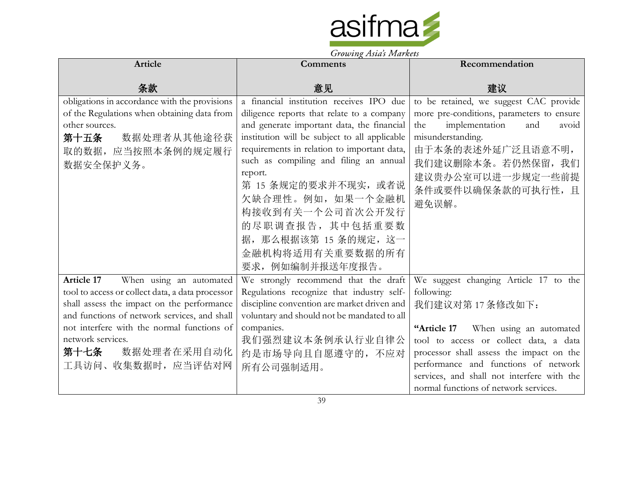

|                                                  | $\sigma$ owing the strainers                  |                                            |
|--------------------------------------------------|-----------------------------------------------|--------------------------------------------|
| Article                                          | <b>Comments</b>                               | Recommendation                             |
| 条款                                               | 意见                                            | 建议                                         |
| obligations in accordance with the provisions    | a financial institution receives IPO due      | to be retained, we suggest CAC provide     |
| of the Regulations when obtaining data from      | diligence reports that relate to a company    | more pre-conditions, parameters to ensure  |
| other sources.                                   | and generate important data, the financial    | implementation<br>the<br>and<br>avoid      |
| 第十五条<br>数据处理者从其他途径获                              | institution will be subject to all applicable | misunderstanding.                          |
| 取的数据, 应当按照本条例的规定履行                               | requirements in relation to important data,   | 由于本条的表述外延广泛且语意不明,                          |
| 数据安全保护义务。                                        | such as compiling and filing an annual        | 我们建议删除本条。若仍然保留, 我们                         |
|                                                  | report.                                       | 建议贵办公室可以进一步规定一些前提                          |
|                                                  | 第 15 条规定的要求并不现实, 或者说                          | 条件或要件以确保条款的可执行性,且                          |
|                                                  | 欠缺合理性。例如, 如果一个金融机                             | 避免误解。                                      |
|                                                  | 构接收到有关一个公司首次公开发行                              |                                            |
|                                                  | 的尽职调查报告,其中包括重要数                               |                                            |
|                                                  | 据, 那么根据该第 15 条的规定, 这一                         |                                            |
|                                                  | 金融机构将适用有关重要数据的所有                              |                                            |
|                                                  | 要求, 例如编制并报送年度报告。                              |                                            |
| When using an automated<br><b>Article 17</b>     | We strongly recommend that the draft          | We suggest changing Article 17 to the      |
| tool to access or collect data, a data processor | Regulations recognize that industry self-     | following:                                 |
| shall assess the impact on the performance       | discipline convention are market driven and   | 我们建议对第17条修改如下:                             |
| and functions of network services, and shall     | voluntary and should not be mandated to all   |                                            |
| not interfere with the normal functions of       | companies.                                    | When using an automated<br>"Article 17     |
| network services.                                | 我们强烈建议本条例承认行业自律公                              | tool to access or collect data, a data     |
| 第十七条 数据处理者在采用自动化                                 | 约是市场导向且自愿遵守的,不应对                              | processor shall assess the impact on the   |
| 工具访问、收集数据时, 应当评估对网                               | 所有公司强制适用。                                     | performance and functions of network       |
|                                                  |                                               | services, and shall not interfere with the |
|                                                  |                                               | normal functions of network services.      |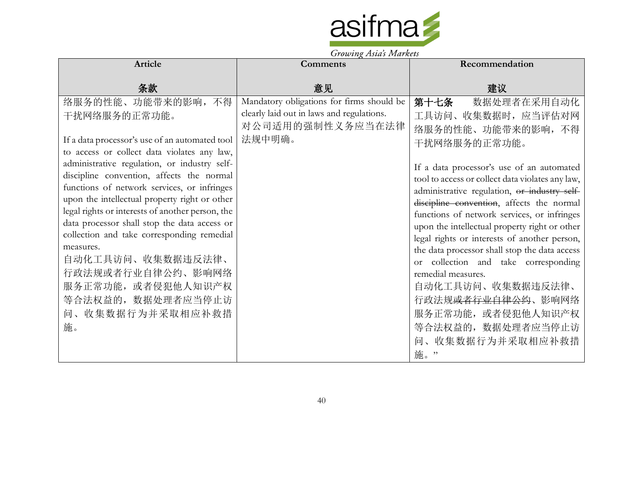

| Article                                                                                          | <b>Comments</b>                           | Recommendation                                                                                |
|--------------------------------------------------------------------------------------------------|-------------------------------------------|-----------------------------------------------------------------------------------------------|
| 条款                                                                                               | 意见                                        | 建议                                                                                            |
| 络服务的性能、功能带来的影响, 不得                                                                               | Mandatory obligations for firms should be | 第十七条<br>数据处理者在采用自动化                                                                           |
| 干扰网络服务的正常功能。                                                                                     | clearly laid out in laws and regulations. | 工具访问、收集数据时, 应当评估对网                                                                            |
|                                                                                                  | 对公司适用的强制性义务应当在法律                          | 络服务的性能、功能带来的影响,不得                                                                             |
| If a data processor's use of an automated tool<br>to access or collect data violates any law,    | 法规中明确。                                    | 干扰网络服务的正常功能。                                                                                  |
| administrative regulation, or industry self-                                                     |                                           |                                                                                               |
| discipline convention, affects the normal                                                        |                                           | If a data processor's use of an automated<br>tool to access or collect data violates any law, |
| functions of network services, or infringes                                                      |                                           | administrative regulation, or industry self-                                                  |
| upon the intellectual property right or other                                                    |                                           | discipline convention, affects the normal                                                     |
| legal rights or interests of another person, the<br>data processor shall stop the data access or |                                           | functions of network services, or infringes                                                   |
| collection and take corresponding remedial                                                       |                                           | upon the intellectual property right or other                                                 |
| measures.                                                                                        |                                           | legal rights or interests of another person,<br>the data processor shall stop the data access |
| 自动化工具访问、收集数据违反法律、                                                                                |                                           | or collection and take corresponding                                                          |
| 行政法规或者行业自律公约、影响网络                                                                                |                                           | remedial measures.                                                                            |
| 服务正常功能, 或者侵犯他人知识产权                                                                               |                                           | 自动化工具访问、收集数据违反法律、                                                                             |
| 等合法权益的, 数据处理者应当停止访                                                                               |                                           | 行政法规 <del>或者行业自律公约</del> 、影响网络                                                                |
| 问、收集数据行为并采取相应补救措                                                                                 |                                           | 服务正常功能, 或者侵犯他人知识产权                                                                            |
| 施。                                                                                               |                                           | 等合法权益的, 数据处理者应当停止访                                                                            |
|                                                                                                  |                                           | 问、收集数据行为并采取相应补救措                                                                              |
|                                                                                                  |                                           | 施。"                                                                                           |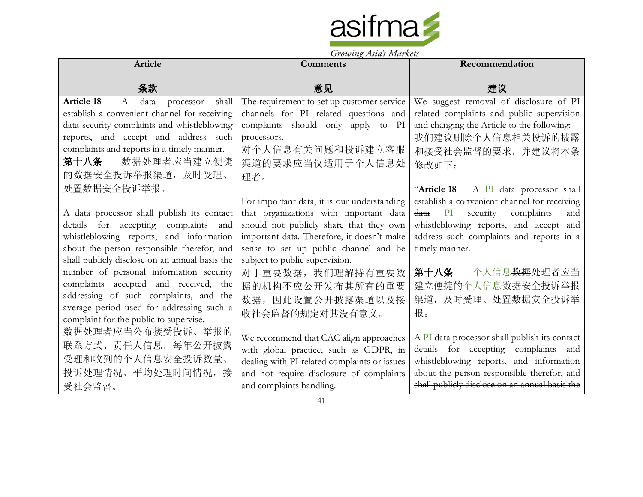

|                                                      | $\sigma$ owing the strainers                 |                                                          |
|------------------------------------------------------|----------------------------------------------|----------------------------------------------------------|
| Article                                              | <b>Comments</b>                              | Recommendation                                           |
|                                                      |                                              |                                                          |
| 条款                                                   | 意见                                           | 建议                                                       |
| <b>Article 18</b><br>shall<br>A<br>data<br>processor | The requirement to set up customer service   | We suggest removal of disclosure of PI                   |
| establish a convenient channel for receiving         | channels for PI related questions and        | related complaints and public supervision                |
| data security complaints and whistleblowing          | complaints should only apply to PI           | and changing the Article to the following:               |
| reports, and accept and address such                 | processors.                                  | 我们建议删除个人信息相关投诉的披露                                        |
| complaints and reports in a timely manner.           | 对个人信息有关问题和投诉建立客服                             | 和接受社会监督的要求,并建议将本条                                        |
| 数据处理者应当建立便捷<br>第十八条                                  | 渠道的要求应当仅适用于个人信息处                             | 修改如下:                                                    |
| 的数据安全投诉举报渠道,及时受理、                                    | 理者。                                          |                                                          |
| 处置数据安全投诉举报。                                          |                                              | "Article 18<br>A PI <del>data p</del> rocessor shall     |
|                                                      | For important data, it is our understanding  | establish a convenient channel for receiving             |
| A data processor shall publish its contact           | that organizations with important data       | complaints<br><del>data</del><br>PI<br>security<br>and   |
| details for accepting complaints and                 | should not publicly share that they own      | whistleblowing reports, and accept and                   |
| whistleblowing reports, and information              | important data. Therefore, it doesn't make   | address such complaints and reports in a                 |
| about the person responsible therefor, and           | sense to set up public channel and be        | timely manner.                                           |
| shall publicly disclose on an annual basis the       | subject to public supervision.               |                                                          |
| number of personal information security              | 对于重要数据, 我们理解持有重要数                            | 个人信息 <del>数据</del> 处理者应当<br>第十八条                         |
| complaints accepted and received, the                | 据的机构不应公开发布其所有的重要                             | 建立便捷的个人信息数据安全投诉举报                                        |
| addressing of such complaints, and the               | 数据,因此设置公开披露渠道以及接                             | 渠道, 及时受理、处置数据安全投诉举                                       |
| average period used for addressing such a            | 收社会监督的规定对其没有意义。                              | 报。                                                       |
| complaint for the public to supervise.               |                                              |                                                          |
| 数据处理者应当公布接受投诉、举报的                                    | We recommend that CAC align approaches       | A PI <del>data</del> processor shall publish its contact |
| 联系方式、责任人信息, 每年公开披露                                   | with global practice, such as GDPR, in       | details for accepting complaints and                     |
| 受理和收到的个人信息安全投诉数量、                                    | dealing with PI related complaints or issues | whistleblowing reports, and information                  |
| 投诉处理情况、平均处理时间情况,接                                    | and not require disclosure of complaints     | about the person responsible therefor, and               |
| 受社会监督。                                               | and complaints handling.                     | shall publicly disclose on an annual basis the           |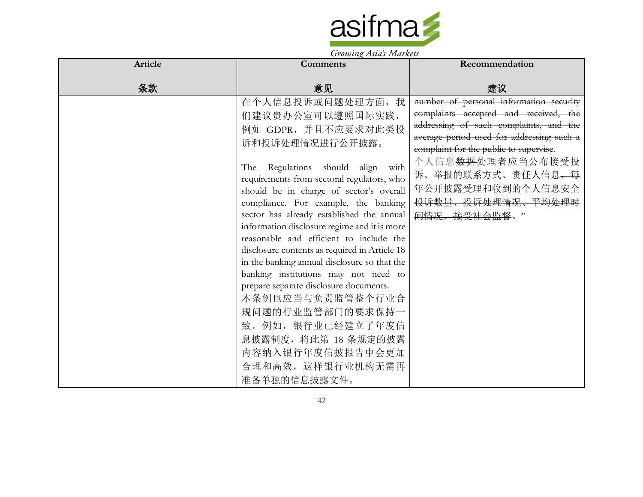

| <b>Comments</b>                                                                                                                                                                                                                                                                                                                                                                                                                                                                                                                                                                                                                                                                                                               | Recommendation                                                                                                                                                                                                                                                                                                                              |
|-------------------------------------------------------------------------------------------------------------------------------------------------------------------------------------------------------------------------------------------------------------------------------------------------------------------------------------------------------------------------------------------------------------------------------------------------------------------------------------------------------------------------------------------------------------------------------------------------------------------------------------------------------------------------------------------------------------------------------|---------------------------------------------------------------------------------------------------------------------------------------------------------------------------------------------------------------------------------------------------------------------------------------------------------------------------------------------|
| 意见                                                                                                                                                                                                                                                                                                                                                                                                                                                                                                                                                                                                                                                                                                                            | 建议                                                                                                                                                                                                                                                                                                                                          |
| 在个人信息投诉或问题处理方面, 我<br>们建议贵办公室可以遵照国际实践,<br>例如 GDPR, 并且不应要求对此类投<br>诉和投诉处理情况进行公开披露。<br>The Regulations should align with<br>requirements from sectoral regulators, who<br>should be in charge of sector's overall<br>compliance. For example, the banking<br>sector has already established the annual<br>information disclosure regime and it is more<br>reasonable and efficient to include the<br>disclosure contents as required in Article 18<br>in the banking annual disclosure so that the<br>banking institutions may not need to<br>prepare separate disclosure documents.<br>本条例也应当与负责监管整个行业合<br>规问题的行业监管部门的要求保持一<br>致。例如,银行业已经建立了年度信<br>息披露制度, 将此第 18 条规定的披露<br>内容纳入银行年度信披报告中会更加<br>合理和高效, 这样银行业机构无需再<br>准备单独的信息披露文件。 | number of personal information security<br>complaints accepted and received, the<br>addressing of such complaints, and the<br>average period used for addressing such a<br>complaint for the public to supervise.<br>个人信息数据处理者应当公布接受投<br>诉、举报的联系方式、责任人信息,每<br>年公开披露受理和收到的个人信息安全<br><del>投诉数量、投诉处理情况、平均处理时</del><br><del>间情况,接受社会监督</del> 。" |
|                                                                                                                                                                                                                                                                                                                                                                                                                                                                                                                                                                                                                                                                                                                               |                                                                                                                                                                                                                                                                                                                                             |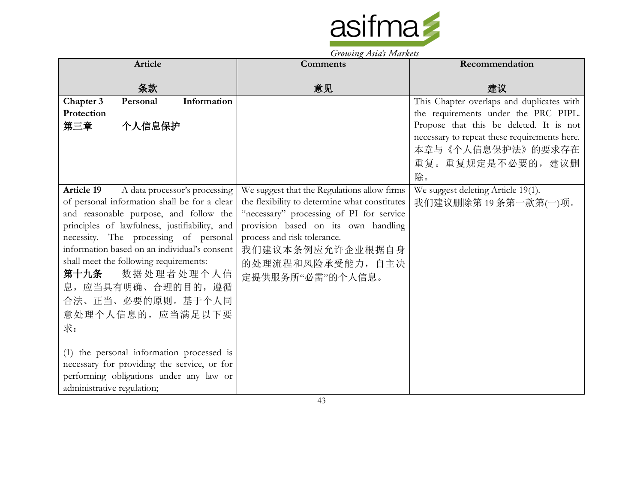

| Article                                                                                                                                                                                                                                                                                                                                                                                                                                                                                                                                            |                                             | <b>Comments</b>                                                                                                                                                                                                                                                            | Recommendation                                                                                                                                                                                                              |
|----------------------------------------------------------------------------------------------------------------------------------------------------------------------------------------------------------------------------------------------------------------------------------------------------------------------------------------------------------------------------------------------------------------------------------------------------------------------------------------------------------------------------------------------------|---------------------------------------------|----------------------------------------------------------------------------------------------------------------------------------------------------------------------------------------------------------------------------------------------------------------------------|-----------------------------------------------------------------------------------------------------------------------------------------------------------------------------------------------------------------------------|
| 条款                                                                                                                                                                                                                                                                                                                                                                                                                                                                                                                                                 |                                             | 意见                                                                                                                                                                                                                                                                         | 建议                                                                                                                                                                                                                          |
| Chapter 3<br>Personal<br>Protection<br>个人信息保护<br>第三章                                                                                                                                                                                                                                                                                                                                                                                                                                                                                               | Information                                 |                                                                                                                                                                                                                                                                            | This Chapter overlaps and duplicates with<br>the requirements under the PRC PIPL.<br>Propose that this be deleted. It is not<br>necessary to repeat these requirements here.<br>本章与《个人信息保护法》的要求存在<br>重复。重复规定是不必要的,建议删<br>除。 |
| <b>Article 19</b><br>of personal information shall be for a clear<br>and reasonable purpose, and follow the<br>principles of lawfulness, justifiability, and<br>necessity. The processing of personal<br>information based on an individual's consent<br>shall meet the following requirements:<br>第十九条<br>息, 应当具有明确、合理的目的, 遵循<br>合法、正当、必要的原则。基于个人同<br>意处理个人信息的,应当满足以下要<br>求:<br>(1) the personal information processed is<br>necessary for providing the service, or for<br>performing obligations under any law or<br>administrative regulation; | A data processor's processing<br>数据处理者处理个人信 | We suggest that the Regulations allow firms<br>the flexibility to determine what constitutes<br>"necessary" processing of PI for service<br>provision based on its own handling<br>process and risk tolerance.<br>我们建议本条例应允许企业根据自身<br>的处理流程和风险承受能力,自主决<br>定提供服务所"必需"的个人信息。 | We suggest deleting Article 19(1).<br>我们建议删除第19条第一款第(一)项。                                                                                                                                                                   |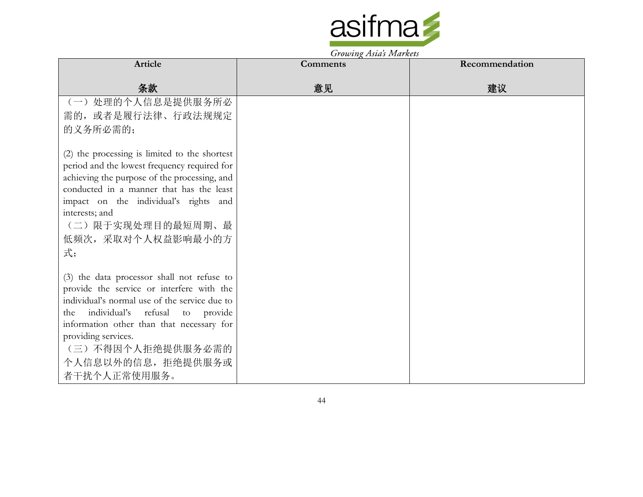

|                                               | $\sigma$ , $\sigma$ $\sigma$ $\mu$ $\chi$ $\tau$ $\sigma$ $\sigma$ $\sigma$ $\tau$ $\tau$ $\sigma$ $\tau$ $\sigma$ $\sigma$ |                |
|-----------------------------------------------|-----------------------------------------------------------------------------------------------------------------------------|----------------|
| Article                                       | <b>Comments</b>                                                                                                             | Recommendation |
|                                               |                                                                                                                             |                |
| 条款                                            | 意见                                                                                                                          | 建议             |
| (一) 处理的个人信息是提供服务所必                            |                                                                                                                             |                |
| 需的, 或者是履行法律、行政法规规定                            |                                                                                                                             |                |
| 的义务所必需的;                                      |                                                                                                                             |                |
| (2) the processing is limited to the shortest |                                                                                                                             |                |
| period and the lowest frequency required for  |                                                                                                                             |                |
| achieving the purpose of the processing, and  |                                                                                                                             |                |
| conducted in a manner that has the least      |                                                                                                                             |                |
| impact on the individual's rights and         |                                                                                                                             |                |
| interests; and                                |                                                                                                                             |                |
| (二)限于实现处理目的最短周期、最                             |                                                                                                                             |                |
| 低频次, 采取对个人权益影响最小的方                            |                                                                                                                             |                |
| 式;                                            |                                                                                                                             |                |
|                                               |                                                                                                                             |                |
| (3) the data processor shall not refuse to    |                                                                                                                             |                |
| provide the service or interfere with the     |                                                                                                                             |                |
| individual's normal use of the service due to |                                                                                                                             |                |
| the individual's refusal to provide           |                                                                                                                             |                |
| information other than that necessary for     |                                                                                                                             |                |
| providing services.                           |                                                                                                                             |                |
| (三) 不得因个人拒绝提供服务必需的                            |                                                                                                                             |                |
| 个人信息以外的信息, 拒绝提供服务或                            |                                                                                                                             |                |
| 者干扰个人正常使用服务。                                  |                                                                                                                             |                |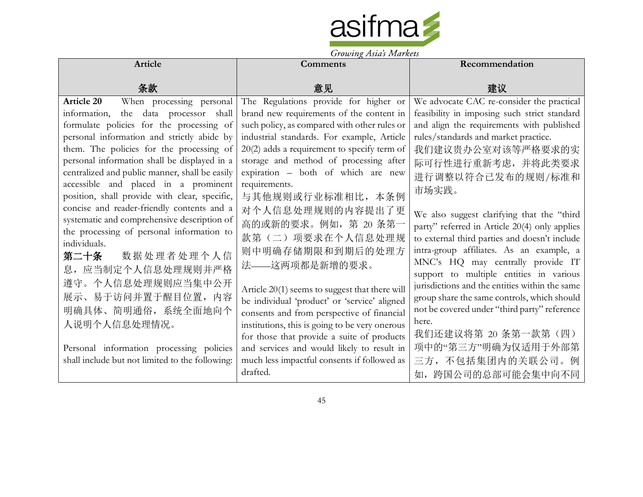

| Growing Asias Indikers                                                                                                                                                             |                                                                                                                                                |                                                                                                                                               |
|------------------------------------------------------------------------------------------------------------------------------------------------------------------------------------|------------------------------------------------------------------------------------------------------------------------------------------------|-----------------------------------------------------------------------------------------------------------------------------------------------|
| Article                                                                                                                                                                            | <b>Comments</b>                                                                                                                                | Recommendation                                                                                                                                |
| 条款                                                                                                                                                                                 | 意见                                                                                                                                             | 建议                                                                                                                                            |
| When processing personal<br><b>Article 20</b><br>information,<br>the data processor shall                                                                                          | The Regulations provide for higher or<br>brand new requirements of the content in                                                              | We advocate CAC re-consider the practical<br>feasibility in imposing such strict standard                                                     |
| formulate policies for the processing of                                                                                                                                           | such policy, as compared with other rules or                                                                                                   | and align the requirements with published                                                                                                     |
| personal information and strictly abide by                                                                                                                                         | industrial standards. For example, Article                                                                                                     | rules/standards and market practice.                                                                                                          |
| them. The policies for the processing of<br>personal information shall be displayed in a<br>centralized and public manner, shall be easily<br>accessible and placed in a prominent | $20(2)$ adds a requirement to specify term of<br>storage and method of processing after<br>expiration - both of which are new<br>requirements. | 我们建议贵办公室对该等严格要求的实<br>际可行性进行重新考虑, 并将此类要求<br>进行调整以符合已发布的规则/标准和                                                                                  |
| position, shall provide with clear, specific,<br>concise and reader-friendly contents and a<br>systematic and comprehensive description of                                         | 与其他规则或行业标准相比, 本条例<br>对个人信息处理规则的内容提出了更                                                                                                          | 市场实践。<br>We also suggest clarifying that the "third                                                                                           |
| the processing of personal information to<br>individuals.                                                                                                                          | 高的或新的要求。例如, 第 20 条第一<br>款第(二)项要求在个人信息处理规<br>则中明确存储期限和到期后的处理方                                                                                   | party" referred in Article 20(4) only applies<br>to external third parties and doesn't include<br>intra-group affiliates. As an example, a    |
| 数据处理者处理个人信<br>第二十条<br>息, 应当制定个人信息处理规则并严格                                                                                                                                           | 法——这两项都是新增的要求。                                                                                                                                 | MNC's HQ may centrally provide IT<br>support to multiple entities in various                                                                  |
| 遵守。个人信息处理规则应当集中公开<br>展示、易于访问并置于醒目位置, 内容<br>明确具体、简明通俗, 系统全面地向个                                                                                                                      | Article 20(1) seems to suggest that there will<br>be individual 'product' or 'service' aligned                                                 | jurisdictions and the entities within the same<br>group share the same controls, which should<br>not be covered under "third party" reference |
| 人说明个人信息处理情况。                                                                                                                                                                       | consents and from perspective of financial<br>institutions, this is going to be very onerous<br>for those that provide a suite of products     | here.<br>我们还建议将第 20 条第一款第(四)                                                                                                                  |
| Personal information processing policies<br>shall include but not limited to the following:                                                                                        | and services and would likely to result in<br>much less impactful consents if followed as<br>drafted.                                          | 项中的"第三方"明确为仅适用于外部第<br>三方,不包括集团内的关联公司。例<br>如, 跨国公司的总部可能会集中向不同                                                                                  |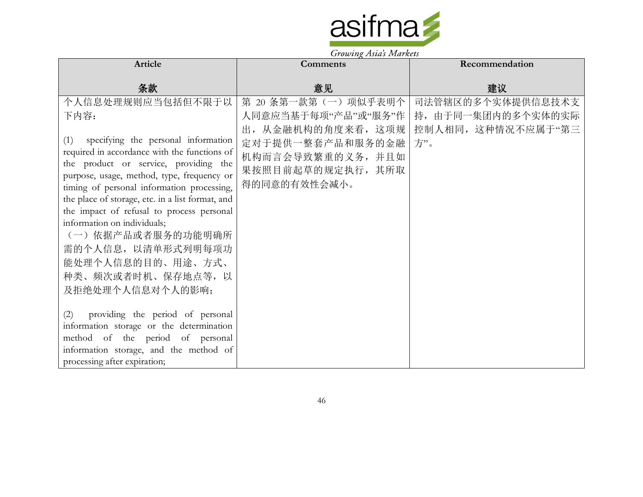

| Article                                                                                                                                                                                                                                                                                                                                                                                                                                                                                                                                                                                                                                                                                                   | Comments                                                                                                                                           | Recommendation                                                       |
|-----------------------------------------------------------------------------------------------------------------------------------------------------------------------------------------------------------------------------------------------------------------------------------------------------------------------------------------------------------------------------------------------------------------------------------------------------------------------------------------------------------------------------------------------------------------------------------------------------------------------------------------------------------------------------------------------------------|----------------------------------------------------------------------------------------------------------------------------------------------------|----------------------------------------------------------------------|
| 条款                                                                                                                                                                                                                                                                                                                                                                                                                                                                                                                                                                                                                                                                                                        | 意见                                                                                                                                                 | 建议                                                                   |
| 个人信息处理规则应当包括但不限于以<br>下内容:<br>(1) specifying the personal information<br>required in accordance with the functions of<br>the product or service, providing the<br>purpose, usage, method, type, frequency or<br>timing of personal information processing,<br>the place of storage, etc. in a list format, and<br>the impact of refusal to process personal<br>information on individuals;<br>(一) 依据产品或者服务的功能明确所<br>需的个人信息, 以清单形式列明每项功<br>能处理个人信息的目的、用途、方式、<br>种类、频次或者时机、保存地点等, 以<br>及拒绝处理个人信息对个人的影响;<br>providing the period of personal<br>(2)<br>information storage or the determination<br>method of the period of personal<br>information storage, and the method of<br>processing after expiration; | 第 20 条第一款第 (一) 项似乎表明个  <br>人同意应当基于每项"产品"或"服务"作<br>出, 从金融机构的角度来看, 这项规 <br>定对于提供一整套产品和服务的金融<br>机构而言会导致繁重的义务,并且如<br>果按照目前起草的规定执行, 其所取<br>得的同意的有效性会减小。 | 司法管辖区的多个实体提供信息技术支<br>持, 由于同一集团内的多个实体的实际<br>控制人相同, 这种情况不应属于"第三<br>方"。 |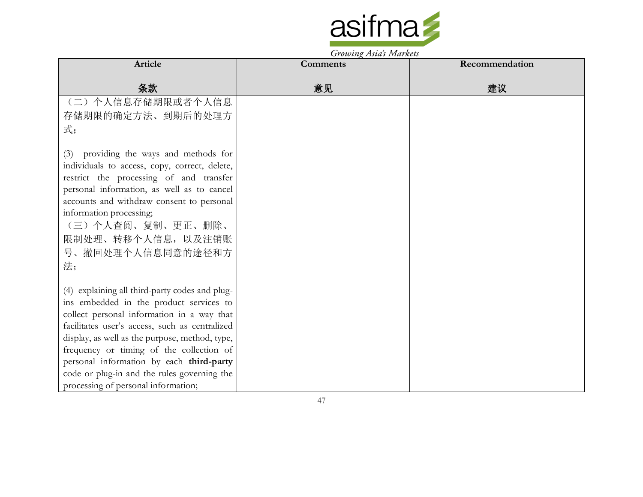

|                                                                                      | $\sigma$ owing the strainers |                |
|--------------------------------------------------------------------------------------|------------------------------|----------------|
| Article                                                                              | Comments                     | Recommendation |
|                                                                                      |                              |                |
| 条款                                                                                   | 意见                           | 建议             |
| (二) 个人信息存储期限或者个人信息                                                                   |                              |                |
| 存储期限的确定方法、到期后的处理方                                                                    |                              |                |
| 式;                                                                                   |                              |                |
|                                                                                      |                              |                |
| (3) providing the ways and methods for                                               |                              |                |
| individuals to access, copy, correct, delete,                                        |                              |                |
| restrict the processing of and transfer                                              |                              |                |
| personal information, as well as to cancel                                           |                              |                |
| accounts and withdraw consent to personal                                            |                              |                |
| information processing;                                                              |                              |                |
| (三) 个人查阅、复制、更正、删除、                                                                   |                              |                |
| 限制处理、转移个人信息, 以及注销账                                                                   |                              |                |
| 号、撤回处理个人信息同意的途径和方                                                                    |                              |                |
| 法;                                                                                   |                              |                |
|                                                                                      |                              |                |
| (4) explaining all third-party codes and plug-                                       |                              |                |
| ins embedded in the product services to                                              |                              |                |
| collect personal information in a way that                                           |                              |                |
| facilitates user's access, such as centralized                                       |                              |                |
| display, as well as the purpose, method, type,                                       |                              |                |
| frequency or timing of the collection of<br>personal information by each third-party |                              |                |
| code or plug-in and the rules governing the                                          |                              |                |
|                                                                                      |                              |                |
| processing of personal information;                                                  |                              |                |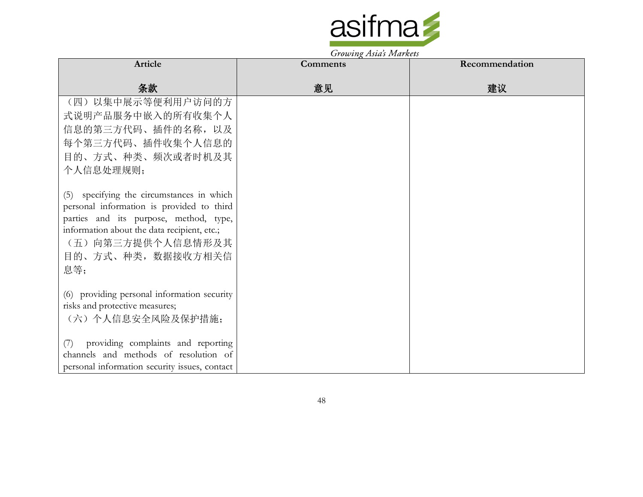

| Article                                                                                                                                                                                                                            | <b>Comments</b> | Recommendation |
|------------------------------------------------------------------------------------------------------------------------------------------------------------------------------------------------------------------------------------|-----------------|----------------|
| 条款                                                                                                                                                                                                                                 | 意见              | 建议             |
| (四)以集中展示等便利用户访问的方<br>式说明产品服务中嵌入的所有收集个人<br>信息的第三方代码、插件的名称, 以及<br>每个第三方代码、插件收集个人信息的                                                                                                                                                  |                 |                |
| 目的、方式、种类、频次或者时机及其<br>个人信息处理规则;                                                                                                                                                                                                     |                 |                |
| (5) specifying the circumstances in which<br>personal information is provided to third<br>parties and its purpose, method, type,<br>information about the data recipient, etc.;<br>(五) 向第三方提供个人信息情形及其<br>目的、方式、种类, 数据接收方相关信<br>息等; |                 |                |
| (6) providing personal information security<br>risks and protective measures;<br>(六) 个人信息安全风险及保护措施;                                                                                                                                |                 |                |
| providing complaints and reporting<br>(7)<br>channels and methods of resolution of<br>personal information security issues, contact                                                                                                |                 |                |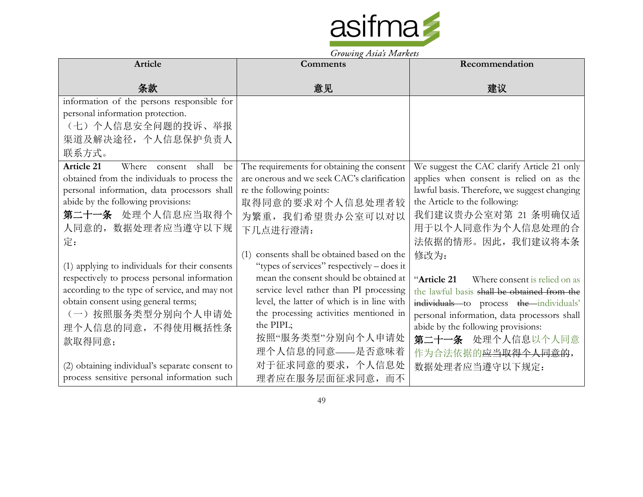

| Article                                        | <b>Comments</b>                                | Recommendation                               |
|------------------------------------------------|------------------------------------------------|----------------------------------------------|
| 条款                                             | 意见                                             | 建议                                           |
| information of the persons responsible for     |                                                |                                              |
| personal information protection.               |                                                |                                              |
| (七)个人信息安全问题的投诉、举报                              |                                                |                                              |
| 渠道及解决途径, 个人信息保护负责人                             |                                                |                                              |
| 联系方式。                                          |                                                |                                              |
| Article 21<br>Where consent<br>shall<br>be     | The requirements for obtaining the consent     | We suggest the CAC clarify Article 21 only   |
| obtained from the individuals to process the   | are onerous and we seek CAC's clarification    | applies when consent is relied on as the     |
| personal information, data processors shall    | re the following points:                       | lawful basis. Therefore, we suggest changing |
| abide by the following provisions:             | 取得同意的要求对个人信息处理者较                               | the Article to the following:                |
| 第二十一条 处理个人信息应当取得个                              | 为繁重, 我们希望贵办公室可以对以                              | 我们建议贵办公室对第 21 条明确仅适                          |
| 人同意的, 数据处理者应当遵守以下规                             | 下几点进行澄清:                                       | 用于以个人同意作为个人信息处理的合                            |
| 定:                                             |                                                | 法依据的情形。因此, 我们建议将本条                           |
|                                                | consents shall be obtained based on the<br>(1) | 修改为:                                         |
| (1) applying to individuals for their consents | "types of services" respectively – does it     |                                              |
| respectively to process personal information   | mean the consent should be obtained at         | "Article 21<br>Where consent is relied on as |
| according to the type of service, and may not  | service level rather than PI processing        | the lawful basis shall be obtained from the  |
| obtain consent using general terms;            | level, the latter of which is in line with     | individuals to process the individuals'      |
| (一) 按照服务类型分别向个人申请处                             | the processing activities mentioned in         | personal information, data processors shall  |
| 理个人信息的同意,不得使用概括性条                              | the PIPL;                                      | abide by the following provisions:           |
| 款取得同意;                                         | 按照"服务类型"分别向个人申请处                               | 第二十一条 处理个人信息以个人同意                            |
|                                                | 理个人信息的同意——是否意味着                                | 作为合法依据的 <del>应当取得个人同意的</del> ,               |
| (2) obtaining individual's separate consent to | 对于征求同意的要求, 个人信息处                               | 数据处理者应当遵守以下规定:                               |
| process sensitive personal information such    | 理者应在服务层面征求同意, 而不                               |                                              |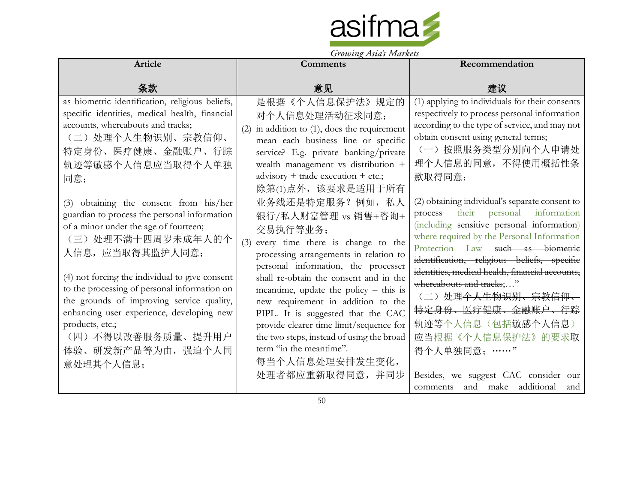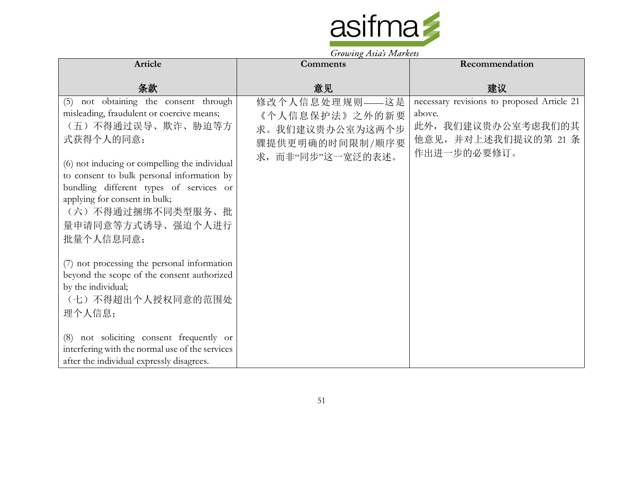

| <b>Article</b>                                                                                                                                                                                                                                                                                                                                                       | <b>Comments</b>                                                                            | Recommendation                                                                                                   |
|----------------------------------------------------------------------------------------------------------------------------------------------------------------------------------------------------------------------------------------------------------------------------------------------------------------------------------------------------------------------|--------------------------------------------------------------------------------------------|------------------------------------------------------------------------------------------------------------------|
| 条款                                                                                                                                                                                                                                                                                                                                                                   | 意见                                                                                         | 建议                                                                                                               |
| $\overline{(5)}$ not obtaining the consent through<br>misleading, fraudulent or coercive means;<br>(五)不得通过误导、欺诈、胁迫等方<br>式获得个人的同意;<br>(6) not inducing or compelling the individual<br>to consent to bulk personal information by<br>bundling different types of services or<br>applying for consent in bulk;<br>(六) 不得通过捆绑不同类型服务、批<br>量申请同意等方式诱导、强迫个人进行<br>批量个人信息同意; | 修改个人信息处理规则——这是<br>《个人信息保护法》之外的新要<br>求。我们建议贵办公室为这两个步<br>骤提供更明确的时间限制/顺序要<br>求,而非"同步"这一宽泛的表述。 | necessary revisions to proposed Article 21<br>above.<br>此外, 我们建议贵办公室考虑我们的其<br>他意见,并对上述我们提议的第 21 条<br>作出进一步的必要修订。 |
| (7) not processing the personal information<br>beyond the scope of the consent authorized<br>by the individual;<br>(七)不得超出个人授权同意的范围处<br>理个人信息;<br>(8) not soliciting consent frequently or<br>interfering with the normal use of the services<br>after the individual expressly disagrees.                                                                           |                                                                                            |                                                                                                                  |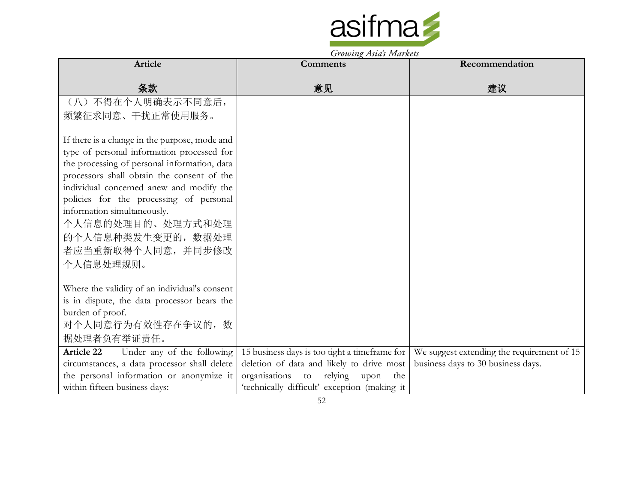

|                                                 | <i>Growing Asias Indikers</i>                 |                                            |
|-------------------------------------------------|-----------------------------------------------|--------------------------------------------|
| Article                                         | <b>Comments</b>                               | Recommendation                             |
|                                                 |                                               |                                            |
| 条款                                              | 意见                                            | 建议                                         |
| (八)不得在个人明确表示不同意后,                               |                                               |                                            |
| 频繁征求同意、干扰正常使用服务。                                |                                               |                                            |
|                                                 |                                               |                                            |
| If there is a change in the purpose, mode and   |                                               |                                            |
| type of personal information processed for      |                                               |                                            |
| the processing of personal information, data    |                                               |                                            |
| processors shall obtain the consent of the      |                                               |                                            |
| individual concerned anew and modify the        |                                               |                                            |
| policies for the processing of personal         |                                               |                                            |
| information simultaneously.                     |                                               |                                            |
| 个人信息的处理目的、处理方式和处理                               |                                               |                                            |
| 的个人信息种类发生变更的, 数据处理                              |                                               |                                            |
| 者应当重新取得个人同意, 并同步修改                              |                                               |                                            |
| 个人信息处理规则。                                       |                                               |                                            |
|                                                 |                                               |                                            |
| Where the validity of an individual's consent   |                                               |                                            |
| is in dispute, the data processor bears the     |                                               |                                            |
| burden of proof.                                |                                               |                                            |
| 对个人同意行为有效性存在争议的, 数                              |                                               |                                            |
| 据处理者负有举证责任。                                     |                                               |                                            |
| <b>Article 22</b><br>Under any of the following | 15 business days is too tight a timeframe for | We suggest extending the requirement of 15 |
| circumstances, a data processor shall delete    | deletion of data and likely to drive most     | business days to 30 business days.         |
| the personal information or anonymize it        | organisations<br>to relying upon<br>the       |                                            |
| within fifteen business days:                   | 'technically difficult' exception (making it  |                                            |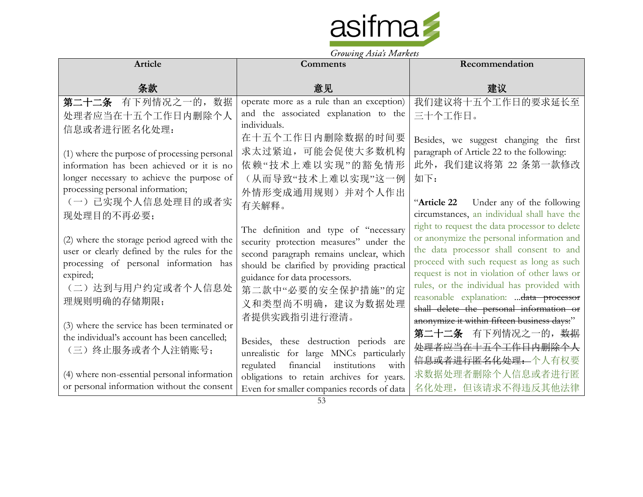

| Article                                                                                      | <b>Comments</b>                                                             | Recommendation                                                                             |
|----------------------------------------------------------------------------------------------|-----------------------------------------------------------------------------|--------------------------------------------------------------------------------------------|
| 条款                                                                                           | 意见                                                                          | 建议                                                                                         |
| 第二十二条 有下列情况之一的, 数据                                                                           | operate more as a rule than an exception)                                   | 我们建议将十五个工作日的要求延长至                                                                          |
| 处理者应当在十五个工作日内删除个人                                                                            | and the associated explanation to the                                       | 三十个工作日。                                                                                    |
| 信息或者进行匿名化处理:                                                                                 | individuals.                                                                |                                                                                            |
|                                                                                              | 在十五个工作日内删除数据的时间要                                                            | Besides, we suggest changing the first                                                     |
| (1) where the purpose of processing personal                                                 | 求太过紧迫, 可能会促使大多数机构                                                           | paragraph of Article 22 to the following:                                                  |
| information has been achieved or it is no                                                    | 依赖"技术上难以实现"的豁免情形                                                            | 此外, 我们建议将第 22 条第一款修改                                                                       |
| longer necessary to achieve the purpose of                                                   | (从而导致"技术上难以实现"这一例                                                           | 如下:                                                                                        |
| processing personal information;                                                             | 外情形变成通用规则)并对个人作出                                                            |                                                                                            |
| (一)已实现个人信息处理目的或者实                                                                            | 有关解释。                                                                       | "Article 22 Under any of the following                                                     |
| 现处理目的不再必要;                                                                                   |                                                                             | circumstances, an individual shall have the                                                |
|                                                                                              | The definition and type of "necessary                                       | right to request the data processor to delete<br>or anonymize the personal information and |
| (2) where the storage period agreed with the<br>user or clearly defined by the rules for the | security protection measures" under the                                     | the data processor shall consent to and                                                    |
| processing of personal information has                                                       | second paragraph remains unclear, which                                     | proceed with such request as long as such                                                  |
| expired;                                                                                     | should be clarified by providing practical<br>guidance for data processors. | request is not in violation of other laws or                                               |
| (二)达到与用户约定或者个人信息处                                                                            | 第二款中"必要的安全保护措施"的定                                                           | rules, or the individual has provided with                                                 |
| 理规则明确的存储期限;                                                                                  | 义和类型尚不明确, 建议为数据处理                                                           | reasonable explanation:  data processor                                                    |
|                                                                                              | 者提供实践指引进行澄清。                                                                | shall delete the personal information or                                                   |
| (3) where the service has been terminated or                                                 |                                                                             | anonymize it within fifteen business days:"                                                |
| the individual's account has been cancelled;                                                 | Besides, these destruction periods are                                      | 第二十二条 有下列情况之一的, 数据                                                                         |
| (三)终止服务或者个人注销账号;                                                                             | unrealistic for large MNCs particularly                                     | 处理者应当在十五个工作日内删除个人                                                                          |
|                                                                                              | institutions<br>financial<br>regulated<br>with                              | 信息或者进行匿名化处理: 个人有权要                                                                         |
| (4) where non-essential personal information                                                 | obligations to retain archives for years.                                   | 求数据处理者删除个人信息或者进行匿                                                                          |
| or personal information without the consent                                                  | Even for smaller companies records of data                                  | 名化处理, 但该请求不得违反其他法律                                                                         |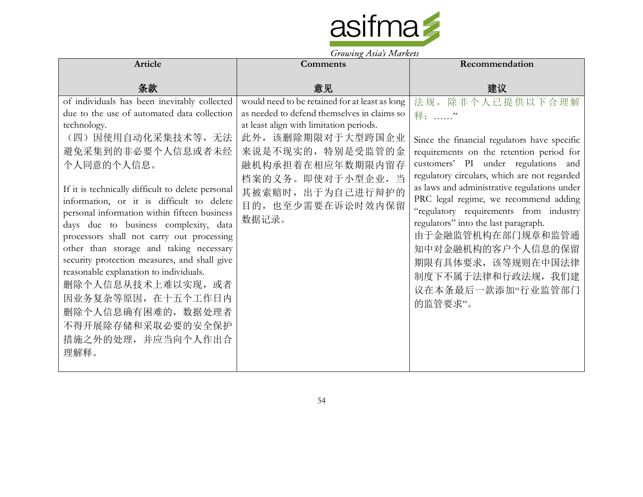

| Article                                                                                                                                                                                                                                                                                                                                                                                                                                                                                                                                                                                                                                                              | $\sigma$ , $\sigma$ $\sigma$ $\mu$ $\chi$ $\mu$ $\sigma$ $\sigma$ $\sigma$ $\sigma$ $\sigma$ $\sigma$<br><b>Comments</b>                                                                                                                                                    | Recommendation                                                                                                                                                                                                                                                                                                                                                                                                                                                                                               |
|----------------------------------------------------------------------------------------------------------------------------------------------------------------------------------------------------------------------------------------------------------------------------------------------------------------------------------------------------------------------------------------------------------------------------------------------------------------------------------------------------------------------------------------------------------------------------------------------------------------------------------------------------------------------|-----------------------------------------------------------------------------------------------------------------------------------------------------------------------------------------------------------------------------------------------------------------------------|--------------------------------------------------------------------------------------------------------------------------------------------------------------------------------------------------------------------------------------------------------------------------------------------------------------------------------------------------------------------------------------------------------------------------------------------------------------------------------------------------------------|
|                                                                                                                                                                                                                                                                                                                                                                                                                                                                                                                                                                                                                                                                      |                                                                                                                                                                                                                                                                             |                                                                                                                                                                                                                                                                                                                                                                                                                                                                                                              |
| 条款                                                                                                                                                                                                                                                                                                                                                                                                                                                                                                                                                                                                                                                                   | 意见                                                                                                                                                                                                                                                                          | 建议                                                                                                                                                                                                                                                                                                                                                                                                                                                                                                           |
| of individuals has been inevitably collected<br>due to the use of automated data collection<br>technology.<br>(四)因使用自动化采集技术等,无法<br>避免采集到的非必要个人信息或者未经<br>个人同意的个人信息。<br>If it is technically difficult to delete personal<br>information, or it is difficult to delete<br>personal information within fifteen business<br>days due to business complexity, data<br>processors shall not carry out processing<br>other than storage and taking necessary<br>security protection measures, and shall give<br>reasonable explanation to individuals.<br>删除个人信息从技术上难以实现, 或者<br>因业务复杂等原因, 在十五个工作日内<br>删除个人信息确有困难的, 数据处理者<br>不得开展除存储和采取必要的安全保护<br>措施之外的处理, 并应当向个人作出合<br>理解释。 | would need to be retained for at least as long<br>as needed to defend themselves in claims so<br>at least align with limitation periods.<br>此外,该删除期限对于大型跨国企业<br>来说是不现实的,特别是受监管的金<br>融机构承担着在相应年数期限内留存<br>档案的义务。即使对于小型企业,当<br>其被索赔时, 出于为自己进行辩护的<br>目的, 也至少需要在诉讼时效内保留<br>数据记录。 | 法规, 除非个人已提供以下合理解<br>释: "<br>Since the financial regulators have specific<br>requirements on the retention period for<br>customers' PI under regulations and<br>regulatory circulars, which are not regarded<br>as laws and administrative regulations under<br>PRC legal regime, we recommend adding<br>"regulatory requirements from industry<br>regulators" into the last paragraph.<br>由于金融监管机构在部门规章和监管通<br>知中对金融机构的客户个人信息的保留<br>期限有具体要求, 该等规则在中国法律<br>制度下不属于法律和行政法规, 我们建<br>议在本条最后一款添加"行业监管部门<br>的监管要求"。 |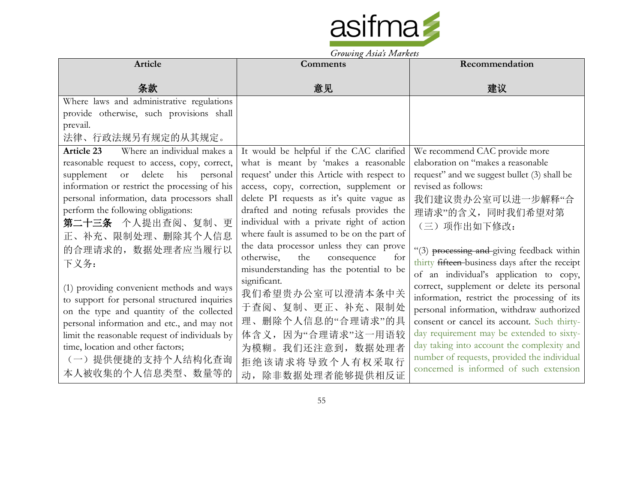

|                                                                                                                                                                                                                                                                                                                                                     | Growing Asias Indikers                                                                                                                                                                                                                                                                                                                                          |                                                                                                                                                                                                                                                                                                                                                                                                                                                                                                                       |
|-----------------------------------------------------------------------------------------------------------------------------------------------------------------------------------------------------------------------------------------------------------------------------------------------------------------------------------------------------|-----------------------------------------------------------------------------------------------------------------------------------------------------------------------------------------------------------------------------------------------------------------------------------------------------------------------------------------------------------------|-----------------------------------------------------------------------------------------------------------------------------------------------------------------------------------------------------------------------------------------------------------------------------------------------------------------------------------------------------------------------------------------------------------------------------------------------------------------------------------------------------------------------|
| Article                                                                                                                                                                                                                                                                                                                                             | Comments                                                                                                                                                                                                                                                                                                                                                        | Recommendation                                                                                                                                                                                                                                                                                                                                                                                                                                                                                                        |
| 条款                                                                                                                                                                                                                                                                                                                                                  | 意见                                                                                                                                                                                                                                                                                                                                                              | 建议                                                                                                                                                                                                                                                                                                                                                                                                                                                                                                                    |
| Where laws and administrative regulations<br>provide otherwise, such provisions shall<br>prevail.<br>法律、行政法规另有规定的从其规定。                                                                                                                                                                                                                              |                                                                                                                                                                                                                                                                                                                                                                 |                                                                                                                                                                                                                                                                                                                                                                                                                                                                                                                       |
| Where an individual makes a<br>Article 23<br>reasonable request to access, copy, correct,<br>delete<br>his personal<br>supplement<br>or<br>information or restrict the processing of his<br>personal information, data processors shall<br>perform the following obligations:<br>第二十三条 个人提出查阅、复制、更<br>正、补充、限制处理、删除其个人信息                             | It would be helpful if the CAC clarified<br>what is meant by 'makes a reasonable<br>request' under this Article with respect to<br>access, copy, correction, supplement or<br>delete PI requests as it's quite vague as<br>drafted and noting refusals provides the<br>individual with a private right of action<br>where fault is assumed to be on the part of | We recommend CAC provide more<br>elaboration on "makes a reasonable<br>request" and we suggest bullet (3) shall be<br>revised as follows:<br>我们建议贵办公室可以进一步解释"合<br>理请求"的含义,同时我们希望对第<br>(三)项作出如下修改:                                                                                                                                                                                                                                                                                                                     |
| 的合理请求的, 数据处理者应当履行以<br>下义务:<br>(1) providing convenient methods and ways<br>to support for personal structured inquiries<br>on the type and quantity of the collected<br>personal information and etc., and may not<br>limit the reasonable request of individuals by<br>time, location and other factors;<br>(一)提供便捷的支持个人结构化查询<br>本人被收集的个人信息类型、数量等的 | the data processor unless they can prove<br>otherwise,<br>the<br>consequence<br>for<br>misunderstanding has the potential to be<br>significant.<br>我们希望贵办公室可以澄清本条中关<br>于查阅、复制、更正、补充、限制处<br>理、删除个人信息的"合理请求"的具<br>体含义, 因为"合理请求"这一用语较<br>为模糊。我们还注意到, 数据处理者<br>拒绝该请求将导致个人有权采取行<br>动, 除非数据处理者能够提供相反证                                                                 | "(3) processing and giving feedback within<br>thirty fifteen-business days after the receipt<br>of an individual's application to copy,<br>correct, supplement or delete its personal<br>information, restrict the processing of its<br>personal information, withdraw authorized<br>consent or cancel its account. Such thirty-<br>day requirement may be extended to sixty-<br>day taking into account the complexity and<br>number of requests, provided the individual<br>concerned is informed of such extension |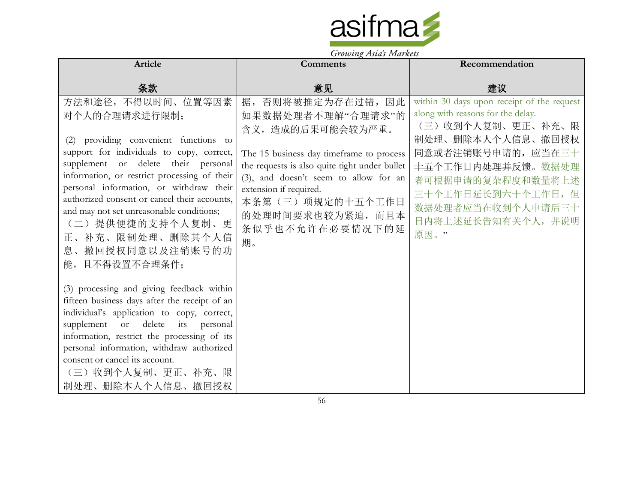

| Article                                                                                                                                                                                                                                                                                                                                                                                                                              | Comments                                                                                                                                                                                                                                                                                   | Recommendation                                                                                                                                                                                                                                                                             |
|--------------------------------------------------------------------------------------------------------------------------------------------------------------------------------------------------------------------------------------------------------------------------------------------------------------------------------------------------------------------------------------------------------------------------------------|--------------------------------------------------------------------------------------------------------------------------------------------------------------------------------------------------------------------------------------------------------------------------------------------|--------------------------------------------------------------------------------------------------------------------------------------------------------------------------------------------------------------------------------------------------------------------------------------------|
| 条款                                                                                                                                                                                                                                                                                                                                                                                                                                   | 意见                                                                                                                                                                                                                                                                                         | 建议                                                                                                                                                                                                                                                                                         |
| 方法和途径, 不得以时间、位置等因素<br>对个人的合理请求进行限制;<br>(2) providing convenient functions to<br>support for individuals to copy, correct,<br>supplement or delete their personal<br>information, or restrict processing of their<br>personal information, or withdraw their<br>authorized consent or cancel their accounts,<br>and may not set unreasonable conditions;<br>(二)提供便捷的支持个人复制、更<br>正、补充、限制处理、删除其个人信<br>息、撤回授权同意以及注销账号的功<br>能,且不得设置不合理条件; | 据,否则将被推定为存在过错,因此<br>如果数据处理者不理解"合理请求"的<br>含义,造成的后果可能会较为严重。<br>The 15 business day timeframe to process<br>the requests is also quite tight under bullet<br>(3), and doesn't seem to allow for an<br>extension if required.<br>本条第(三)项规定的十五个工作日<br>的处理时间要求也较为紧迫,而且本<br>条似乎也不允许在必要情况下的延<br>期。 | within 30 days upon receipt of the request<br>along with reasons for the delay.<br>(三)收到个人复制、更正、补充、限<br>制处理、删除本人个人信息、撤回授权<br>同意或者注销账号申请的, 应当在三十<br><del>十五</del> 个工作日内 <del>处理并</del> 反馈。数据处理<br>者可根据申请的复杂程度和数量将上述<br>三十个工作日延长到六十个工作日, 但<br>数据处理者应当在收到个人申请后三十<br>日内将上述延长告知有关个人,并说明<br>原因。" |
| (3) processing and giving feedback within<br>fifteen business days after the receipt of an<br>individual's application to copy, correct,<br>supplement or delete its personal<br>information, restrict the processing of its<br>personal information, withdraw authorized<br>consent or cancel its account.<br>(三) 收到个人复制、更正、补充、限<br>制处理、删除本人个人信息、撤回授权                                                                               |                                                                                                                                                                                                                                                                                            |                                                                                                                                                                                                                                                                                            |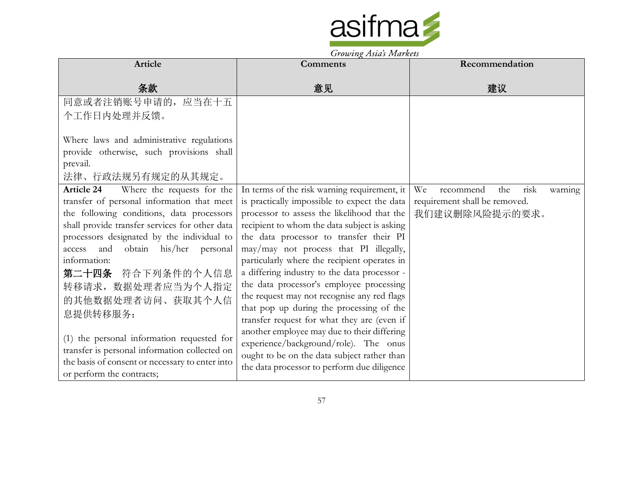

Growing Asia's Markets

| Article                                                                                                                                                                                                                                                                                                                                                                                                                                                                                                                                                        | Comments                                                                                                                                                                                                                                                                                                                                                                                                                                                                                                                                                                                                                                                                                                                                                     | Recommendation                                                                               |
|----------------------------------------------------------------------------------------------------------------------------------------------------------------------------------------------------------------------------------------------------------------------------------------------------------------------------------------------------------------------------------------------------------------------------------------------------------------------------------------------------------------------------------------------------------------|--------------------------------------------------------------------------------------------------------------------------------------------------------------------------------------------------------------------------------------------------------------------------------------------------------------------------------------------------------------------------------------------------------------------------------------------------------------------------------------------------------------------------------------------------------------------------------------------------------------------------------------------------------------------------------------------------------------------------------------------------------------|----------------------------------------------------------------------------------------------|
| 条款                                                                                                                                                                                                                                                                                                                                                                                                                                                                                                                                                             | 意见                                                                                                                                                                                                                                                                                                                                                                                                                                                                                                                                                                                                                                                                                                                                                           | 建议                                                                                           |
| 同意或者注销账号申请的,<br>应当在十五                                                                                                                                                                                                                                                                                                                                                                                                                                                                                                                                          |                                                                                                                                                                                                                                                                                                                                                                                                                                                                                                                                                                                                                                                                                                                                                              |                                                                                              |
| 个工作日内处理并反馈。                                                                                                                                                                                                                                                                                                                                                                                                                                                                                                                                                    |                                                                                                                                                                                                                                                                                                                                                                                                                                                                                                                                                                                                                                                                                                                                                              |                                                                                              |
| Where laws and administrative regulations<br>provide otherwise, such provisions shall<br>prevail.<br>法律、行政法规另有规定的从其规定。                                                                                                                                                                                                                                                                                                                                                                                                                                         |                                                                                                                                                                                                                                                                                                                                                                                                                                                                                                                                                                                                                                                                                                                                                              |                                                                                              |
| <b>Article 24</b><br>Where the requests for the<br>transfer of personal information that meet<br>the following conditions, data processors<br>shall provide transfer services for other data<br>processors designated by the individual to<br>and obtain his/her personal<br>access<br>information:<br>第二十四条 符合下列条件的个人信息<br>转移请求, 数据处理者应当为个人指定<br>的其他数据处理者访问、获取其个人信<br>息提供转移服务:<br>(1) the personal information requested for<br>transfer is personal information collected on<br>the basis of consent or necessary to enter into<br>or perform the contracts; | In terms of the risk warning requirement, it<br>is practically impossible to expect the data<br>processor to assess the likelihood that the<br>recipient to whom the data subject is asking<br>the data processor to transfer their PI<br>may/may not process that PI illegally,<br>particularly where the recipient operates in<br>a differing industry to the data processor -<br>the data processor's employee processing<br>the request may not recognise any red flags<br>that pop up during the processing of the<br>transfer request for what they are (even if<br>another employee may due to their differing<br>experience/background/role). The onus<br>ought to be on the data subject rather than<br>the data processor to perform due diligence | risk<br>We<br>the<br>recommend<br>warning<br>requirement shall be removed.<br>我们建议删除风险提示的要求。 |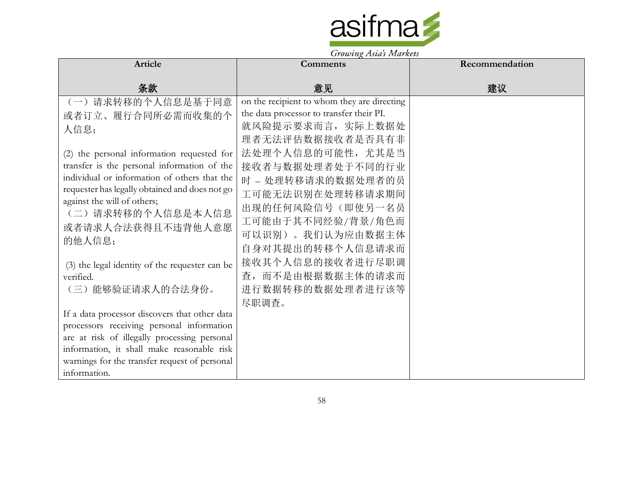

|                                                                                                                                                                                                                                                                                                                                                                                     | $370$ to $\mu$ $\chi$ $15$ to $\mu$ $3$ $1.1$ to $\mu$ $\kappa$ to $\mu$ .                                                                                                                                                                                                                                               |                |
|-------------------------------------------------------------------------------------------------------------------------------------------------------------------------------------------------------------------------------------------------------------------------------------------------------------------------------------------------------------------------------------|--------------------------------------------------------------------------------------------------------------------------------------------------------------------------------------------------------------------------------------------------------------------------------------------------------------------------|----------------|
| <b>Article</b>                                                                                                                                                                                                                                                                                                                                                                      | <b>Comments</b>                                                                                                                                                                                                                                                                                                          | Recommendation |
| 条款                                                                                                                                                                                                                                                                                                                                                                                  | 意见                                                                                                                                                                                                                                                                                                                       | 建议             |
| (一)请求转移的个人信息是基于同意<br>或者订立、履行合同所必需而收集的个<br>人信息;<br>(2) the personal information requested for<br>transfer is the personal information of the<br>individual or information of others that the<br>requester has legally obtained and does not go<br>against the will of others;<br>(二) 请求转移的个人信息是本人信息<br>或者请求人合法获得且不违背他人意愿<br>的他人信息;<br>(3) the legal identity of the requester can be | on the recipient to whom they are directing<br>the data processor to transfer their PI.<br>就风险提示要求而言, 实际上数据处<br>理者无法评估数据接收者是否具有非<br>法处理个人信息的可能性, 尤其是当<br>接收者与数据处理者处于不同的行业<br>时 - 处理转移请求的数据处理者的员<br>工可能无法识别在处理转移请求期间<br>出现的任何风险信号(即使另一名员<br>工可能由于其不同经验/背景/角色而<br>可以识别)。我们认为应由数据主体<br>自身对其提出的转移个人信息请求而<br>接收其个人信息的接收者进行尽职调 |                |
| verified.<br>(三) 能够验证请求人的合法身份。<br>If a data processor discovers that other data<br>processors receiving personal information<br>are at risk of illegally processing personal<br>information, it shall make reasonable risk<br>warnings for the transfer request of personal<br>information.                                                                                         | 查,而不是由根据数据主体的请求而<br>进行数据转移的数据处理者进行该等<br>尽职调查。                                                                                                                                                                                                                                                                            |                |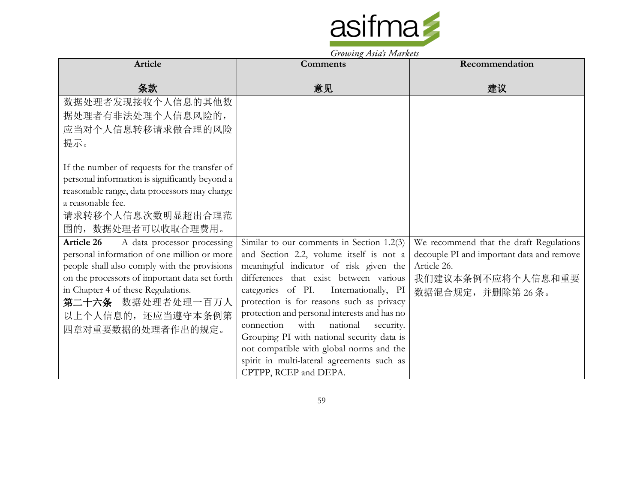

Growing Asia's Markets

| <b>Article</b>                                                                                                                                           | <b>Comments</b>                                                                                                                                                                       | Recommendation                                                                       |
|----------------------------------------------------------------------------------------------------------------------------------------------------------|---------------------------------------------------------------------------------------------------------------------------------------------------------------------------------------|--------------------------------------------------------------------------------------|
| 条款                                                                                                                                                       | 意见                                                                                                                                                                                    | 建议                                                                                   |
| 数据处理者发现接收个人信息的其他数<br>据处理者有非法处理个人信息风险的,<br>应当对个人信息转移请求做合理的风险                                                                                              |                                                                                                                                                                                       |                                                                                      |
| 提示。<br>If the number of requests for the transfer of                                                                                                     |                                                                                                                                                                                       |                                                                                      |
| personal information is significantly beyond a<br>reasonable range, data processors may charge<br>a reasonable fee.                                      |                                                                                                                                                                                       |                                                                                      |
| 请求转移个人信息次数明显超出合理范<br>围的, 数据处理者可以收取合理费用。                                                                                                                  |                                                                                                                                                                                       |                                                                                      |
| Article 26<br>A data processor processing<br>personal information of one million or more                                                                 | Similar to our comments in Section $1.2(3)$<br>and Section 2.2, volume itself is not a                                                                                                | We recommend that the draft Regulations<br>decouple PI and important data and remove |
| people shall also comply with the provisions<br>on the processors of important data set forth<br>in Chapter 4 of these Regulations.<br>第二十六条 数据处理者处理一百万人 | meaningful indicator of risk given the<br>differences that exist between various<br>categories of PI.<br>Internationally, PI<br>protection is for reasons such as privacy             | Article 26.<br>我们建议本条例不应将个人信息和重要<br>数据混合规定,并删除第26条。                                  |
| 以上个人信息的,还应当遵守本条例第<br>四章对重要数据的处理者作出的规定。                                                                                                                   | protection and personal interests and has no<br>with<br>connection<br>national<br>security.<br>Grouping PI with national security data is<br>not compatible with global norms and the |                                                                                      |
|                                                                                                                                                          | spirit in multi-lateral agreements such as<br>CPTPP, RCEP and DEPA.                                                                                                                   |                                                                                      |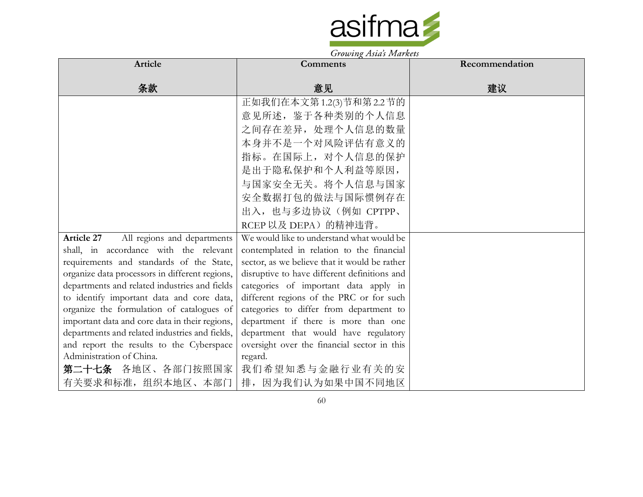

| Article                                        | $\sigma$ , $\sigma$ , $\sigma$ , $\sigma$ , $\sigma$ , $\sigma$ , $\sigma$ , $\sigma$ , $\sigma$ , $\sigma$ , $\sigma$ , $\sigma$<br><b>Comments</b> | Recommendation |
|------------------------------------------------|------------------------------------------------------------------------------------------------------------------------------------------------------|----------------|
|                                                |                                                                                                                                                      |                |
| 条款                                             | 意见                                                                                                                                                   | 建议             |
|                                                | 正如我们在本文第1.2(3)节和第2.2节的                                                                                                                               |                |
|                                                | 意见所述, 鉴于各种类别的个人信息                                                                                                                                    |                |
|                                                | 之间存在差异, 处理个人信息的数量                                                                                                                                    |                |
|                                                | 本身并不是一个对风险评估有意义的                                                                                                                                     |                |
|                                                | 指标。在国际上, 对个人信息的保护                                                                                                                                    |                |
|                                                | 是出于隐私保护和个人利益等原因,                                                                                                                                     |                |
|                                                | 与国家安全无关。将个人信息与国家                                                                                                                                     |                |
|                                                | 安全数据打包的做法与国际惯例存在                                                                                                                                     |                |
|                                                | 出入, 也与多边协议(例如 CPTPP、                                                                                                                                 |                |
|                                                | RCEP 以及 DEPA)的精神违背。                                                                                                                                  |                |
| All regions and departments<br>Article 27      | We would like to understand what would be                                                                                                            |                |
| shall, in accordance with the relevant         | contemplated in relation to the financial                                                                                                            |                |
| requirements and standards of the State,       | sector, as we believe that it would be rather                                                                                                        |                |
| organize data processors in different regions, | disruptive to have different definitions and                                                                                                         |                |
| departments and related industries and fields  | categories of important data apply in                                                                                                                |                |
| to identify important data and core data,      | different regions of the PRC or for such                                                                                                             |                |
| organize the formulation of catalogues of      | categories to differ from department to                                                                                                              |                |
| important data and core data in their regions, | department if there is more than one                                                                                                                 |                |
| departments and related industries and fields, | department that would have regulatory                                                                                                                |                |
| and report the results to the Cyberspace       | oversight over the financial sector in this                                                                                                          |                |
| Administration of China.                       | regard.                                                                                                                                              |                |
| 第二十七条 各地区、各部门按照国家                              | 我们希望知悉与金融行业有关的安                                                                                                                                      |                |
| 有关要求和标准, 组织本地区、本部门                             | 排, 因为我们认为如果中国不同地区                                                                                                                                    |                |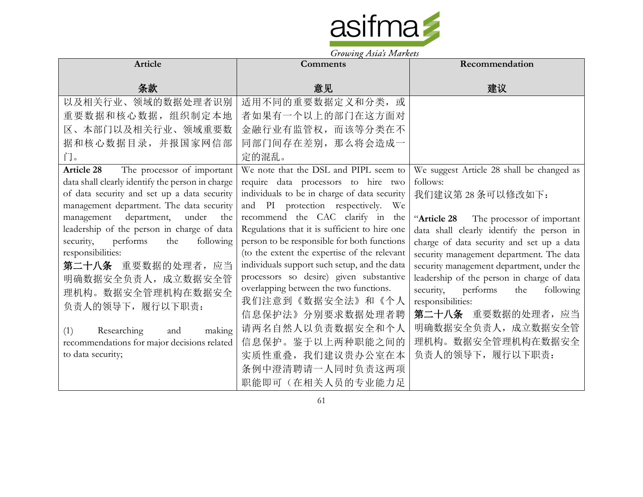

| Article                                          | <b>Comments</b>                               | Recommendation                             |
|--------------------------------------------------|-----------------------------------------------|--------------------------------------------|
|                                                  |                                               |                                            |
| 条款                                               | 意见                                            | 建议                                         |
| 以及相关行业、领域的数据处理者识别                                | 适用不同的重要数据定义和分类, 或                             |                                            |
| 重要数据和核心数据,组织制定本地                                 | 者如果有一个以上的部门在这方面对                              |                                            |
| 区、本部门以及相关行业、领域重要数                                | 金融行业有监管权, 而该等分类在不                             |                                            |
| 据和核心数据目录,并报国家网信部                                 | 同部门间存在差别, 那么将会造成一                             |                                            |
| 门。                                               | 定的混乱。                                         |                                            |
| Article 28 The processor of important            | We note that the DSL and PIPL seem to         | We suggest Article 28 shall be changed as  |
| data shall clearly identify the person in charge | require data processors to hire two           | follows:                                   |
| of data security and set up a data security      | individuals to be in charge of data security  | 我们建议第28条可以修改如下:                            |
| management department. The data security         | and PI protection respectively. We            |                                            |
| management department,<br>under<br>the           | recommend the CAC clarify in the              | "Article 28 The processor of important     |
| leadership of the person in charge of data       | Regulations that it is sufficient to hire one | data shall clearly identify the person in  |
| security, performs<br>following<br>the           | person to be responsible for both functions   | charge of data security and set up a data  |
| responsibilities:                                | (to the extent the expertise of the relevant  | security management department. The data   |
| 第二十八条 重要数据的处理者, 应当                               | individuals support such setup, and the data  | security management department, under the  |
| 明确数据安全负责人, 成立数据安全管                               | processors so desire) given substantive       | leadership of the person in charge of data |
| 理机构。数据安全管理机构在数据安全                                | overlapping between the two functions.        | security, performs<br>following<br>the     |
| 负责人的领导下,履行以下职责:                                  | 我们注意到《数据安全法》和《个人                              | responsibilities:                          |
|                                                  | 信息保护法》分别要求数据处理者聘                              | 第二十八条 重要数据的处理者, 应当                         |
| (1)<br>Researching<br>making<br>and              | 请两名自然人以负责数据安全和个人                              | 明确数据安全负责人, 成立数据安全管                         |
| recommendations for major decisions related      | 信息保护。鉴于以上两种职能之间的                              | 理机构。数据安全管理机构在数据安全                          |
| to data security;                                | 实质性重叠, 我们建议贵办公室在本                             | 负责人的领导下,履行以下职责:                            |
|                                                  | 条例中澄清聘请一人同时负责这两项                              |                                            |
|                                                  | 职能即可(在相关人员的专业能力足                              |                                            |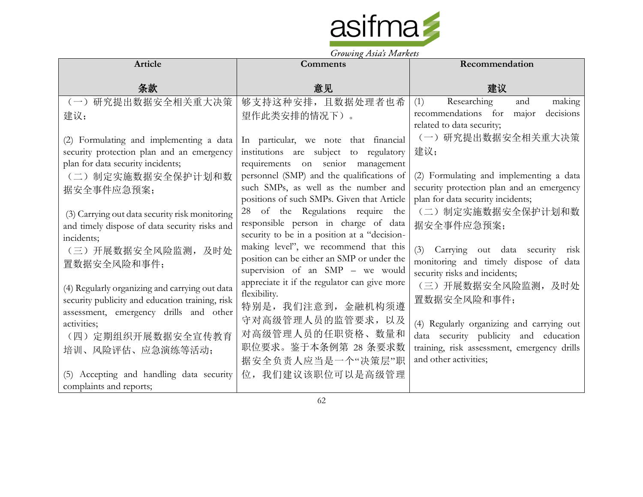

|                                                                                                                                                                                                                                                                                                                                                                      | Growing Tistus Indianas                                                                                                                                                                                                                                                                                                                                                                                                                                                                                                                                                         |                                                                                                                                                                                                                                                                                                                                                                 |
|----------------------------------------------------------------------------------------------------------------------------------------------------------------------------------------------------------------------------------------------------------------------------------------------------------------------------------------------------------------------|---------------------------------------------------------------------------------------------------------------------------------------------------------------------------------------------------------------------------------------------------------------------------------------------------------------------------------------------------------------------------------------------------------------------------------------------------------------------------------------------------------------------------------------------------------------------------------|-----------------------------------------------------------------------------------------------------------------------------------------------------------------------------------------------------------------------------------------------------------------------------------------------------------------------------------------------------------------|
| Article                                                                                                                                                                                                                                                                                                                                                              | <b>Comments</b>                                                                                                                                                                                                                                                                                                                                                                                                                                                                                                                                                                 | Recommendation                                                                                                                                                                                                                                                                                                                                                  |
| 条款                                                                                                                                                                                                                                                                                                                                                                   | 意见                                                                                                                                                                                                                                                                                                                                                                                                                                                                                                                                                                              | 建议                                                                                                                                                                                                                                                                                                                                                              |
| 研究提出数据安全相关重大决策<br>$(-)$                                                                                                                                                                                                                                                                                                                                              | 够支持这种安排,且数据处理者也希                                                                                                                                                                                                                                                                                                                                                                                                                                                                                                                                                                | Researching<br>making<br>(1)<br>and                                                                                                                                                                                                                                                                                                                             |
| 建议;                                                                                                                                                                                                                                                                                                                                                                  | 望作此类安排的情况下)。                                                                                                                                                                                                                                                                                                                                                                                                                                                                                                                                                                    | recommendations for<br>decisions<br>major                                                                                                                                                                                                                                                                                                                       |
| (2) Formulating and implementing a data<br>security protection plan and an emergency<br>plan for data security incidents;<br>(二) 制定实施数据安全保护计划和数<br>据安全事件应急预案;<br>(3) Carrying out data security risk monitoring<br>and timely dispose of data security risks and<br>incidents;<br>(三)开展数据安全风险监测,及时处<br>置数据安全风险和事件;<br>(4) Regularly organizing and carrying out data | In particular, we note that financial<br>institutions are subject to regulatory<br>requirements on senior management<br>personnel (SMP) and the qualifications of<br>such SMPs, as well as the number and<br>positions of such SMPs. Given that Article<br>28 of the Regulations require the<br>responsible person in charge of data<br>security to be in a position at a "decision-<br>making level", we recommend that this<br>position can be either an SMP or under the<br>supervision of an SMP - we would<br>appreciate it if the regulator can give more<br>flexibility. | related to data security;<br>(一)研究提出数据安全相关重大决策<br>建议;<br>(2) Formulating and implementing a data<br>security protection plan and an emergency<br>plan for data security incidents;<br>(二) 制定实施数据安全保护计划和数<br>据安全事件应急预案;<br>(3) Carrying out data security<br>risk<br>monitoring and timely dispose of data<br>security risks and incidents;<br>(三)开展数据安全风险监测,及时处 |
| security publicity and education training, risk<br>assessment, emergency drills and other<br>activities;<br>(四) 定期组织开展数据安全宣传教育<br>培训、风险评估、应急演练等活动;                                                                                                                                                                                                                   | 特别是, 我们注意到, 金融机构须遵<br>守对高级管理人员的监管要求, 以及<br>对高级管理人员的任职资格、数量和<br>职位要求。鉴于本条例第 28 条要求数<br>据安全负责人应当是一个"决策层"职                                                                                                                                                                                                                                                                                                                                                                                                                                                                         | 置数据安全风险和事件;<br>(4) Regularly organizing and carrying out<br>data security publicity and education<br>training, risk assessment, emergency drills<br>and other activities;                                                                                                                                                                                       |
| (5) Accepting and handling data security<br>complaints and reports;                                                                                                                                                                                                                                                                                                  | 位,我们建议该职位可以是高级管理                                                                                                                                                                                                                                                                                                                                                                                                                                                                                                                                                                |                                                                                                                                                                                                                                                                                                                                                                 |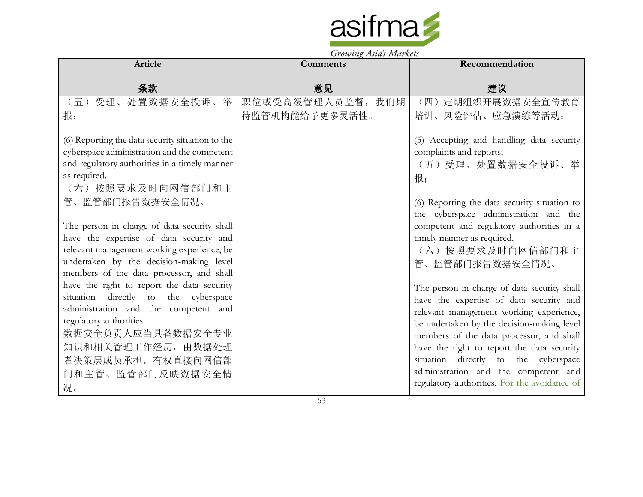

|                                                                                                                                                                                                                                                                                                                                                                                                                                                                                                                                                                                                                                                                                            | <b>Comments</b>   | Recommendation                                                                                                                                                                                                                                                                                                                                                                                                                                                                                                                                                                                                                                                                                                         |
|--------------------------------------------------------------------------------------------------------------------------------------------------------------------------------------------------------------------------------------------------------------------------------------------------------------------------------------------------------------------------------------------------------------------------------------------------------------------------------------------------------------------------------------------------------------------------------------------------------------------------------------------------------------------------------------------|-------------------|------------------------------------------------------------------------------------------------------------------------------------------------------------------------------------------------------------------------------------------------------------------------------------------------------------------------------------------------------------------------------------------------------------------------------------------------------------------------------------------------------------------------------------------------------------------------------------------------------------------------------------------------------------------------------------------------------------------------|
| 条款                                                                                                                                                                                                                                                                                                                                                                                                                                                                                                                                                                                                                                                                                         | 意见                | 建议                                                                                                                                                                                                                                                                                                                                                                                                                                                                                                                                                                                                                                                                                                                     |
| (五)受理、处置数据安全投诉、举                                                                                                                                                                                                                                                                                                                                                                                                                                                                                                                                                                                                                                                                           | 职位或受高级管理人员监督, 我们期 | (四) 定期组织开展数据安全宣传教育                                                                                                                                                                                                                                                                                                                                                                                                                                                                                                                                                                                                                                                                                                     |
| 报;                                                                                                                                                                                                                                                                                                                                                                                                                                                                                                                                                                                                                                                                                         | 待监管机构能给予更多灵活性。    | 培训、风险评估、应急演练等活动;                                                                                                                                                                                                                                                                                                                                                                                                                                                                                                                                                                                                                                                                                                       |
| (6) Reporting the data security situation to the<br>cyberspace administration and the competent<br>and regulatory authorities in a timely manner<br>as required.<br>(六) 按照要求及时向网信部门和主<br>管、监管部门报告数据安全情况。<br>The person in charge of data security shall<br>have the expertise of data security and<br>relevant management working experience, be<br>undertaken by the decision-making level<br>members of the data processor, and shall<br>have the right to report the data security<br>situation directly to the cyberspace<br>administration and the competent and<br>regulatory authorities.<br>数据安全负责人应当具备数据安全专业<br>知识和相关管理工作经历,由数据处理<br>者决策层成员承担, 有权直接向网信部<br>门和主管、监管部门反映数据安全情<br>况。 |                   | (5) Accepting and handling data security<br>complaints and reports;<br>(五)受理、处置数据安全投诉、举<br>报;<br>(6) Reporting the data security situation to<br>the cyberspace administration and the<br>competent and regulatory authorities in a<br>timely manner as required.<br>(六) 按照要求及时向网信部门和主<br>管、监管部门报告数据安全情况。<br>The person in charge of data security shall<br>have the expertise of data security and<br>relevant management working experience,<br>be undertaken by the decision-making level<br>members of the data processor, and shall<br>have the right to report the data security<br>situation directly to the cyberspace<br>administration and the competent and<br>regulatory authorities. For the avoidance of |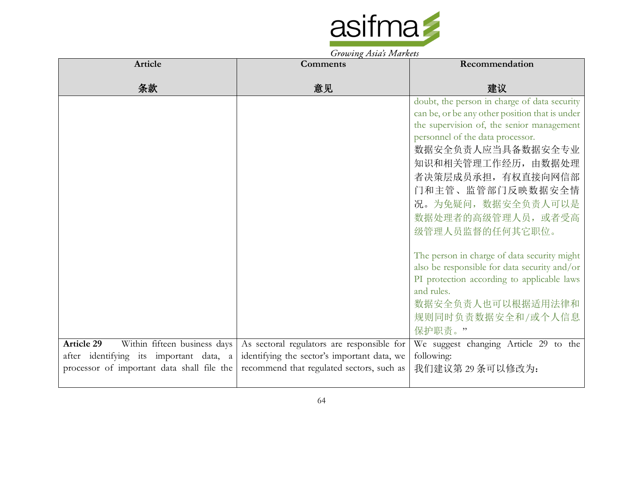

| <b>Article</b>                             | <b>Comments</b>                             | Recommendation                                                                |
|--------------------------------------------|---------------------------------------------|-------------------------------------------------------------------------------|
| 条款                                         | 意见                                          | 建议                                                                            |
|                                            |                                             | doubt, the person in charge of data security                                  |
|                                            |                                             | can be, or be any other position that is under                                |
|                                            |                                             | the supervision of, the senior management<br>personnel of the data processor. |
|                                            |                                             | 数据安全负责人应当具备数据安全专业                                                             |
|                                            |                                             | 知识和相关管理工作经历, 由数据处理                                                            |
|                                            |                                             | 者决策层成员承担,有权直接向网信部                                                             |
|                                            |                                             | 门和主管、监管部门反映数据安全情                                                              |
|                                            |                                             | 况。为免疑问, 数据安全负责人可以是                                                            |
|                                            |                                             | 数据处理者的高级管理人员, 或者受高                                                            |
|                                            |                                             | 级管理人员监督的任何其它职位。                                                               |
|                                            |                                             |                                                                               |
|                                            |                                             | The person in charge of data security might                                   |
|                                            |                                             | also be responsible for data security and/or                                  |
|                                            |                                             | PI protection according to applicable laws                                    |
|                                            |                                             | and rules.                                                                    |
|                                            |                                             | 数据安全负责人也可以根据适用法律和                                                             |
|                                            |                                             | 规则同时负责数据安全和/或个人信息<br>保护职责。"                                                   |
| Within fifteen business days<br>Article 29 | As sectoral regulators are responsible for  | We suggest changing Article 29 to the                                         |
| after identifying its important data, a    | identifying the sector's important data, we | following:                                                                    |
| processor of important data shall file the | recommend that regulated sectors, such as   | 我们建议第29条可以修改为:                                                                |
|                                            |                                             |                                                                               |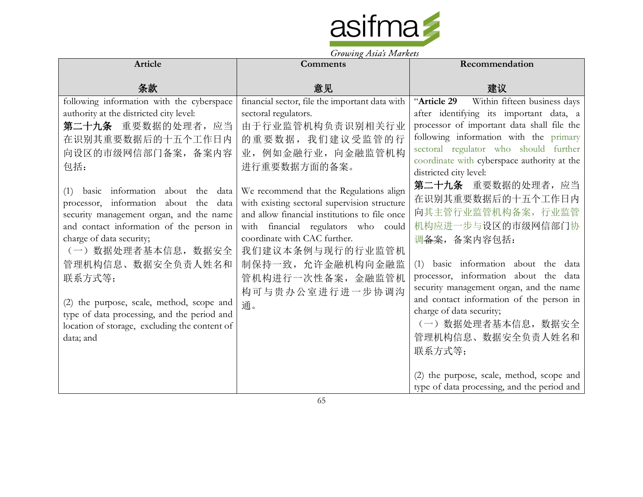

| Article                                                                                                                                                                                                                                                                                                                                                                                                          | Growing Tistus Indianas<br><b>Comments</b>                                                                                                                                                                                                                                                            | Recommendation                                                                                                                                                                                                                                                                                                                                                  |
|------------------------------------------------------------------------------------------------------------------------------------------------------------------------------------------------------------------------------------------------------------------------------------------------------------------------------------------------------------------------------------------------------------------|-------------------------------------------------------------------------------------------------------------------------------------------------------------------------------------------------------------------------------------------------------------------------------------------------------|-----------------------------------------------------------------------------------------------------------------------------------------------------------------------------------------------------------------------------------------------------------------------------------------------------------------------------------------------------------------|
|                                                                                                                                                                                                                                                                                                                                                                                                                  |                                                                                                                                                                                                                                                                                                       |                                                                                                                                                                                                                                                                                                                                                                 |
| 条款                                                                                                                                                                                                                                                                                                                                                                                                               | 意见                                                                                                                                                                                                                                                                                                    | 建议                                                                                                                                                                                                                                                                                                                                                              |
| following information with the cyberspace<br>authority at the districted city level:<br>第二十九条 重要数据的处理者, 应当<br>在识别其重要数据后的十五个工作日内<br>向设区的市级网信部门备案, 备案内容<br>包括:                                                                                                                                                                                                                                                     | financial sector, file the important data with<br>sectoral regulators.<br>由于行业监管机构负责识别相关行业<br>的重要数据,我们建议受监管的行<br>业, 例如金融行业, 向金融监管机构<br>进行重要数据方面的备案。                                                                                                                                                   | "Article 29<br>Within fifteen business days<br>after identifying its important data, a<br>processor of important data shall file the<br>following information with the primary<br>sectoral regulator who should further<br>coordinate with cyberspace authority at the<br>districted city level:                                                                |
| (1) basic information about the data<br>processor, information about the data<br>security management organ, and the name<br>and contact information of the person in<br>charge of data security;<br>(一) 数据处理者基本信息, 数据安全<br>管理机构信息、数据安全负责人姓名和<br>联系方式等;<br>(2) the purpose, scale, method, scope and<br>type of data processing, and the period and<br>location of storage, excluding the content of<br>data; and | We recommend that the Regulations align<br>with existing sectoral supervision structure<br>and allow financial institutions to file once<br>with financial regulators who could<br>coordinate with CAC further.<br>我们建议本条例与现行的行业监管机<br>制保持一致, 允许金融机构向金融监<br>管机构进行一次性备案,金融监管机<br>构可与贵办公室进行进一步协调沟<br>通。 | 第二十九条 重要数据的处理者, 应当<br>在识别其重要数据后的十五个工作日内<br>向其主管行业监管机构备案, 行业监管<br>机构应进一步与设区的市级网信部门协<br>调备案, 备案内容包括:<br>basic information about the data<br>(1)<br>processor, information about the data<br>security management organ, and the name<br>and contact information of the person in<br>charge of data security;<br>(一) 数据处理者基本信息, 数据安全<br>管理机构信息、数据安全负责人姓名和<br>联系方式等; |
|                                                                                                                                                                                                                                                                                                                                                                                                                  |                                                                                                                                                                                                                                                                                                       | (2) the purpose, scale, method, scope and<br>type of data processing, and the period and                                                                                                                                                                                                                                                                        |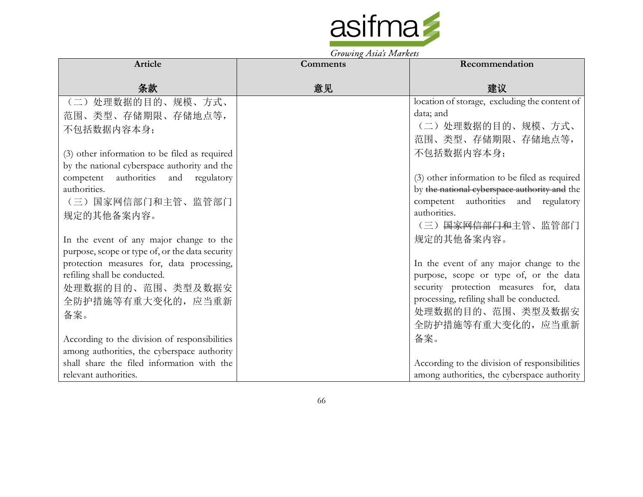

| Article                                         | <b>Comments</b> | Recommendation                                |
|-------------------------------------------------|-----------------|-----------------------------------------------|
| 条款                                              | 意见              | 建议                                            |
| (二) 处理数据的目的、规模、方式、                              |                 | location of storage, excluding the content of |
| 范围、类型、存储期限、存储地点等,                               |                 | data; and                                     |
| 不包括数据内容本身;                                      |                 | (二) 处理数据的目的、规模、方式、                            |
|                                                 |                 | 范围、类型、存储期限、存储地点等,                             |
| (3) other information to be filed as required   |                 | 不包括数据内容本身;                                    |
| by the national cyberspace authority and the    |                 |                                               |
| competent authorities and regulatory            |                 | (3) other information to be filed as required |
| authorities.                                    |                 | by the national cyberspace authority and the  |
| (三) 国家网信部门和主管、监管部门                              |                 | competent authorities and regulatory          |
| 规定的其他备案内容。                                      |                 | authorities.                                  |
|                                                 |                 | (三) 国家网信部门和主管、监管部门                            |
| In the event of any major change to the         |                 | 规定的其他备案内容。                                    |
| purpose, scope or type of, or the data security |                 |                                               |
| protection measures for, data processing,       |                 | In the event of any major change to the       |
| refiling shall be conducted.                    |                 | purpose, scope or type of, or the data        |
| 处理数据的目的、范围、类型及数据安                               |                 | security protection measures for, data        |
| 全防护措施等有重大变化的, 应当重新                              |                 | processing, refiling shall be conducted.      |
| 备案。                                             |                 | 处理数据的目的、范围、类型及数据安                             |
|                                                 |                 | 全防护措施等有重大变化的, 应当重新                            |
| According to the division of responsibilities   |                 | 备案。                                           |
| among authorities, the cyberspace authority     |                 |                                               |
| shall share the filed information with the      |                 | According to the division of responsibilities |
| relevant authorities.                           |                 | among authorities, the cyberspace authority   |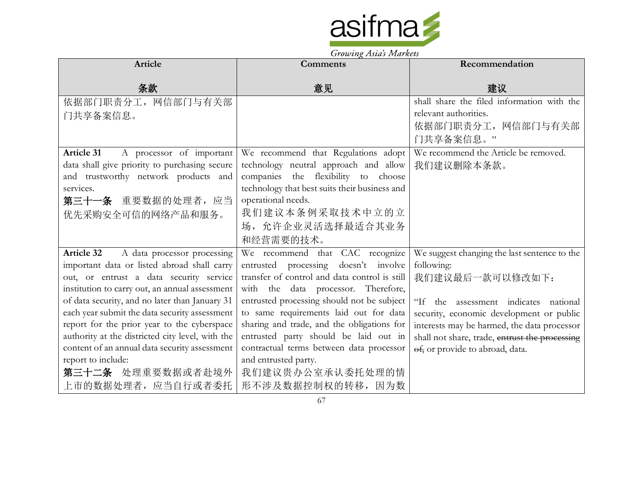

| Article                                          | $310\omega$ ing $15\omega$ s $11\omega$ rices<br>Comments | Recommendation                                 |
|--------------------------------------------------|-----------------------------------------------------------|------------------------------------------------|
|                                                  |                                                           |                                                |
| 条款                                               | 意见                                                        | 建议                                             |
| 依据部门职责分工, 网信部门与有关部                               |                                                           | shall share the filed information with the     |
| 门共享备案信息。                                         |                                                           | relevant authorities.                          |
|                                                  |                                                           | 依据部门职责分工, 网信部门与有关部                             |
|                                                  |                                                           | 门共享备案信息。"                                      |
| <b>Article 31</b><br>A processor of important    | We recommend that Regulations adopt                       | We recommend the Article be removed.           |
| data shall give priority to purchasing secure    | technology neutral approach and allow                     | 我们建议删除本条款。                                     |
| and trustworthy network products and             | companies the flexibility to choose                       |                                                |
| services.                                        | technology that best suits their business and             |                                                |
| 第三十一条 重要数据的处理者, 应当                               | operational needs.                                        |                                                |
| 优先采购安全可信的网络产品和服务。                                | 我们建议本条例采取技术中立的立                                           |                                                |
|                                                  | 场, 允许企业灵活选择最适合其业务                                         |                                                |
|                                                  | 和经营需要的技术。                                                 |                                                |
| <b>Article 32</b><br>A data processor processing | We recommend that CAC recognize                           | We suggest changing the last sentence to the   |
| important data or listed abroad shall carry      | entrusted processing doesn't involve                      | following:                                     |
| out, or entrust a data security service          | transfer of control and data control is still             | 我们建议最后一款可以修改如下:                                |
| institution to carry out, an annual assessment   | with the data processor. Therefore,                       |                                                |
| of data security, and no later than January 31   | entrusted processing should not be subject                | "If the assessment indicates national          |
| each year submit the data security assessment    | to same requirements laid out for data                    | security, economic development or public       |
| report for the prior year to the cyberspace      | sharing and trade, and the obligations for                | interests may be harmed, the data processor    |
| authority at the districted city level, with the | entrusted party should be laid out in                     | shall not share, trade, entrust the processing |
| content of an annual data security assessment    | contractual terms between data processor                  | of, or provide to abroad, data.                |
| report to include:                               | and entrusted party.                                      |                                                |
| 第三十二条 处理重要数据或者赴境外                                | 我们建议贵办公室承认委托处理的情                                          |                                                |
| 上市的数据处理者,应当自行或者委托                                | 形不涉及数据控制权的转移, 因为数                                         |                                                |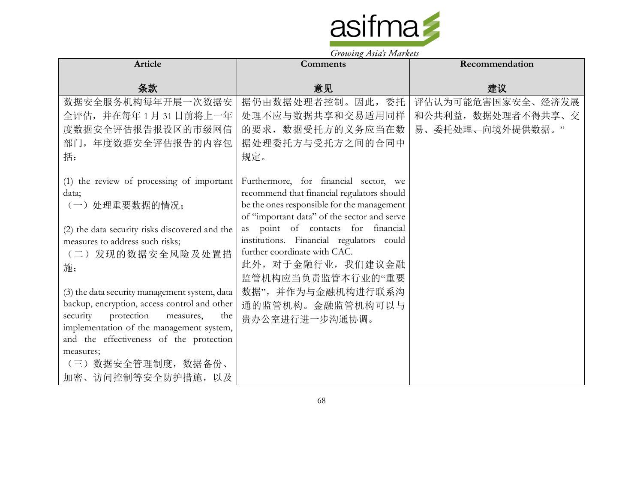

| Article                                                                                | <b>Comments</b>                                                                                                                                                                  | Recommendation                |
|----------------------------------------------------------------------------------------|----------------------------------------------------------------------------------------------------------------------------------------------------------------------------------|-------------------------------|
|                                                                                        |                                                                                                                                                                                  |                               |
| 条款                                                                                     | 意见                                                                                                                                                                               | 建议                            |
| 数据安全服务机构每年开展一次数据安                                                                      | 据仍由数据处理者控制。因此, 委托                                                                                                                                                                | 评估认为可能危害国家安全、经济发展             |
| 全评估, 并在每年1月31日前将上一年                                                                    | 处理不应与数据共享和交易适用同样                                                                                                                                                                 | 和公共利益, 数据处理者不得共享、交            |
| 度数据安全评估报告报设区的市级网信                                                                      | 的要求, 数据受托方的义务应当在数                                                                                                                                                                | 易、 <del>委托处理、</del> 向境外提供数据。" |
| 部门,年度数据安全评估报告的内容包                                                                      | 据处理委托方与受托方之间的合同中                                                                                                                                                                 |                               |
| 括:                                                                                     | 规定。                                                                                                                                                                              |                               |
| (1) the review of processing of important<br>data;<br>(一) 处理重要数据的情况;                   | Furthermore, for financial sector, we<br>recommend that financial regulators should<br>be the ones responsible for the management<br>of "important data" of the sector and serve |                               |
| (2) the data security risks discovered and the                                         | point of contacts for financial<br>as                                                                                                                                            |                               |
| measures to address such risks;                                                        | institutions. Financial regulators could<br>further coordinate with CAC.                                                                                                         |                               |
| (二)发现的数据安全风险及处置措<br>施;                                                                 | 此外, 对于金融行业, 我们建议金融                                                                                                                                                               |                               |
|                                                                                        | 监管机构应当负责监管本行业的"重要                                                                                                                                                                |                               |
| (3) the data security management system, data                                          | 数据",并作为与金融机构进行联系沟                                                                                                                                                                |                               |
| backup, encryption, access control and other                                           | 通的监管机构。金融监管机构可以与                                                                                                                                                                 |                               |
| security<br>protection<br>measures,<br>the<br>implementation of the management system, | 贵办公室进行进一步沟通协调。                                                                                                                                                                   |                               |
| and the effectiveness of the protection                                                |                                                                                                                                                                                  |                               |
| measures;                                                                              |                                                                                                                                                                                  |                               |
| (三) 数据安全管理制度, 数据备份、                                                                    |                                                                                                                                                                                  |                               |
| 加密、访问控制等安全防护措施, 以及                                                                     |                                                                                                                                                                                  |                               |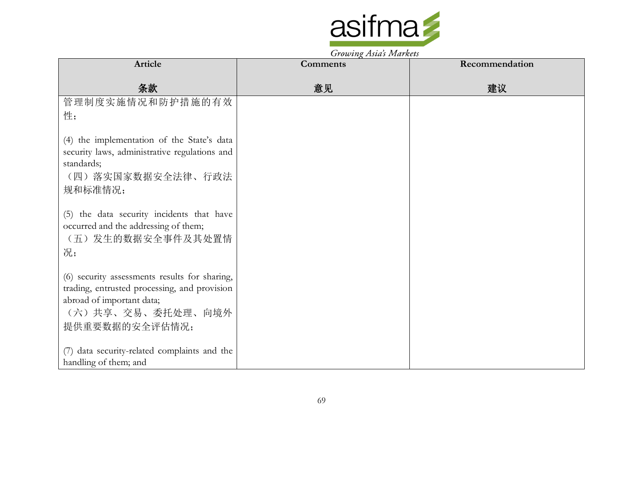

Growing Asia's Markets

| Article                                                                                                                                                           | $\sim$<br><b>Comments</b> | Recommendation |
|-------------------------------------------------------------------------------------------------------------------------------------------------------------------|---------------------------|----------------|
| 条款                                                                                                                                                                | 意见                        | 建议             |
| 管理制度实施情况和防护措施的有效<br>性;                                                                                                                                            |                           |                |
| (4) the implementation of the State's data<br>security laws, administrative regulations and<br>standards;<br>(四) 落实国家数据安全法律、行政法<br>规和标准情况;                        |                           |                |
| (5) the data security incidents that have<br>occurred and the addressing of them;<br>(五) 发生的数据安全事件及其处置情<br>况;                                                     |                           |                |
| (6) security assessments results for sharing,<br>trading, entrusted processing, and provision<br>abroad of important data;<br>(六)共享、交易、委托处理、向境外<br>提供重要数据的安全评估情况; |                           |                |
| (7) data security-related complaints and the<br>handling of them; and                                                                                             |                           |                |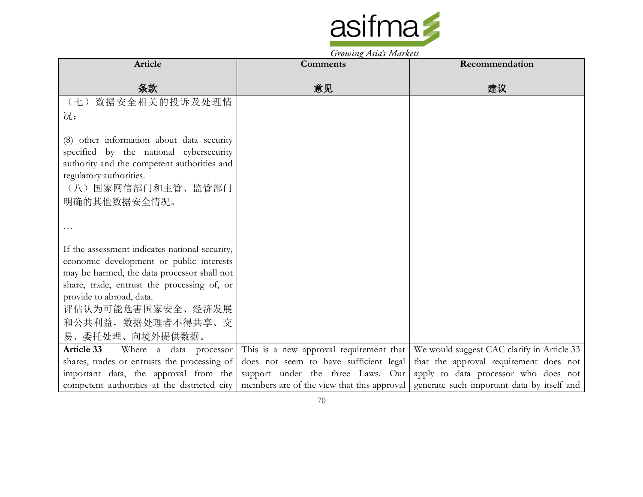

Growing Asia's Markets

|                                                | $\sigma$ owing the strainers               |                                            |
|------------------------------------------------|--------------------------------------------|--------------------------------------------|
| <b>Article</b>                                 | <b>Comments</b>                            | Recommendation                             |
|                                                |                                            |                                            |
| 条款                                             | 意见                                         | 建议                                         |
| (七) 数据安全相关的投诉及处理情                              |                                            |                                            |
| 况;                                             |                                            |                                            |
|                                                |                                            |                                            |
| (8) other information about data security      |                                            |                                            |
| specified by the national cybersecurity        |                                            |                                            |
| authority and the competent authorities and    |                                            |                                            |
| regulatory authorities.                        |                                            |                                            |
| (八) 国家网信部门和主管、监管部门                             |                                            |                                            |
| 明确的其他数据安全情况。                                   |                                            |                                            |
|                                                |                                            |                                            |
|                                                |                                            |                                            |
|                                                |                                            |                                            |
| If the assessment indicates national security, |                                            |                                            |
| economic development or public interests       |                                            |                                            |
| may be harmed, the data processor shall not    |                                            |                                            |
| share, trade, entrust the processing of, or    |                                            |                                            |
| provide to abroad, data.                       |                                            |                                            |
| 评估认为可能危害国家安全、经济发展                              |                                            |                                            |
| 和公共利益, 数据处理者不得共享、交                             |                                            |                                            |
| 易、委托处理、向境外提供数据。                                |                                            |                                            |
| Article 33<br>Where a data processor           | This is a new approval requirement that    | We would suggest CAC clarify in Article 33 |
| shares, trades or entrusts the processing of   | does not seem to have sufficient legal     | that the approval requirement does not     |
| important data, the approval from the          | support under the three Laws. Our          | apply to data processor who does not       |
| competent authorities at the districted city   | members are of the view that this approval | generate such important data by itself and |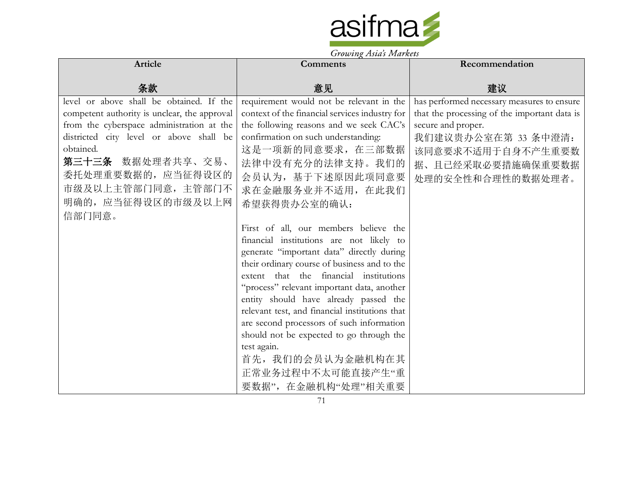

| Article                                      | $310\omega$ ing $15\omega$ s $11\omega$ rices<br>Comments | Recommendation                               |
|----------------------------------------------|-----------------------------------------------------------|----------------------------------------------|
|                                              |                                                           |                                              |
| 条款                                           | 意见                                                        | 建议                                           |
| level or above shall be obtained. If the     | requirement would not be relevant in the                  | has performed necessary measures to ensure   |
| competent authority is unclear, the approval | context of the financial services industry for            | that the processing of the important data is |
| from the cyberspace administration at the    | the following reasons and we seek CAC's                   | secure and proper.                           |
| districted city level or above shall be      | confirmation on such understanding:                       | 我们建议贵办公室在第 33 条中澄清:                          |
| obtained.                                    | 这是一项新的同意要求, 在三部数据                                         | 该同意要求不适用于自身不产生重要数                            |
| 第三十三条 数据处理者共享、交易、                            | 法律中没有充分的法律支持。我们的                                          | 据、且已经采取必要措施确保重要数据                            |
| 委托处理重要数据的,应当征得设区的                            | 会员认为, 基于下述原因此项同意要                                         | 处理的安全性和合理性的数据处理者。                            |
| 市级及以上主管部门同意, 主管部门不                           | 求在金融服务业并不适用, 在此我们                                         |                                              |
| 明确的, 应当征得设区的市级及以上网                           | 希望获得贵办公室的确认:                                              |                                              |
| 信部门同意。                                       |                                                           |                                              |
|                                              | First of all, our members believe the                     |                                              |
|                                              | financial institutions are not likely to                  |                                              |
|                                              | generate "important data" directly during                 |                                              |
|                                              | their ordinary course of business and to the              |                                              |
|                                              | extent that the financial institutions                    |                                              |
|                                              | "process" relevant important data, another                |                                              |
|                                              | entity should have already passed the                     |                                              |
|                                              | relevant test, and financial institutions that            |                                              |
|                                              | are second processors of such information                 |                                              |
|                                              | should not be expected to go through the                  |                                              |
|                                              | test again.                                               |                                              |
|                                              | 首先, 我们的会员认为金融机构在其                                         |                                              |
|                                              | 正常业务过程中不太可能直接产生"重                                         |                                              |
|                                              | 要数据", 在金融机构"处理"相关重要                                       |                                              |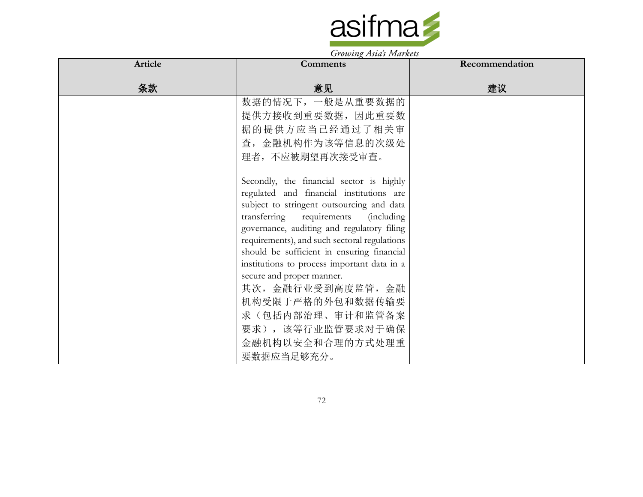

| Article | <b>Comments</b>                                                                            | Recommendation |
|---------|--------------------------------------------------------------------------------------------|----------------|
| 条款      | 意见                                                                                         | 建议             |
|         | 数据的情况下,一般是从重要数据的                                                                           |                |
|         | 提供方接收到重要数据, 因此重要数                                                                          |                |
|         | 据的提供方应当已经通过了相关审                                                                            |                |
|         | 查,金融机构作为该等信息的次级处                                                                           |                |
|         | 理者,不应被期望再次接受审查。                                                                            |                |
|         | Secondly, the financial sector is highly                                                   |                |
|         | regulated and financial institutions are                                                   |                |
|         | subject to stringent outsourcing and data                                                  |                |
|         | transferring requirements<br><i>(including)</i>                                            |                |
|         | governance, auditing and regulatory filing<br>requirements), and such sectoral regulations |                |
|         | should be sufficient in ensuring financial                                                 |                |
|         | institutions to process important data in a                                                |                |
|         | secure and proper manner.                                                                  |                |
|         | 其次,金融行业受到高度监管,金融                                                                           |                |
|         | 机构受限于严格的外包和数据传输要                                                                           |                |
|         | 求(包括内部治理、审计和监管备案                                                                           |                |
|         | 要求),该等行业监管要求对于确保                                                                           |                |
|         | 金融机构以安全和合理的方式处理重                                                                           |                |
|         | 要数据应当足够充分。                                                                                 |                |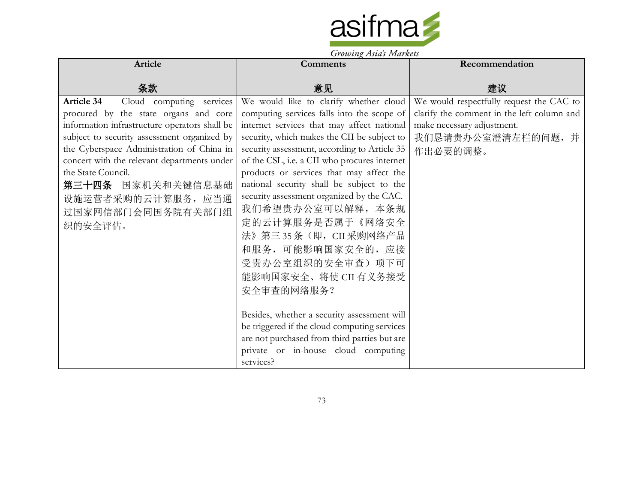

| Article                                                                                                                                                                                                                                                                                                                                                                             | <b>Comments</b>                                                                                                                                                                                                                                                                                                                                                                                                                                                                                                                                                                                                                                                                                                                                                           | Recommendation                                                                                                                                        |
|-------------------------------------------------------------------------------------------------------------------------------------------------------------------------------------------------------------------------------------------------------------------------------------------------------------------------------------------------------------------------------------|---------------------------------------------------------------------------------------------------------------------------------------------------------------------------------------------------------------------------------------------------------------------------------------------------------------------------------------------------------------------------------------------------------------------------------------------------------------------------------------------------------------------------------------------------------------------------------------------------------------------------------------------------------------------------------------------------------------------------------------------------------------------------|-------------------------------------------------------------------------------------------------------------------------------------------------------|
| 条款                                                                                                                                                                                                                                                                                                                                                                                  | 意见                                                                                                                                                                                                                                                                                                                                                                                                                                                                                                                                                                                                                                                                                                                                                                        | 建议                                                                                                                                                    |
| <b>Article 34</b><br>Cloud computing services<br>procured by the state organs and core<br>information infrastructure operators shall be<br>subject to security assessment organized by<br>the Cyberspace Administration of China in<br>concert with the relevant departments under<br>the State Council.<br>第三十四条 国家机关和关键信息基础<br>设施运营者采购的云计算服务, 应当通<br>过国家网信部门会同国务院有关部门组<br>织的安全评估。 | We would like to clarify whether cloud<br>computing services falls into the scope of<br>internet services that may affect national<br>security, which makes the CII be subject to<br>security assessment, according to Article 35<br>of the CSL, i.e. a CII who procures internet<br>products or services that may affect the<br>national security shall be subject to the<br>security assessment organized by the CAC.<br>我们希望贵办公室可以解释, 本条规<br>定的云计算服务是否属于《网络安全<br>法》第三35条(即, CII采购网络产品<br>和服务,可能影响国家安全的,应接<br>受贵办公室组织的安全审查)项下可<br>能影响国家安全、将使 CII 有义务接受<br>安全审查的网络服务?<br>Besides, whether a security assessment will<br>be triggered if the cloud computing services<br>are not purchased from third parties but are<br>private or in-house cloud computing<br>services? | We would respectfully request the CAC to<br>clarify the comment in the left column and<br>make necessary adjustment.<br>我们恳请贵办公室澄清左栏的问题,并<br>作出必要的调整。 |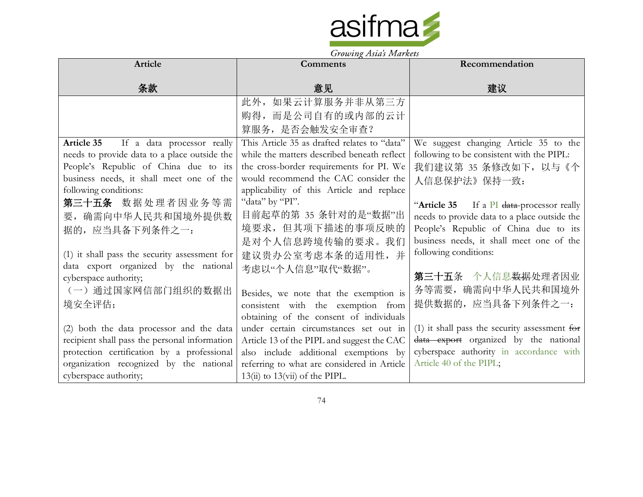

| Article                                       | <b>Comments</b>                              | Recommendation                                |
|-----------------------------------------------|----------------------------------------------|-----------------------------------------------|
| 条款                                            | 意见                                           | 建议                                            |
|                                               | 此外,如果云计算服务并非从第三方                             |                                               |
|                                               | 购得,而是公司自有的或内部的云计                             |                                               |
|                                               | 算服务, 是否会触发安全审查?                              |                                               |
| Article 35<br>If a data processor really      | This Article 35 as drafted relates to "data" | We suggest changing Article 35 to the         |
| needs to provide data to a place outside the  | while the matters described beneath reflect  | following to be consistent with the PIPL:     |
| People's Republic of China due to its         | the cross-border requirements for PI. We     | 我们建议第 35 条修改如下,以与《个                           |
| business needs, it shall meet one of the      | would recommend the CAC consider the         | 人信息保护法》保持一致:                                  |
| following conditions:                         | applicability of this Article and replace    |                                               |
| 第三十五条 数据处理者因业务等需                              | "data" by "PI".                              | "Article 35 If a PI data-processor really     |
| 要, 确需向中华人民共和国境外提供数                            | 目前起草的第 35 条针对的是"数据"出                         | needs to provide data to a place outside the  |
| 据的, 应当具备下列条件之一:                               | 境要求,但其项下描述的事项反映的                             | People's Republic of China due to its         |
|                                               | 是对个人信息跨境传输的要求。我们                             | business needs, it shall meet one of the      |
| (1) it shall pass the security assessment for | 建议贵办公室考虑本条的适用性,并                             | following conditions:                         |
| data export organized by the national         | 考虑以"个人信息"取代"数据"。                             |                                               |
| cyberspace authority;                         |                                              | <b>第三十五</b> 条 个人信息 <del>数据</del> 处理者因业        |
| (一) 通过国家网信部门组织的数据出                            | Besides, we note that the exemption is       | 务等需要, 确需向中华人民共和国境外                            |
| 境安全评估;                                        | consistent with the exemption from           | 提供数据的, 应当具备下列条件之一:                            |
|                                               | obtaining of the consent of individuals      |                                               |
| (2) both the data processor and the data      | under certain circumstances set out in       | (1) it shall pass the security assessment for |
| recipient shall pass the personal information | Article 13 of the PIPL and suggest the CAC   | data export organized by the national         |
| protection certification by a professional    | also include additional exemptions by        | cyberspace authority in accordance with       |
| organization recognized by the national       | referring to what are considered in Article  | Article 40 of the PIPL;                       |
| cyberspace authority;                         | $13(ii)$ to $13(vii)$ of the PIPL.           |                                               |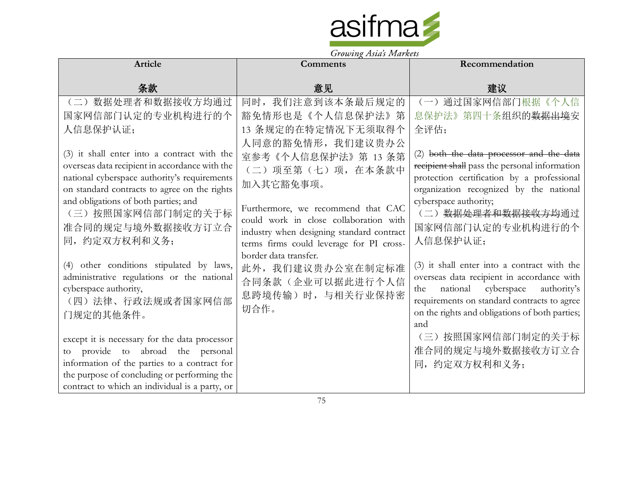

| Article                                                                              |                                                                   |                                                                  |
|--------------------------------------------------------------------------------------|-------------------------------------------------------------------|------------------------------------------------------------------|
|                                                                                      | Comments                                                          | Recommendation                                                   |
| 条款                                                                                   | 意见                                                                | 建议                                                               |
| (二)数据处理者和数据接收方均通过                                                                    | 同时,我们注意到该本条最后规定的                                                  | (一) 通过国家网信部门根据《个人信                                               |
| 国家网信部门认定的专业机构进行的个                                                                    | 豁免情形也是《个人信息保护法》第                                                  | 息保护法》第四十条组织的 <del>数据出境</del> 安                                   |
| 人信息保护认证;                                                                             | 13 条规定的在特定情况下无须取得个                                                | 全评估;                                                             |
|                                                                                      | 人同意的豁免情形, 我们建议贵办公                                                 |                                                                  |
| (3) it shall enter into a contract with the                                          | 室参考《个人信息保护法》第 13 条第                                               | (2) both the data processor and the data                         |
| overseas data recipient in accordance with the                                       | (二)项至第(七)项,在本条款中                                                  | recipient shall pass the personal information                    |
| national cyberspace authority's requirements                                         | 加入其它豁免事项。                                                         | protection certification by a professional                       |
| on standard contracts to agree on the rights<br>and obligations of both parties; and |                                                                   | organization recognized by the national<br>cyberspace authority; |
| (三) 按照国家网信部门制定的关于标                                                                   | Furthermore, we recommend that CAC                                | (二)数据处理者和数据接收方均通过                                                |
| 准合同的规定与境外数据接收方订立合                                                                    | could work in close collaboration with                            | 国家网信部门认定的专业机构进行的个                                                |
| 同,约定双方权利和义务;                                                                         | industry when designing standard contract                         | 人信息保护认证;                                                         |
|                                                                                      | terms firms could leverage for PI cross-<br>border data transfer. |                                                                  |
| (4) other conditions stipulated by laws,                                             | 此外, 我们建议贵办公室在制定标准                                                 | (3) it shall enter into a contract with the                      |
| administrative regulations or the national                                           | 合同条款(企业可以据此进行个人信                                                  | overseas data recipient in accordance with                       |
| cyberspace authority,                                                                | 息跨境传输)时,与相关行业保持密                                                  | national<br>cyberspace<br>authority's<br>the                     |
| (四)法律、行政法规或者国家网信部                                                                    | 切合作。                                                              | requirements on standard contracts to agree                      |
| 门规定的其他条件。                                                                            |                                                                   | on the rights and obligations of both parties;                   |
|                                                                                      |                                                                   | and<br>(三) 按照国家网信部门制定的关于标                                        |
| except it is necessary for the data processor                                        |                                                                   |                                                                  |
| to provide to abroad the personal<br>information of the parties to a contract for    |                                                                   | 准合同的规定与境外数据接收方订立合                                                |
| the purpose of concluding or performing the                                          |                                                                   | 同,约定双方权利和义务;                                                     |
| contract to which an individual is a party, or                                       |                                                                   |                                                                  |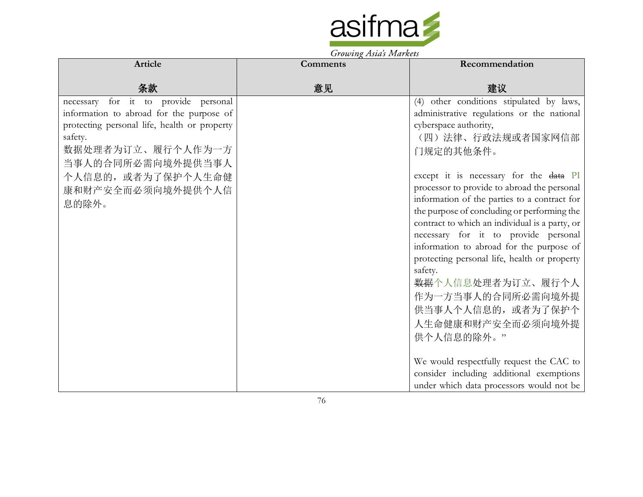

| Article                                                                                                                                                                                                                                   | <b>Comments</b> | Recommendation                                                                                                                                                                                                                                                                                                                                                                                                                                   |
|-------------------------------------------------------------------------------------------------------------------------------------------------------------------------------------------------------------------------------------------|-----------------|--------------------------------------------------------------------------------------------------------------------------------------------------------------------------------------------------------------------------------------------------------------------------------------------------------------------------------------------------------------------------------------------------------------------------------------------------|
| 条款                                                                                                                                                                                                                                        | 意见              | 建议                                                                                                                                                                                                                                                                                                                                                                                                                                               |
| necessary for it to provide personal<br>information to abroad for the purpose of<br>protecting personal life, health or property<br>safety.<br>数据处理者为订立、履行个人作为一方<br>当事人的合同所必需向境外提供当事人<br>个人信息的, 或者为了保护个人生命健<br>康和财产安全而必须向境外提供个人信<br>息的除外。 |                 | (4) other conditions stipulated by laws,<br>administrative regulations or the national<br>cyberspace authority,<br>(四)法律、行政法规或者国家网信部<br>门规定的其他条件。<br>except it is necessary for the data PI<br>processor to provide to abroad the personal<br>information of the parties to a contract for<br>the purpose of concluding or performing the                                                                                                        |
|                                                                                                                                                                                                                                           |                 | contract to which an individual is a party, or<br>necessary for it to provide personal<br>information to abroad for the purpose of<br>protecting personal life, health or property<br>safety.<br><del>数据</del> 个人信息处理者为订立、履行个人<br>作为一方当事人的合同所必需向境外提<br>供当事人个人信息的, 或者为了保护个<br>人生命健康和财产安全而必须向境外提<br>供个人信息的除外。"<br>We would respectfully request the CAC to<br>consider including additional exemptions<br>under which data processors would not be |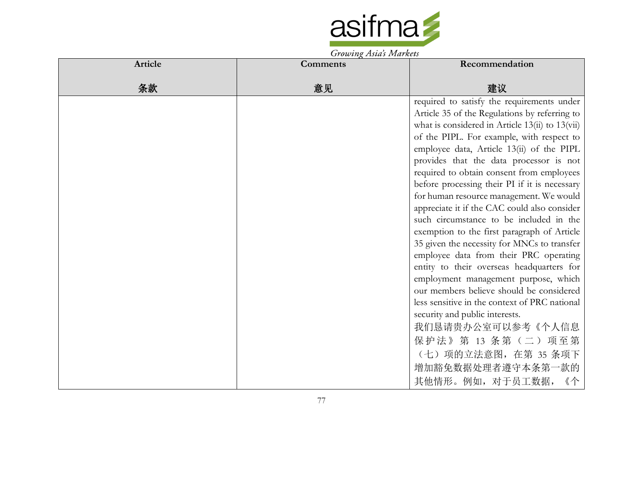

| Article | <b>Comments</b> | Recommendation                                  |
|---------|-----------------|-------------------------------------------------|
| 条款      | 意见              | 建议                                              |
|         |                 | required to satisfy the requirements under      |
|         |                 | Article 35 of the Regulations by referring to   |
|         |                 | what is considered in Article 13(ii) to 13(vii) |
|         |                 | of the PIPL. For example, with respect to       |
|         |                 | employee data, Article 13(ii) of the PIPL       |
|         |                 | provides that the data processor is not         |
|         |                 | required to obtain consent from employees       |
|         |                 | before processing their PI if it is necessary   |
|         |                 | for human resource management. We would         |
|         |                 | appreciate it if the CAC could also consider    |
|         |                 | such circumstance to be included in the         |
|         |                 | exemption to the first paragraph of Article     |
|         |                 | 35 given the necessity for MNCs to transfer     |
|         |                 | employee data from their PRC operating          |
|         |                 | entity to their overseas headquarters for       |
|         |                 | employment management purpose, which            |
|         |                 | our members believe should be considered        |
|         |                 | less sensitive in the context of PRC national   |
|         |                 | security and public interests.                  |
|         |                 | 我们恳请贵办公室可以参考《个人信息                               |
|         |                 | 保护法》第 13 条第 (二) 项至第                             |
|         |                 | (七) 项的立法意图, 在第 35 条项下                           |
|         |                 | 增加豁免数据处理者遵守本条第一款的                               |
|         |                 | 其他情形。例如, 对于员工数据,<br>《个                          |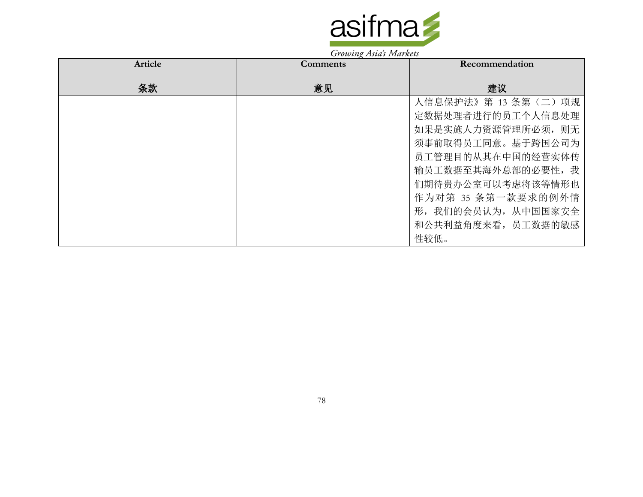

| Article | <b>Comments</b> | Recommendation        |
|---------|-----------------|-----------------------|
| 条款      | 意见              | 建议                    |
|         |                 | 人信息保护法》第 13 条第 (二) 项规 |
|         |                 | 定数据处理者进行的员工个人信息处理     |
|         |                 | 如果是实施人力资源管理所必须, 则无    |
|         |                 | 须事前取得员工同意。基于跨国公司为     |
|         |                 | 员工管理目的从其在中国的经营实体传     |
|         |                 | 输员工数据至其海外总部的必要性,我     |
|         |                 | 们期待贵办公室可以考虑将该等情形也     |
|         |                 | 作为对第 35 条第一款要求的例外情    |
|         |                 | 形, 我们的会员认为, 从中国国家安全   |
|         |                 | 和公共利益角度来看, 员工数据的敏感    |
|         |                 | 性较低。                  |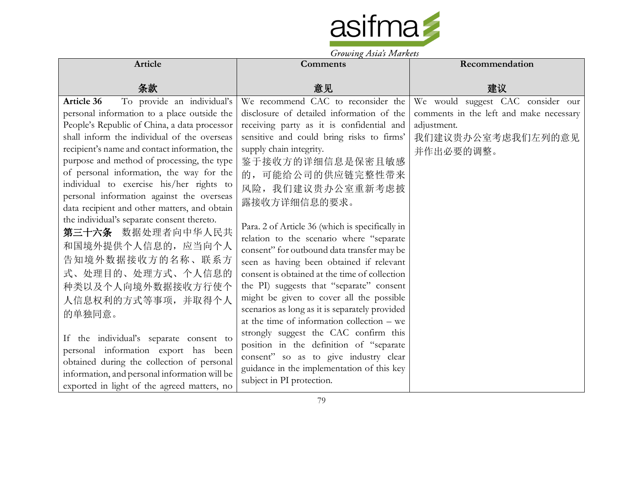

|                                               | Growing Asias Indiana                           |                                         |
|-----------------------------------------------|-------------------------------------------------|-----------------------------------------|
| Article                                       | Comments                                        | Recommendation                          |
| 条款                                            | 意见                                              | 建议                                      |
| To provide an individual's<br>Article 36      | We recommend CAC to reconsider the              | We would suggest CAC consider our       |
| personal information to a place outside the   | disclosure of detailed information of the       | comments in the left and make necessary |
| People's Republic of China, a data processor  | receiving party as it is confidential and       | adjustment.                             |
| shall inform the individual of the overseas   | sensitive and could bring risks to firms'       | 我们建议贵办公室考虑我们左列的意见                       |
| recipient's name and contact information, the | supply chain integrity.                         | 并作出必要的调整。                               |
| purpose and method of processing, the type    | 鉴于接收方的详细信息是保密且敏感                                |                                         |
| of personal information, the way for the      | 的,可能给公司的供应链完整性带来                                |                                         |
| individual to exercise his/her rights to      | 风险, 我们建议贵办公室重新考虑披                               |                                         |
| personal information against the overseas     | 露接收方详细信息的要求。                                    |                                         |
| data recipient and other matters, and obtain  |                                                 |                                         |
| the individual's separate consent thereto.    | Para. 2 of Article 36 (which is specifically in |                                         |
| 第三十六条 数据处理者向中华人民共                             | relation to the scenario where "separate        |                                         |
| 和国境外提供个人信息的, 应当向个人                            | consent" for outbound data transfer may be      |                                         |
| 告知境外数据接收方的名称、联系方                              | seen as having been obtained if relevant        |                                         |
| 式、处理目的、处理方式、个人信息的                             | consent is obtained at the time of collection   |                                         |
| 种类以及个人向境外数据接收方行使个                             | the PI) suggests that "separate" consent        |                                         |
| 人信息权利的方式等事项,并取得个人                             | might be given to cover all the possible        |                                         |
| 的单独同意。                                        | scenarios as long as it is separately provided  |                                         |
|                                               | at the time of information collection $-$ we    |                                         |
| If the individual's separate consent to       | strongly suggest the CAC confirm this           |                                         |
| personal information export has been          | position in the definition of "separate         |                                         |
| obtained during the collection of personal    | consent" so as to give industry clear           |                                         |
| information, and personal information will be | guidance in the implementation of this key      |                                         |
| exported in light of the agreed matters, no   | subject in PI protection.                       |                                         |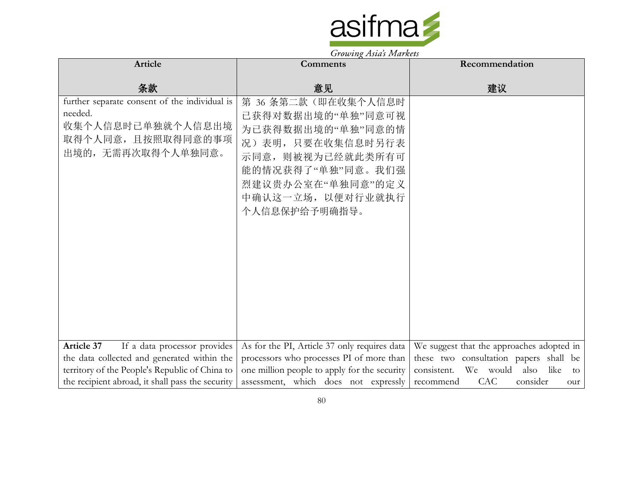

|                                                                                                                         | $\sigma$ owing the strainers                                                                                                                                                           |                                            |
|-------------------------------------------------------------------------------------------------------------------------|----------------------------------------------------------------------------------------------------------------------------------------------------------------------------------------|--------------------------------------------|
| Article                                                                                                                 | Comments                                                                                                                                                                               | Recommendation                             |
|                                                                                                                         |                                                                                                                                                                                        |                                            |
| 条款                                                                                                                      | 意见                                                                                                                                                                                     | 建议                                         |
| further separate consent of the individual is<br>needed.<br>收集个人信息时已单独就个人信息出境<br>取得个人同意,且按照取得同意的事项<br>出境的,无需再次取得个人单独同意。 | 第 36 条第二款(即在收集个人信息时<br>已获得对数据出境的"单独"同意可视<br>为已获得数据出境的"单独"同意的情<br>况)表明,只要在收集信息时另行表<br>示同意, 则被视为已经就此类所有可<br>能的情况获得了"单独"同意。我们强<br>烈建议贵办公室在"单独同意"的定义<br>中确认这一立场, 以便对行业就执行<br>个人信息保护给予明确指导。 |                                            |
| Article 37<br>If a data processor provides                                                                              | As for the PI, Article 37 only requires data                                                                                                                                           | We suggest that the approaches adopted in  |
| the data collected and generated within the                                                                             | processors who processes PI of more than                                                                                                                                               | these two consultation papers shall be     |
| territory of the People's Republic of China to                                                                          | one million people to apply for the security                                                                                                                                           | consistent. We would<br>also<br>like<br>to |
|                                                                                                                         |                                                                                                                                                                                        |                                            |
| the recipient abroad, it shall pass the security                                                                        | assessment, which does not expressly                                                                                                                                                   | consider<br>CAC .<br>recommend<br>our      |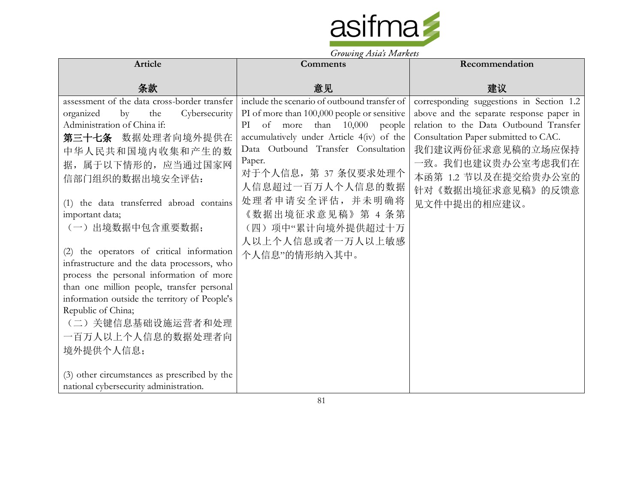

|                                                                                                   | $\sigma$ owing the strain $\sigma$                                                          |                                                                                      |
|---------------------------------------------------------------------------------------------------|---------------------------------------------------------------------------------------------|--------------------------------------------------------------------------------------|
| Article                                                                                           | <b>Comments</b>                                                                             | Recommendation                                                                       |
| 条款                                                                                                | 意见                                                                                          | 建议                                                                                   |
| assessment of the data cross-border transfer<br>organized<br>Cybersecurity<br>$\mathbf{b}$<br>the | include the scenario of outbound transfer of<br>PI of more than 100,000 people or sensitive | corresponding suggestions in Section 1.2<br>above and the separate response paper in |
| Administration of China if:<br>第三十七条 数据处理者向境外提供在                                                  | PI of more<br>than $10,000$ people<br>accumulatively under Article 4(iv) of the             | relation to the Data Outbound Transfer<br>Consultation Paper submitted to CAC.       |
| 中华人民共和国境内收集和产生的数                                                                                  | Data Outbound Transfer Consultation                                                         | 我们建议两份征求意见稿的立场应保持                                                                    |
| 据, 属于以下情形的, 应当通过国家网<br>信部门组织的数据出境安全评估:                                                            | Paper.<br>对于个人信息, 第 37 条仅要求处理个<br>人信息超过一百万人个人信息的数据                                          | 一致。我们也建议贵办公室考虑我们在<br>本函第 1.2 节以及在提交给贵办公室的<br>针对《数据出境征求意见稿》的反馈意                       |
| (1) the data transferred abroad contains<br>important data;                                       | 处理者申请安全评估,并未明确将<br>《数据出境征求意见稿》第 4 条第                                                        | 见文件中提出的相应建议。                                                                         |
| (一)出境数据中包含重要数据;                                                                                   | (四)项中"累计向境外提供超过十万<br>人以上个人信息或者一万人以上敏感                                                       |                                                                                      |
| (2) the operators of critical information<br>infrastructure and the data processors, who          | 个人信息"的情形纳入其中。                                                                               |                                                                                      |
| process the personal information of more<br>than one million people, transfer personal            |                                                                                             |                                                                                      |
| information outside the territory of People's                                                     |                                                                                             |                                                                                      |
| Republic of China;<br>(二)关键信息基础设施运营者和处理                                                           |                                                                                             |                                                                                      |
| 一百万人以上个人信息的数据处理者向                                                                                 |                                                                                             |                                                                                      |
| 境外提供个人信息;                                                                                         |                                                                                             |                                                                                      |
| (3) other circumstances as prescribed by the                                                      |                                                                                             |                                                                                      |
| national cybersecurity administration.                                                            |                                                                                             |                                                                                      |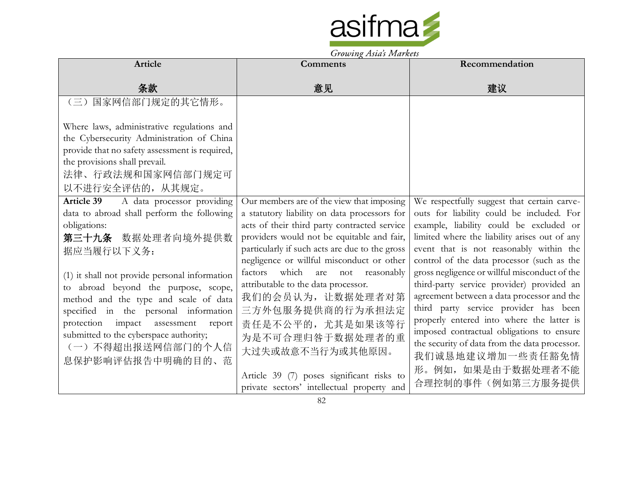

|                                                                                                                                                                                                                                                                                                                                                                                                                                                          | Growing Asias Indiana                                                                                                                                                                                                                                                                                                                  |                                                                                                                                                                                                                                                                                                                                            |
|----------------------------------------------------------------------------------------------------------------------------------------------------------------------------------------------------------------------------------------------------------------------------------------------------------------------------------------------------------------------------------------------------------------------------------------------------------|----------------------------------------------------------------------------------------------------------------------------------------------------------------------------------------------------------------------------------------------------------------------------------------------------------------------------------------|--------------------------------------------------------------------------------------------------------------------------------------------------------------------------------------------------------------------------------------------------------------------------------------------------------------------------------------------|
| Article                                                                                                                                                                                                                                                                                                                                                                                                                                                  | <b>Comments</b>                                                                                                                                                                                                                                                                                                                        | Recommendation                                                                                                                                                                                                                                                                                                                             |
| 条款                                                                                                                                                                                                                                                                                                                                                                                                                                                       | 意见                                                                                                                                                                                                                                                                                                                                     | 建议                                                                                                                                                                                                                                                                                                                                         |
| 国家网信部门规定的其它情形。<br>$(\equiv)$<br>Where laws, administrative regulations and<br>the Cybersecurity Administration of China<br>provide that no safety assessment is required,<br>the provisions shall prevail.<br>法律、行政法规和国家网信部门规定可<br>以不进行安全评估的, 从其规定。<br><b>Article 39</b><br>A data processor providing<br>data to abroad shall perform the following<br>obligations:<br>第三十九条 数据处理者向境外提供数<br>据应当履行以下义务:<br>(1) it shall not provide personal information | Our members are of the view that imposing<br>a statutory liability on data processors for<br>acts of their third party contracted service<br>providers would not be equitable and fair,<br>particularly if such acts are due to the gross<br>negligence or willful misconduct or other<br>which<br>factors<br>are<br>reasonably<br>not | We respectfully suggest that certain carve-<br>outs for liability could be included. For<br>example, liability could be excluded or<br>limited where the liability arises out of any<br>event that is not reasonably within the<br>control of the data processor (such as the<br>gross negligence or willful misconduct of the             |
| to abroad beyond the purpose, scope,<br>method and the type and scale of data<br>specified in the personal information<br>protection impact assessment<br>report<br>submitted to the cyberspace authority;<br>(一)不得超出报送网信部门的个人信<br>息保护影响评估报告中明确的目的、范                                                                                                                                                                                                     | attributable to the data processor.<br>我们的会员认为, 让数据处理者对第<br>三方外包服务提供商的行为承担法定<br>责任是不公平的, 尤其是如果该等行<br>为是不可合理归咎于数据处理者的重<br>大过失或故意不当行为或其他原因。<br>Article 39 (7) poses significant risks to<br>private sectors' intellectual property and                                                                                                   | third-party service provider) provided an<br>agreement between a data processor and the<br>third party service provider has been<br>properly entered into where the latter is<br>imposed contractual obligations to ensure<br>the security of data from the data processor.<br>我们诚恳地建议增加一些责任豁免情<br>形。例如, 如果是由于数据处理者不能<br>合理控制的事件(例如第三方服务提供 |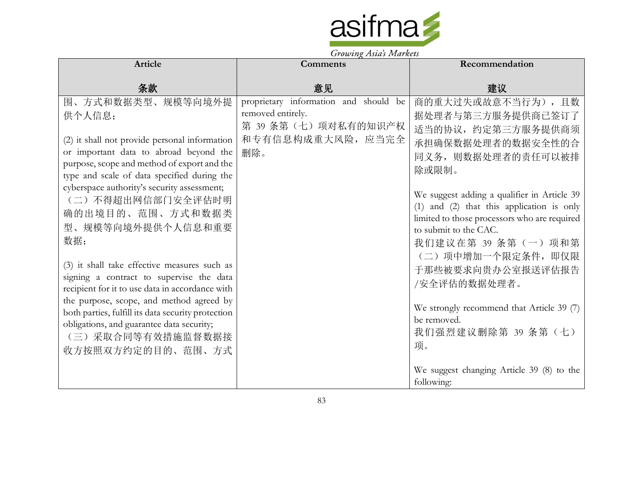

| Article                                                                                                                                                                                                                                                                                                                                                                                                                                                                                                                                                                                                                                                                           | $\sim$<br><b>Comments</b>                                                                                     | Recommendation                                                                                                                                                                                                                                                                                                                                                                                                                                                                                                  |
|-----------------------------------------------------------------------------------------------------------------------------------------------------------------------------------------------------------------------------------------------------------------------------------------------------------------------------------------------------------------------------------------------------------------------------------------------------------------------------------------------------------------------------------------------------------------------------------------------------------------------------------------------------------------------------------|---------------------------------------------------------------------------------------------------------------|-----------------------------------------------------------------------------------------------------------------------------------------------------------------------------------------------------------------------------------------------------------------------------------------------------------------------------------------------------------------------------------------------------------------------------------------------------------------------------------------------------------------|
| 条款                                                                                                                                                                                                                                                                                                                                                                                                                                                                                                                                                                                                                                                                                | 意见                                                                                                            | 建议                                                                                                                                                                                                                                                                                                                                                                                                                                                                                                              |
| 围、方式和数据类型、规模等向境外提<br>供个人信息;<br>(2) it shall not provide personal information<br>or important data to abroad beyond the<br>purpose, scope and method of export and the<br>type and scale of data specified during the<br>cyberspace authority's security assessment;<br>(二) 不得超出网信部门安全评估时明<br>确的出境目的、范围、方式和数据类<br>型、规模等向境外提供个人信息和重要<br>数据;<br>(3) it shall take effective measures such as<br>signing a contract to supervise the data<br>recipient for it to use data in accordance with<br>the purpose, scope, and method agreed by<br>both parties, fulfill its data security protection<br>obligations, and guarantee data security;<br>(三)采取合同等有效措施监督数据接<br>收方按照双方约定的目的、范围、方式 | proprietary information and should be<br>removed entirely.<br>第 39 条第(七)项对私有的知识产权<br>和专有信息构成重大风险, 应当完全<br>删除。 | 商的重大过失或故意不当行为),且数<br>据处理者与第三方服务提供商已签订了<br>适当的协议, 约定第三方服务提供商须<br>承担确保数据处理者的数据安全性的合<br>同义务, 则数据处理者的责任可以被排<br>除或限制。<br>We suggest adding a qualifier in Article 39<br>(1) and (2) that this application is only<br>limited to those processors who are required<br>to submit to the CAC.<br>我们建议在第 39 条第 (一) 项和第<br>(二) 项中增加一个限定条件, 即仅限<br>于那些被要求向贵办公室报送评估报告<br>/安全评估的数据处理者。<br>We strongly recommend that Article 39 (7)<br>be removed.<br>我们强烈建议删除第 39 条第 (七)<br>项。<br>We suggest changing Article 39 (8) to the |
|                                                                                                                                                                                                                                                                                                                                                                                                                                                                                                                                                                                                                                                                                   |                                                                                                               | following:                                                                                                                                                                                                                                                                                                                                                                                                                                                                                                      |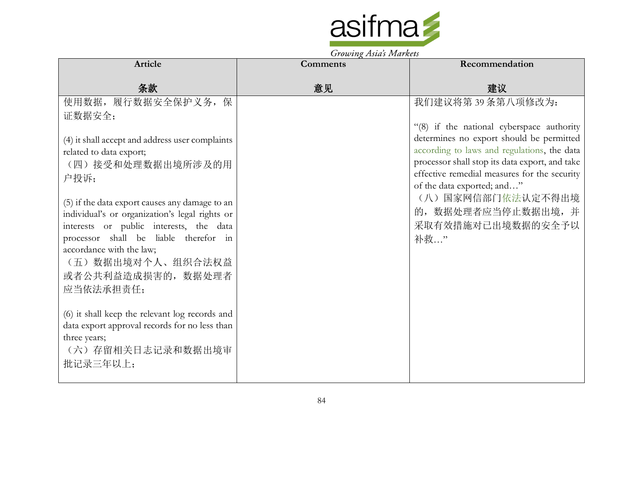

| <b>Article</b>                                                                   | Comments | Recommendation                                                                                 |
|----------------------------------------------------------------------------------|----------|------------------------------------------------------------------------------------------------|
| 条款                                                                               | 意见       | 建议                                                                                             |
| 使用数据, 履行数据安全保护义务, 保                                                              |          | 我们建议将第39条第八项修改为:                                                                               |
| 证数据安全;                                                                           |          | "(8) if the national cyberspace authority                                                      |
| (4) it shall accept and address user complaints                                  |          | determines no export should be permitted                                                       |
| related to data export;                                                          |          | according to laws and regulations, the data                                                    |
| (四)接受和处理数据出境所涉及的用                                                                |          | processor shall stop its data export, and take<br>effective remedial measures for the security |
| 户投诉;                                                                             |          | of the data exported; and"                                                                     |
| (5) if the data export causes any damage to an                                   |          | (八) 国家网信部门依法认定不得出境                                                                             |
| individual's or organization's legal rights or                                   |          | 的, 数据处理者应当停止数据出境, 并                                                                            |
| interests or public interests, the data<br>processor shall be liable therefor in |          | 采取有效措施对已出境数据的安全予以                                                                              |
| accordance with the law;                                                         |          | 补救"                                                                                            |
| (五) 数据出境对个人、组织合法权益                                                               |          |                                                                                                |
| 或者公共利益造成损害的, 数据处理者                                                               |          |                                                                                                |
| 应当依法承担责任;                                                                        |          |                                                                                                |
| (6) it shall keep the relevant log records and                                   |          |                                                                                                |
| data export approval records for no less than                                    |          |                                                                                                |
| three years;                                                                     |          |                                                                                                |
| (六)存留相关日志记录和数据出境审<br>批记录三年以上;                                                    |          |                                                                                                |
|                                                                                  |          |                                                                                                |

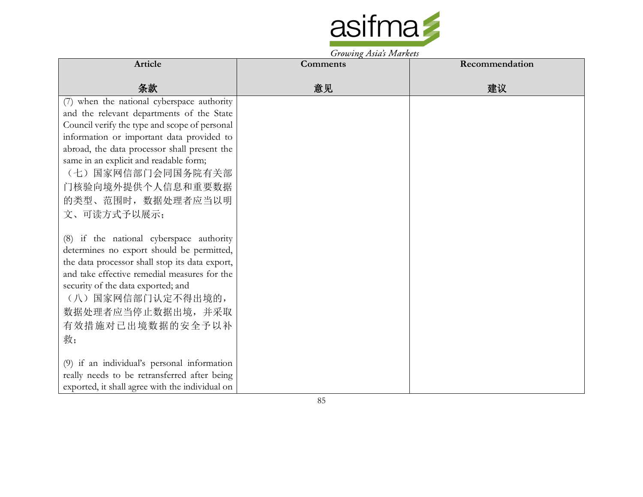

| Article                                         | Comments | Recommendation |
|-------------------------------------------------|----------|----------------|
|                                                 |          |                |
| 条款                                              | 意见       | 建议             |
| (7) when the national cyberspace authority      |          |                |
| and the relevant departments of the State       |          |                |
| Council verify the type and scope of personal   |          |                |
| information or important data provided to       |          |                |
| abroad, the data processor shall present the    |          |                |
| same in an explicit and readable form;          |          |                |
| (七) 国家网信部门会同国务院有关部                              |          |                |
| 门核验向境外提供个人信息和重要数据                               |          |                |
| 的类型、范围时, 数据处理者应当以明                              |          |                |
| 文、可读方式予以展示;                                     |          |                |
|                                                 |          |                |
| (8) if the national cyberspace authority        |          |                |
| determines no export should be permitted,       |          |                |
| the data processor shall stop its data export,  |          |                |
| and take effective remedial measures for the    |          |                |
| security of the data exported; and              |          |                |
| (八)国家网信部门认定不得出境的,                               |          |                |
| 数据处理者应当停止数据出境, 并采取                              |          |                |
| 有效措施对已出境数据的安全予以补                                |          |                |
| 救;                                              |          |                |
|                                                 |          |                |
| (9) if an individual's personal information     |          |                |
| really needs to be retransferred after being    |          |                |
| exported, it shall agree with the individual on |          |                |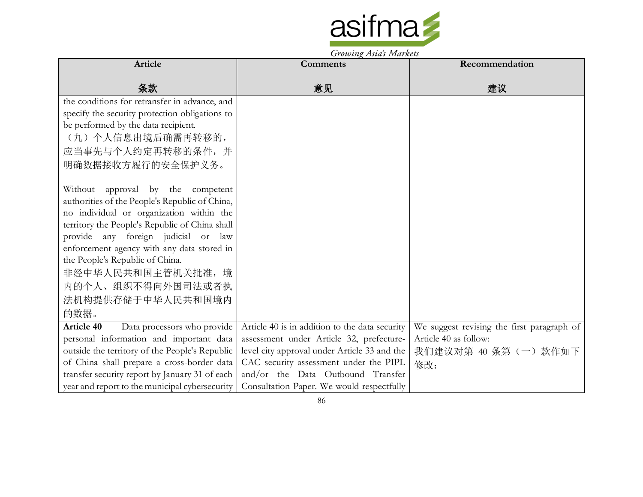

|                                                  | Growing Asias Indiana                          |                                            |
|--------------------------------------------------|------------------------------------------------|--------------------------------------------|
| Article                                          | <b>Comments</b>                                | Recommendation                             |
| 条款                                               | 意见                                             | 建议                                         |
| the conditions for retransfer in advance, and    |                                                |                                            |
| specify the security protection obligations to   |                                                |                                            |
| be performed by the data recipient.              |                                                |                                            |
| (九) 个人信息出境后确需再转移的,                               |                                                |                                            |
| 应当事先与个人约定再转移的条件,并                                |                                                |                                            |
| 明确数据接收方履行的安全保护义务。                                |                                                |                                            |
|                                                  |                                                |                                            |
| Without approval by the competent                |                                                |                                            |
| authorities of the People's Republic of China,   |                                                |                                            |
| no individual or organization within the         |                                                |                                            |
| territory the People's Republic of China shall   |                                                |                                            |
| provide any foreign judicial or law              |                                                |                                            |
| enforcement agency with any data stored in       |                                                |                                            |
| the People's Republic of China.                  |                                                |                                            |
| 非经中华人民共和国主管机关批准,境                                |                                                |                                            |
| 内的个人、组织不得向外国司法或者执                                |                                                |                                            |
| 法机构提供存储于中华人民共和国境内                                |                                                |                                            |
| 的数据。                                             |                                                |                                            |
| <b>Article 40</b><br>Data processors who provide | Article 40 is in addition to the data security | We suggest revising the first paragraph of |
| personal information and important data          | assessment under Article 32, prefecture-       | Article 40 as follow:                      |
| outside the territory of the People's Republic   | level city approval under Article 33 and the   | 我们建议对第 40 条第 (一) 款作如下                      |
| of China shall prepare a cross-border data       | CAC security assessment under the PIPL         | 修改:                                        |
| transfer security report by January 31 of each   | and/or the Data Outbound Transfer              |                                            |
| year and report to the municipal cybersecurity   | Consultation Paper. We would respectfully      |                                            |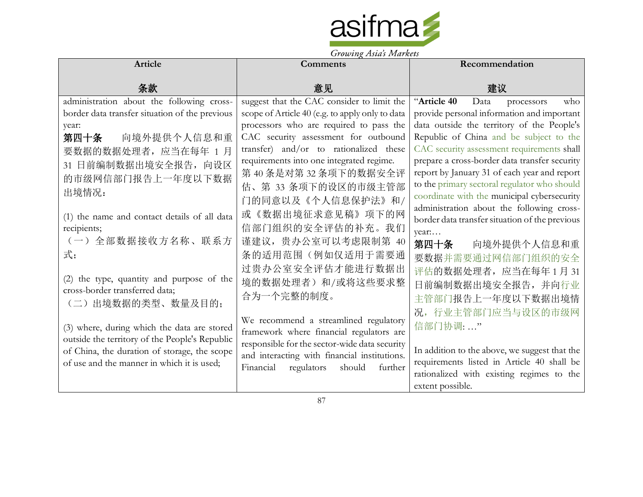

|                                                             | <i>Growing Asias Indianos</i>                   |                                                |
|-------------------------------------------------------------|-------------------------------------------------|------------------------------------------------|
| <b>Article</b>                                              | Comments                                        | Recommendation                                 |
| 条款                                                          | 意见                                              | 建议                                             |
| administration about the following cross-                   | suggest that the CAC consider to limit the      | "Article 40<br>Data<br>who<br>processors       |
| border data transfer situation of the previous              | scope of Article 40 (e.g. to apply only to data | provide personal information and important     |
| year:                                                       | processors who are required to pass the         | data outside the territory of the People's     |
| 第四十条<br>向境外提供个人信息和重                                         | CAC security assessment for outbound            | Republic of China and be subject to the        |
| 要数据的数据处理者, 应当在每年 1月                                         | transfer) and/or to rationalized these          | CAC security assessment requirements shall     |
| 31 日前编制数据出境安全报告, 向设区                                        | requirements into one integrated regime.        | prepare a cross-border data transfer security  |
| 的市级网信部门报告上一年度以下数据                                           | 第40条是对第32条项下的数据安全评                              | report by January 31 of each year and report   |
|                                                             | 估、第 33 条项下的设区的市级主管部                             | to the primary sectoral regulator who should   |
| 出境情况:                                                       | 门的同意以及《个人信息保护法》和/                               | coordinate with the municipal cybersecurity    |
|                                                             | 或《数据出境征求意见稿》项下的网                                | administration about the following cross-      |
| (1) the name and contact details of all data<br>recipients; | 信部门组织的安全评估的补充。我们                                | border data transfer situation of the previous |
|                                                             |                                                 | year                                           |
| (一)全部数据接收方名称、联系方                                            | 谨建议, 贵办公室可以考虑限制第 40                             | 第四十条<br>向境外提供个人信息和重                            |
| 式;                                                          | 条的适用范围(例如仅适用于需要通                                | 要数据并需要通过网信部门组织的安全                              |
|                                                             | 过贵办公室安全评估才能进行数据出                                | 评估的数据处理者,应当在每年1月31                             |
| (2) the type, quantity and purpose of the                   | 境的数据处理者)和/或将这些要求整                               | 日前编制数据出境安全报告,并向行业                              |
| cross-border transferred data;                              | 合为一个完整的制度。                                      | 主管部门报告上一年度以下数据出境情                              |
| (二)出境数据的类型、数量及目的;                                           |                                                 | 况, 行业主管部门应当与设区的市级网                             |
|                                                             | We recommend a streamlined regulatory           |                                                |
| (3) where, during which the data are stored                 | framework where financial regulators are        | 信部门协调:"                                        |
| outside the territory of the People's Republic              | responsible for the sector-wide data security   |                                                |
| of China, the duration of storage, the scope                | and interacting with financial institutions.    | In addition to the above, we suggest that the  |
| of use and the manner in which it is used;                  | Financial<br>should<br>regulators<br>further    | requirements listed in Article 40 shall be     |
|                                                             |                                                 | rationalized with existing regimes to the      |
|                                                             |                                                 | extent possible.                               |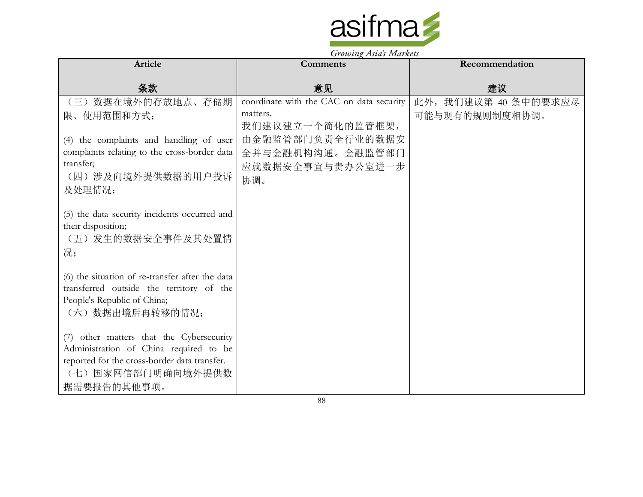

| Article                                                                                 | $\frac{1}{2}$<br><b>Comments</b>         | Recommendation       |
|-----------------------------------------------------------------------------------------|------------------------------------------|----------------------|
|                                                                                         |                                          |                      |
| 条款                                                                                      | 意见                                       | 建议                   |
| 数据在境外的存放地点、存储期<br>$\left(\equiv\right)$                                                 | coordinate with the CAC on data security | 此外, 我们建议第 40 条中的要求应尽 |
| 限、使用范围和方式;                                                                              | matters.                                 | 可能与现有的规则制度相协调。       |
|                                                                                         | 我们建议建立一个简化的监管框架,                         |                      |
| (4) the complaints and handling of user<br>complaints relating to the cross-border data | 由金融监管部门负责全行业的数据安                         |                      |
| transfer;                                                                               | 全并与金融机构沟通。金融监管部门<br>应就数据安全事宜与贵办公室进一步     |                      |
| (四) 涉及向境外提供数据的用户投诉                                                                      | 协调。                                      |                      |
| 及处理情况;                                                                                  |                                          |                      |
|                                                                                         |                                          |                      |
| (5) the data security incidents occurred and                                            |                                          |                      |
| their disposition;<br>(五) 发生的数据安全事件及其处置情                                                |                                          |                      |
| 况;                                                                                      |                                          |                      |
|                                                                                         |                                          |                      |
| (6) the situation of re-transfer after the data                                         |                                          |                      |
| transferred outside the territory of the                                                |                                          |                      |
| People's Republic of China;<br>(六)数据出境后再转移的情况;                                          |                                          |                      |
|                                                                                         |                                          |                      |
| (7) other matters that the Cybersecurity                                                |                                          |                      |
| Administration of China required to be                                                  |                                          |                      |
| reported for the cross-border data transfer.                                            |                                          |                      |
| (七) 国家网信部门明确向境外提供数                                                                      |                                          |                      |
| 据需要报告的其他事项。                                                                             |                                          |                      |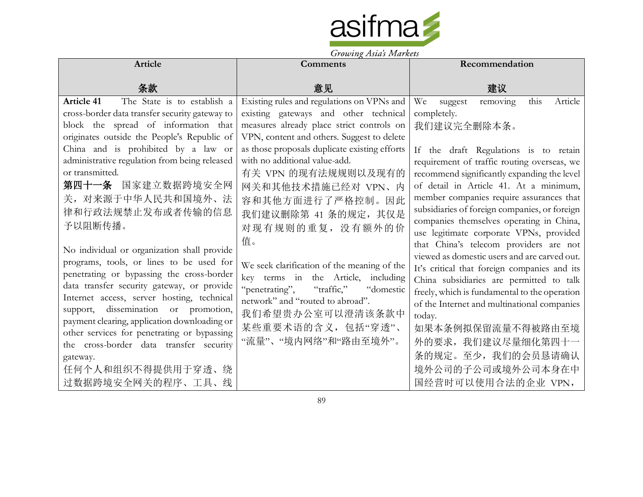

|                                                                                                                                                                                                                                                                                                                                                                                                                                                                            | Growing Tistus Indiana                                                                                                                                                                                                                                                                                                                                                                                                            |                                                                                                                                                                                                                                                                                                                                                                                                                                                                                                                                                                                           |
|----------------------------------------------------------------------------------------------------------------------------------------------------------------------------------------------------------------------------------------------------------------------------------------------------------------------------------------------------------------------------------------------------------------------------------------------------------------------------|-----------------------------------------------------------------------------------------------------------------------------------------------------------------------------------------------------------------------------------------------------------------------------------------------------------------------------------------------------------------------------------------------------------------------------------|-------------------------------------------------------------------------------------------------------------------------------------------------------------------------------------------------------------------------------------------------------------------------------------------------------------------------------------------------------------------------------------------------------------------------------------------------------------------------------------------------------------------------------------------------------------------------------------------|
| Article                                                                                                                                                                                                                                                                                                                                                                                                                                                                    | <b>Comments</b>                                                                                                                                                                                                                                                                                                                                                                                                                   | Recommendation                                                                                                                                                                                                                                                                                                                                                                                                                                                                                                                                                                            |
| 条款                                                                                                                                                                                                                                                                                                                                                                                                                                                                         | 意见                                                                                                                                                                                                                                                                                                                                                                                                                                | 建议                                                                                                                                                                                                                                                                                                                                                                                                                                                                                                                                                                                        |
| <b>Article 41</b><br>The State is to establish a<br>cross-border data transfer security gateway to<br>block the spread of information that<br>originates outside the People's Republic of<br>China and is prohibited by a law or<br>administrative regulation from being released<br>or transmitted.<br>第四十一条 国家建立数据跨境安全网<br>关, 对来源于中华人民共和国境外、法<br>律和行政法规禁止发布或者传输的信息<br>予以阻断传播。<br>No individual or organization shall provide<br>programs, tools, or lines to be used for | Existing rules and regulations on VPNs and<br>existing gateways and other technical<br>measures already place strict controls on<br>VPN, content and others. Suggest to delete<br>as those proposals duplicate existing efforts<br>with no additional value-add.<br>有关 VPN 的现有法规规则以及现有的<br>网关和其他技术措施已经对 VPN、内<br>容和其他方面进行了严格控制。因此<br>我们建议删除第 41 条的规定, 其仅是<br>对现有规则的重复,没有额外的价<br>值。<br>We seek clarification of the meaning of the | this<br>Article<br>We<br>removing<br>suggest<br>completely.<br>我们建议完全删除本条。<br>If the draft Regulations is to retain<br>requirement of traffic routing overseas, we<br>recommend significantly expanding the level<br>of detail in Article 41. At a minimum,<br>member companies require assurances that<br>subsidiaries of foreign companies, or foreign<br>companies themselves operating in China,<br>use legitimate corporate VPNs, provided<br>that China's telecom providers are not<br>viewed as domestic users and are carved out.<br>It's critical that foreign companies and its |
| penetrating or bypassing the cross-border<br>data transfer security gateway, or provide<br>Internet access, server hosting, technical<br>support, dissemination or promotion,<br>payment clearing, application downloading or<br>other services for penetrating or bypassing<br>the cross-border data transfer security<br>gateway.<br>任何个人和组织不得提供用于穿透、绕<br>过数据跨境安全网关的程序、工具、线                                                                                              | key terms in the Article, including<br>"penetrating",<br>"traffic,"<br>"domestic<br>network" and "routed to abroad".<br>我们希望贵办公室可以澄清该条款中<br>某些重要术语的含义,包括"穿透"、<br>"流量"、"境内网络"和"路由至境外"。                                                                                                                                                                                                                                             | China subsidiaries are permitted to talk<br>freely, which is fundamental to the operation<br>of the Internet and multinational companies<br>today.<br>如果本条例拟保留流量不得被路由至境<br>外的要求, 我们建议尽量细化第四十一<br>条的规定。至少, 我们的会员恳请确认<br>境外公司的子公司或境外公司本身在中<br>国经营时可以使用合法的企业 VPN,                                                                                                                                                                                                                                                                                                                            |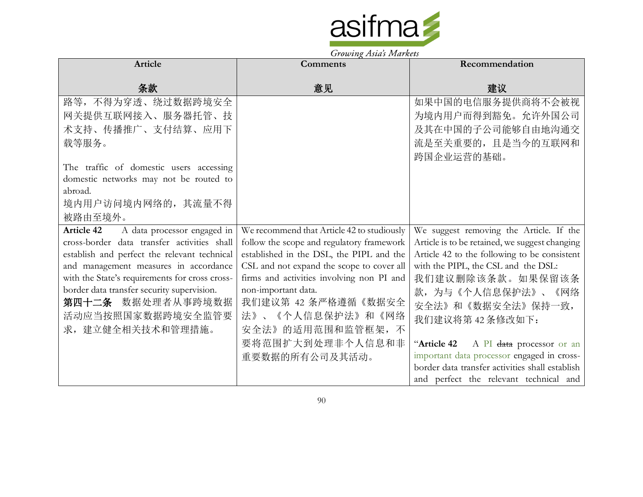

| <b>Article</b>                                                                          | <b>Comments</b>                                                                        | Recommendation                                                                                |
|-----------------------------------------------------------------------------------------|----------------------------------------------------------------------------------------|-----------------------------------------------------------------------------------------------|
| 条款                                                                                      | 意见                                                                                     | 建议                                                                                            |
| 路等,不得为穿透、绕过数据跨境安全                                                                       |                                                                                        | 如果中国的电信服务提供商将不会被视                                                                             |
| 网关提供互联网接入、服务器托管、技                                                                       |                                                                                        | 为境内用户而得到豁免。允许外国公司                                                                             |
| 术支持、传播推广、支付结算、应用下                                                                       |                                                                                        | 及其在中国的子公司能够自由地沟通交                                                                             |
| 载等服务。                                                                                   |                                                                                        | 流是至关重要的,且是当今的互联网和                                                                             |
|                                                                                         |                                                                                        | 跨国企业运营的基础。                                                                                    |
| The traffic of domestic users accessing                                                 |                                                                                        |                                                                                               |
| domestic networks may not be routed to                                                  |                                                                                        |                                                                                               |
| abroad.                                                                                 |                                                                                        |                                                                                               |
| 境内用户访问境内网络的, 其流量不得                                                                      |                                                                                        |                                                                                               |
| 被路由至境外。                                                                                 |                                                                                        |                                                                                               |
| <b>Article 42</b><br>A data processor engaged in                                        | We recommend that Article 42 to studiously                                             | We suggest removing the Article. If the                                                       |
| cross-border data transfer activities shall                                             | follow the scope and regulatory framework                                              | Article is to be retained, we suggest changing                                                |
| establish and perfect the relevant technical                                            | established in the DSL, the PIPL and the                                               | Article 42 to the following to be consistent                                                  |
| and management measures in accordance<br>with the State's requirements for cross cross- | CSL and not expand the scope to cover all<br>firms and activities involving non PI and | with the PIPL, the CSL and the DSL:                                                           |
| border data transfer security supervision.                                              | non-important data.                                                                    | 我们建议删除该条款。如果保留该条                                                                              |
| 第四十二条 数据处理者从事跨境数据                                                                       | 我们建议第 42 条严格遵循《数据安全                                                                    | 款, 为与《个人信息保护法》、《网络                                                                            |
| 活动应当按照国家数据跨境安全监管要                                                                       | 法》、《个人信息保护法》和《网络                                                                       | 安全法》和《数据安全法》保持一致,                                                                             |
| 求, 建立健全相关技术和管理措施。                                                                       | 安全法》的适用范围和监管框架,不                                                                       | 我们建议将第42条修改如下:                                                                                |
|                                                                                         |                                                                                        |                                                                                               |
|                                                                                         | 要将范围扩大到处理非个人信息和非                                                                       | "Article 42 A PI data processor or an                                                         |
|                                                                                         | 重要数据的所有公司及其活动。                                                                         | important data processor engaged in cross-<br>border data transfer activities shall establish |
|                                                                                         |                                                                                        | and perfect the relevant technical and                                                        |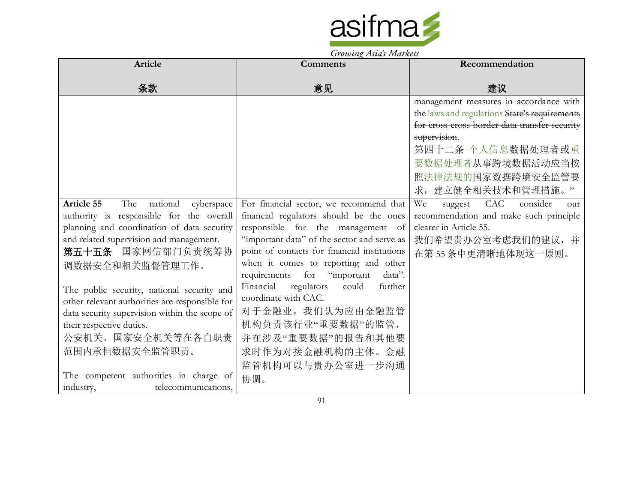

| Article                                        | $3.000$ $m_{\chi}$ $1.500$ $s$ $1.10$ $n\sigma$ $s$<br><b>Comments</b> | Recommendation                                |
|------------------------------------------------|------------------------------------------------------------------------|-----------------------------------------------|
|                                                |                                                                        |                                               |
| 条款                                             | 意见                                                                     | 建议                                            |
|                                                |                                                                        | management measures in accordance with        |
|                                                |                                                                        | the laws and regulations State's requirements |
|                                                |                                                                        | for cross cross-border data transfer security |
|                                                |                                                                        | supervision.                                  |
|                                                |                                                                        | 第四十二条 个人信息 <del>数据</del> 处理者或重                |
|                                                |                                                                        | 要数据处理者从事跨境数据活动应当按                             |
|                                                |                                                                        | 照法律法规的国家数据跨境安全监管要                             |
|                                                |                                                                        | 求, 建立健全相关技术和管理措施。                             |
| Article 55<br>The<br>national<br>cyberspace    | For financial sector, we recommend that                                | We<br>CAC<br>consider<br>suggest<br>our       |
| authority is responsible for the overall       | financial regulators should be the ones                                | recommendation and make such principle        |
| planning and coordination of data security     | responsible for the management of                                      | clearer in Article 55.                        |
| and related supervision and management.        | "important data" of the sector and serve as                            | 我们希望贵办公室考虑我们的建议, 并                            |
| 第五十五条 国家网信部门负责统筹协                              | point of contacts for financial institutions                           | 在第55条中更清晰地体现这一原则。                             |
| 调数据安全和相关监督管理工作。                                | when it comes to reporting and other                                   |                                               |
|                                                | requirements<br>for "important<br>data".                               |                                               |
| The public security, national security and     | Financial<br>regulators<br>could<br>further                            |                                               |
| other relevant authorities are responsible for | coordinate with CAC.                                                   |                                               |
| data security supervision within the scope of  | 对于金融业, 我们认为应由金融监管                                                      |                                               |
| their respective duties.                       | 机构负责该行业"重要数据"的监管,                                                      |                                               |
| 公安机关、国家安全机关等在各自职责                              | 并在涉及"重要数据"的报告和其他要                                                      |                                               |
| 范围内承担数据安全监管职责。                                 | 求时作为对接金融机构的主体。金融                                                       |                                               |
|                                                | 监管机构可以与贵办公室进一步沟通                                                       |                                               |
| The competent authorities in charge of         | 协调。                                                                    |                                               |
| telecommunications,<br>industry,               |                                                                        |                                               |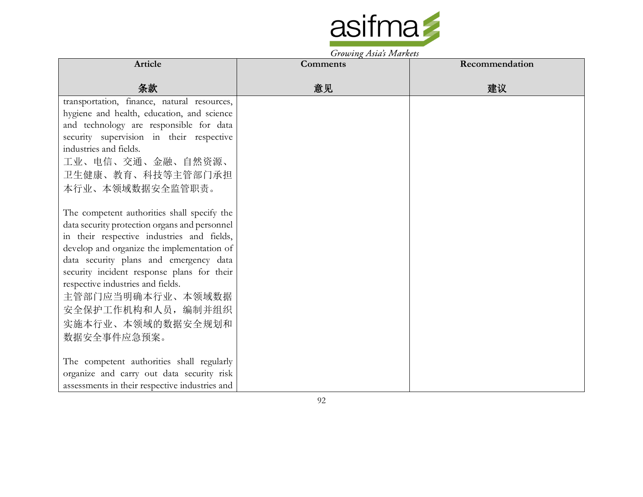

| Article                                        | $1.000$ ing 215 ins 1.100 kc is |                |
|------------------------------------------------|---------------------------------|----------------|
|                                                | Comments                        | Recommendation |
| 条款                                             | 意见                              | 建议             |
| transportation, finance, natural resources,    |                                 |                |
| hygiene and health, education, and science     |                                 |                |
| and technology are responsible for data        |                                 |                |
| security supervision in their respective       |                                 |                |
| industries and fields.                         |                                 |                |
| 工业、电信、交通、金融、自然资源、                              |                                 |                |
| 卫生健康、教育、科技等主管部门承担                              |                                 |                |
| 本行业、本领域数据安全监管职责。                               |                                 |                |
|                                                |                                 |                |
| The competent authorities shall specify the    |                                 |                |
| data security protection organs and personnel  |                                 |                |
| in their respective industries and fields,     |                                 |                |
| develop and organize the implementation of     |                                 |                |
| data security plans and emergency data         |                                 |                |
| security incident response plans for their     |                                 |                |
| respective industries and fields.              |                                 |                |
| 主管部门应当明确本行业、本领域数据                              |                                 |                |
| 安全保护工作机构和人员, 编制并组织                             |                                 |                |
| 实施本行业、本领域的数据安全规划和                              |                                 |                |
| 数据安全事件应急预案。                                    |                                 |                |
|                                                |                                 |                |
| The competent authorities shall regularly      |                                 |                |
| organize and carry out data security risk      |                                 |                |
| assessments in their respective industries and |                                 |                |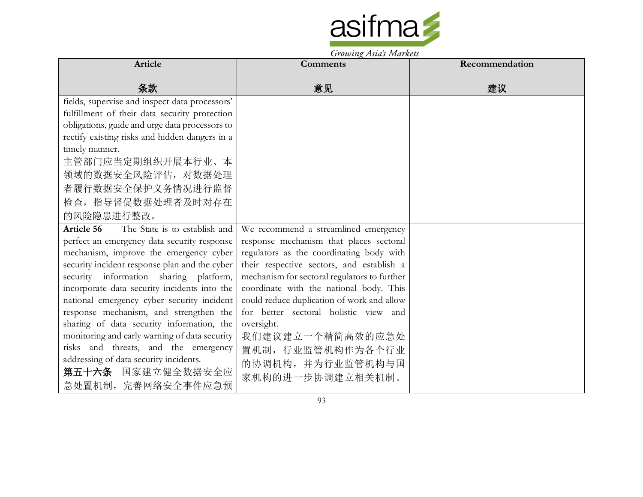

Growing Asia's Markets

| <b>Article</b>                                                                 | <b>Comments</b>                              | Recommendation |
|--------------------------------------------------------------------------------|----------------------------------------------|----------------|
| 条款                                                                             | 意见                                           | 建议             |
| fields, supervise and inspect data processors'                                 |                                              |                |
| fulfillment of their data security protection                                  |                                              |                |
| obligations, guide and urge data processors to                                 |                                              |                |
| rectify existing risks and hidden dangers in a                                 |                                              |                |
| timely manner.                                                                 |                                              |                |
| 主管部门应当定期组织开展本行业、本                                                              |                                              |                |
| 领域的数据安全风险评估, 对数据处理                                                             |                                              |                |
| 者履行数据安全保护义务情况进行监督                                                              |                                              |                |
| 检查, 指导督促数据处理者及时对存在                                                             |                                              |                |
| 的风险隐患进行整改。                                                                     |                                              |                |
| The State is to establish and<br>Article 56                                    | We recommend a streamlined emergency         |                |
| perfect an emergency data security response                                    | response mechanism that places sectoral      |                |
| mechanism, improve the emergency cyber                                         | regulators as the coordinating body with     |                |
| security incident response plan and the cyber                                  | their respective sectors, and establish a    |                |
| security information sharing platform,                                         | mechanism for sectoral regulators to further |                |
| incorporate data security incidents into the                                   | coordinate with the national body. This      |                |
| national emergency cyber security incident                                     | could reduce duplication of work and allow   |                |
| response mechanism, and strengthen the                                         | for better sectoral holistic view and        |                |
| sharing of data security information, the                                      | oversight.                                   |                |
| monitoring and early warning of data security                                  | 我们建议建立一个精简高效的应急处                             |                |
| risks and threats, and the emergency<br>addressing of data security incidents. | 置机制, 行业监管机构作为各个行业                            |                |
| 第五十六条 国家建立健全数据安全应                                                              | 的协调机构,并为行业监管机构与国                             |                |
| 急处置机制, 完善网络安全事件应急预                                                             | 家机构的进一步协调建立相关机制。                             |                |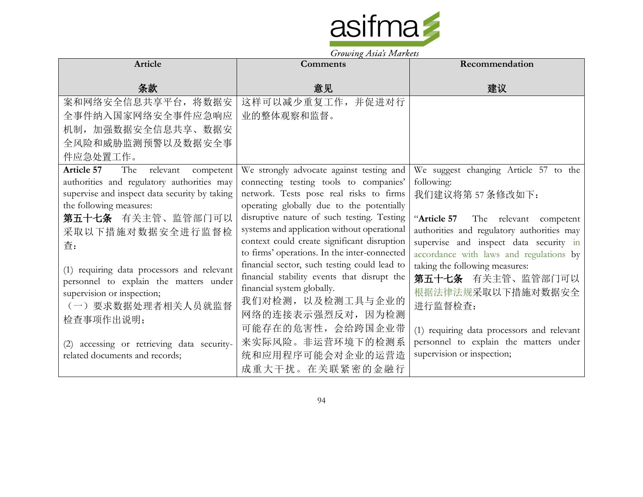

| <b>Article</b>                                                                                                                                                                                                                                                                                                                                                               | Comments                                                                                                                                                                                                                                                                                                                                                                                                                                                                                                                                                           | Recommendation                                                                                                                                                                                                                                                                                                                                                                         |
|------------------------------------------------------------------------------------------------------------------------------------------------------------------------------------------------------------------------------------------------------------------------------------------------------------------------------------------------------------------------------|--------------------------------------------------------------------------------------------------------------------------------------------------------------------------------------------------------------------------------------------------------------------------------------------------------------------------------------------------------------------------------------------------------------------------------------------------------------------------------------------------------------------------------------------------------------------|----------------------------------------------------------------------------------------------------------------------------------------------------------------------------------------------------------------------------------------------------------------------------------------------------------------------------------------------------------------------------------------|
| 条款                                                                                                                                                                                                                                                                                                                                                                           | 意见                                                                                                                                                                                                                                                                                                                                                                                                                                                                                                                                                                 | 建议                                                                                                                                                                                                                                                                                                                                                                                     |
| 案和网络安全信息共享平台, 将数据安                                                                                                                                                                                                                                                                                                                                                           | 这样可以减少重复工作,并促进对行                                                                                                                                                                                                                                                                                                                                                                                                                                                                                                                                                   |                                                                                                                                                                                                                                                                                                                                                                                        |
| 全事件纳入国家网络安全事件应急响应                                                                                                                                                                                                                                                                                                                                                            | 业的整体观察和监督。                                                                                                                                                                                                                                                                                                                                                                                                                                                                                                                                                         |                                                                                                                                                                                                                                                                                                                                                                                        |
| 机制, 加强数据安全信息共享、数据安                                                                                                                                                                                                                                                                                                                                                           |                                                                                                                                                                                                                                                                                                                                                                                                                                                                                                                                                                    |                                                                                                                                                                                                                                                                                                                                                                                        |
| 全风险和威胁监测预警以及数据安全事                                                                                                                                                                                                                                                                                                                                                            |                                                                                                                                                                                                                                                                                                                                                                                                                                                                                                                                                                    |                                                                                                                                                                                                                                                                                                                                                                                        |
| 件应急处置工作。                                                                                                                                                                                                                                                                                                                                                                     |                                                                                                                                                                                                                                                                                                                                                                                                                                                                                                                                                                    |                                                                                                                                                                                                                                                                                                                                                                                        |
| Article 57<br>The<br>relevant<br>competent<br>authorities and regulatory authorities may<br>supervise and inspect data security by taking<br>the following measures:<br>第五十七条 有关主管、监管部门可以<br>采取以下措施对数据安全进行监督检<br>查:<br>(1) requiring data processors and relevant<br>personnel to explain the matters under<br>supervision or inspection;<br>(一) 要求数据处理者相关人员就监督<br>检查事项作出说明; | We strongly advocate against testing and<br>connecting testing tools to companies'<br>network. Tests pose real risks to firms<br>operating globally due to the potentially<br>disruptive nature of such testing. Testing<br>systems and application without operational<br>context could create significant disruption<br>to firms' operations. In the inter-connected<br>financial sector, such testing could lead to<br>financial stability events that disrupt the<br>financial system globally.<br>我们对检测, 以及检测工具与企业的<br>网络的连接表示强烈反对, 因为检测<br>可能存在的危害性, 会给跨国企业带 | We suggest changing Article 57 to the<br>following:<br>我们建议将第57条修改如下:<br>"Article 57<br>The relevant competent<br>authorities and regulatory authorities may<br>supervise and inspect data security in<br>accordance with laws and regulations by<br>taking the following measures:<br>第五十七条 有关主管、监管部门可以<br>根据法律法规采取以下措施对数据安全<br>进行监督检查:<br>(1) requiring data processors and relevant |
| (2) accessing or retrieving data security-<br>related documents and records;                                                                                                                                                                                                                                                                                                 | 来实际风险。非运营环境下的检测系<br>统和应用程序可能会对企业的运营造<br>成重大干扰。在关联紧密的金融行                                                                                                                                                                                                                                                                                                                                                                                                                                                                                                            | personnel to explain the matters under<br>supervision or inspection;                                                                                                                                                                                                                                                                                                                   |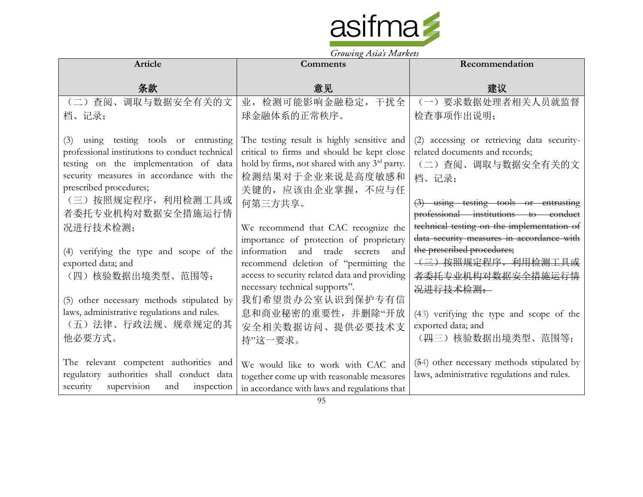

| Article                                                                                                                                                                                                                                                                                                   | $\frac{1}{2}$<br><b>Comments</b>                                                                                                                                                                                                                                                                                                        | Recommendation                                                                                                                                                                                                                                                                                                          |
|-----------------------------------------------------------------------------------------------------------------------------------------------------------------------------------------------------------------------------------------------------------------------------------------------------------|-----------------------------------------------------------------------------------------------------------------------------------------------------------------------------------------------------------------------------------------------------------------------------------------------------------------------------------------|-------------------------------------------------------------------------------------------------------------------------------------------------------------------------------------------------------------------------------------------------------------------------------------------------------------------------|
| 条款                                                                                                                                                                                                                                                                                                        | 意见                                                                                                                                                                                                                                                                                                                                      | 建议                                                                                                                                                                                                                                                                                                                      |
| (二) 查阅、调取与数据安全有关的文                                                                                                                                                                                                                                                                                        | 业, 检测可能影响金融稳定, 干扰全                                                                                                                                                                                                                                                                                                                      | (一) 要求数据处理者相关人员就监督                                                                                                                                                                                                                                                                                                      |
| 档、记录;                                                                                                                                                                                                                                                                                                     | 球金融体系的正常秩序。                                                                                                                                                                                                                                                                                                                             | 检查事项作出说明;                                                                                                                                                                                                                                                                                                               |
| (3) using testing tools or entrusting<br>professional institutions to conduct technical<br>testing on the implementation of data<br>security measures in accordance with the<br>prescribed procedures;<br>(三) 按照规定程序, 利用检测工具或<br>者委托专业机构对数据安全措施运行情<br>况进行技术检测;<br>(4) verifying the type and scope of the | The testing result is highly sensitive and<br>critical to firms and should be kept close<br>hold by firms, not shared with any 3 <sup>rd</sup> party.<br>检测结果对于企业来说是高度敏感和<br>关键的, 应该由企业掌握, 不应与任<br>何第三方共享。<br>We recommend that CAC recognize the<br>importance of protection of proprietary<br>information and<br>trade secrets<br>and | (2) accessing or retrieving data security-<br>related documents and records;<br>(二) 查阅、调取与数据安全有关的文<br>档、记录;<br>$(3)$ using testing tools or entrusting<br>professional institutions to conduct<br>technical testing on the implementation of<br>data security measures in accordance with<br>the prescribed procedures; |
| exported data; and<br>(四)核验数据出境类型、范围等;<br>(5) other necessary methods stipulated by<br>laws, administrative regulations and rules.                                                                                                                                                                        | recommend deletion of "permitting the<br>access to security related data and providing<br>necessary technical supports".<br>我们希望贵办公室认识到保护专有信<br>息和商业秘密的重要性,并删除"开放                                                                                                                                                                       | <del>(三) 按照规定程序, 利用检测工具或</del><br>者委托专业机构对数据安全措施运行情<br><del>况进行技术检测:</del><br>(43) verifying the type and scope of the                                                                                                                                                                                                  |
| (五)法律、行政法规、规章规定的其<br>他必要方式。<br>The relevant competent authorities and<br>regulatory authorities shall conduct data<br>supervision<br>security<br>inspection<br>and                                                                                                                                        | 安全相关数据访问、提供必要技术支<br>持"这一要求。<br>We would like to work with CAC and<br>together come up with reasonable measures<br>in accordance with laws and regulations that                                                                                                                                                                          | exported data; and<br>(四三)核验数据出境类型、范围等;<br>(54) other necessary methods stipulated by<br>laws, administrative regulations and rules.                                                                                                                                                                                    |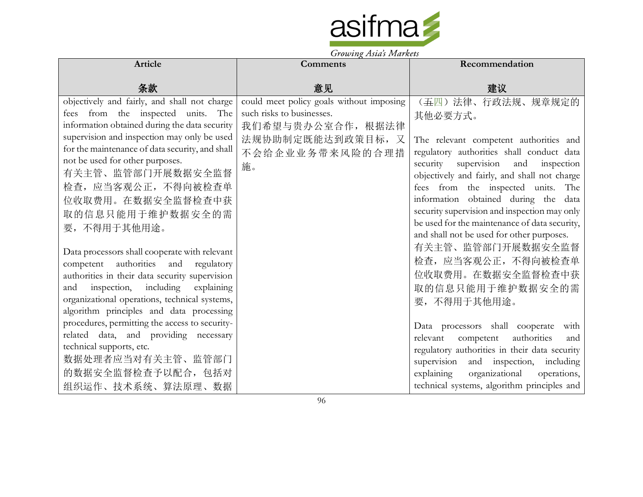

| <b>Article</b>                                                                        | TTO LABOR TIMES IS NO<br><b>Comments</b> | Recommendation                                                             |
|---------------------------------------------------------------------------------------|------------------------------------------|----------------------------------------------------------------------------|
| 条款                                                                                    | 意见                                       | 建议                                                                         |
| objectively and fairly, and shall not charge                                          | could meet policy goals without imposing | (五四)法律、行政法规、规章规定的                                                          |
| fees from the inspected units. The                                                    | such risks to businesses.                | 其他必要方式。                                                                    |
| information obtained during the data security                                         | 我们希望与贵办公室合作, 根据法律                        |                                                                            |
| supervision and inspection may only be used                                           | 法规协助制定既能达到政策目标, 又                        | The relevant competent authorities and                                     |
| for the maintenance of data security, and shall<br>not be used for other purposes.    | 不会给企业业务带来风险的合理措                          | regulatory authorities shall conduct data                                  |
| 有关主管、监管部门开展数据安全监督                                                                     | 施。                                       | security supervision and inspection                                        |
| 检查, 应当客观公正, 不得向被检查单                                                                   |                                          | objectively and fairly, and shall not charge                               |
|                                                                                       |                                          | fees from the inspected units. The<br>information obtained during the data |
| 位收取费用。在数据安全监督检查中获                                                                     |                                          | security supervision and inspection may only                               |
| 取的信息只能用于维护数据安全的需                                                                      |                                          | be used for the maintenance of data security,                              |
| 要, 不得用于其他用途。                                                                          |                                          | and shall not be used for other purposes.                                  |
|                                                                                       |                                          | 有关主管、监管部门开展数据安全监督                                                          |
| Data processors shall cooperate with relevant<br>competent authorities and regulatory |                                          | 检查, 应当客观公正, 不得向被检查单                                                        |
| authorities in their data security supervision                                        |                                          | 位收取费用。在数据安全监督检查中获                                                          |
| and inspection, including explaining                                                  |                                          | 取的信息只能用于维护数据安全的需                                                           |
| organizational operations, technical systems,                                         |                                          | 要,不得用于其他用途。                                                                |
| algorithm principles and data processing                                              |                                          |                                                                            |
| procedures, permitting the access to security-                                        |                                          | Data processors shall cooperate<br>with                                    |
| related data, and providing necessary                                                 |                                          | authorities<br>relevant<br>competent<br>and                                |
| technical supports, etc.                                                              |                                          | regulatory authorities in their data security                              |
| 数据处理者应当对有关主管、监管部门                                                                     |                                          | supervision and inspection, including                                      |
| 的数据安全监督检查予以配合,包括对                                                                     |                                          | explaining<br>organizational<br>operations,                                |
| 组织运作、技术系统、算法原理、数据                                                                     |                                          | technical systems, algorithm principles and                                |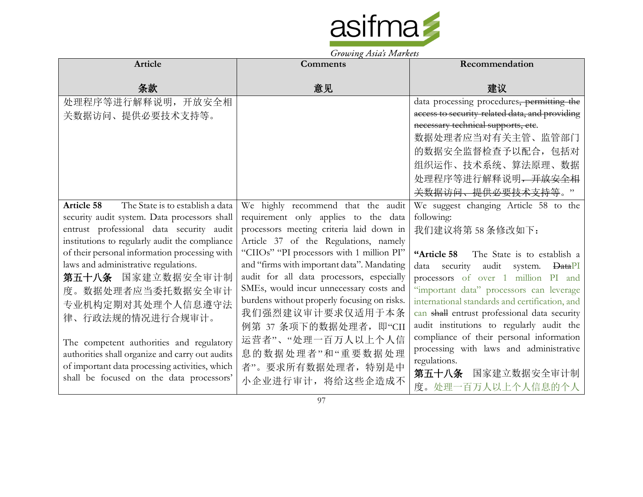

| Article                                               | <b>Comments</b>                             | Recommendation                                          |
|-------------------------------------------------------|---------------------------------------------|---------------------------------------------------------|
|                                                       |                                             |                                                         |
| 条款                                                    | 意见                                          | 建议                                                      |
| 处理程序等进行解释说明, 开放安全相                                    |                                             | data processing procedures, permitting the              |
| 关数据访问、提供必要技术支持等。                                      |                                             | access to security-related data, and providing          |
|                                                       |                                             | necessary technical supports, etc.                      |
|                                                       |                                             | 数据处理者应当对有关主管、监管部门                                       |
|                                                       |                                             | 的数据安全监督检查予以配合,包括对                                       |
|                                                       |                                             | 组织运作、技术系统、算法原理、数据                                       |
|                                                       |                                             | 处理程序等进行解释说明, 开放安全相                                      |
|                                                       |                                             | <del>关数据访问、提供必要技术支持等</del> 。                            |
| <b>Article 58</b><br>The State is to establish a data | We highly recommend that the audit          | We suggest changing Article 58 to the                   |
| security audit system. Data processors shall          | requirement only applies to the data        | following:                                              |
| entrust professional data security audit              | processors meeting criteria laid down in    | 我们建议将第58条修改如下:                                          |
| institutions to regularly audit the compliance        | Article 37 of the Regulations, namely       |                                                         |
| of their personal information processing with         | "CIIOs" "PI processors with 1 million PI"   | The State is to establish a<br>"Article 58              |
| laws and administrative regulations.                  | and "firms with important data". Mandating  | security<br>audit system.<br>data<br><del>Data</del> PI |
| 第五十八条 国家建立数据安全审计制                                     | audit for all data processors, especially   | processors of over 1 million PI and                     |
| 度。数据处理者应当委托数据安全审计                                     | SMEs, would incur unnecessary costs and     | "important data" processors can leverage                |
| 专业机构定期对其处理个人信息遵守法                                     | burdens without properly focusing on risks. | international standards and certification, and          |
| 律、行政法规的情况进行合规审计。                                      | 我们强烈建议审计要求仅适用于本条                            | can shall entrust professional data security            |
|                                                       | 例第 37 条项下的数据处理者, 即"CII                      | audit institutions to regularly audit the               |
| The competent authorities and regulatory              | 运营者"、"处理一百万人以上个人信                           | compliance of their personal information                |
| authorities shall organize and carry out audits       | 息的数据处理者"和"重要数据处理                            | processing with laws and administrative                 |
| of important data processing activities, which        | 者"。要求所有数据处理者, 特别是中                          | regulations.                                            |
| shall be focused on the data processors'              | 小企业进行审计, 将给这些企造成不                           | 第五十八条<br>国家建立数据安全审计制                                    |
|                                                       |                                             | 度。处理一百万人以上个人信息的个人                                       |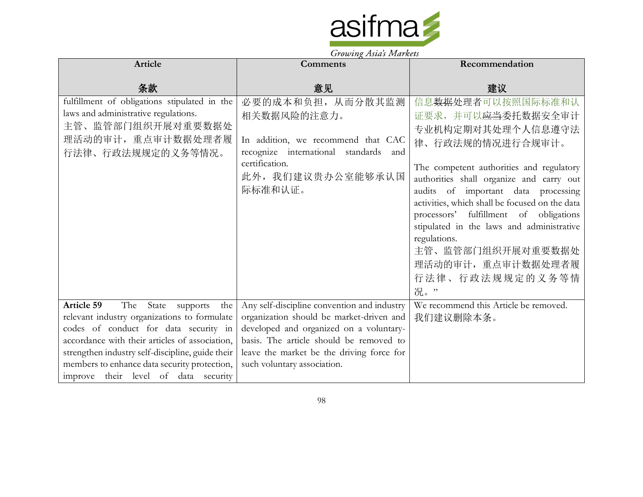

| Article                                                                                                                                                                                                                                                                                                                        | Comments                                                                                                                                                                                                                                                  | Recommendation                                                                                                                                                                                                                                                                                                                                                                                                                                            |
|--------------------------------------------------------------------------------------------------------------------------------------------------------------------------------------------------------------------------------------------------------------------------------------------------------------------------------|-----------------------------------------------------------------------------------------------------------------------------------------------------------------------------------------------------------------------------------------------------------|-----------------------------------------------------------------------------------------------------------------------------------------------------------------------------------------------------------------------------------------------------------------------------------------------------------------------------------------------------------------------------------------------------------------------------------------------------------|
| 条款                                                                                                                                                                                                                                                                                                                             | 意见                                                                                                                                                                                                                                                        | 建议                                                                                                                                                                                                                                                                                                                                                                                                                                                        |
| fulfillment of obligations stipulated in the<br>laws and administrative regulations.<br>主管、监管部门组织开展对重要数据处<br>理活动的审计, 重点审计数据处理者履<br>行法律、行政法规规定的义务等情况。                                                                                                                                                                           | 必要的成本和负担, 从而分散其监测。<br>相关数据风险的注意力。<br>In addition, we recommend that CAC<br>recognize international standards<br>and<br>certification.<br>此外, 我们建议贵办公室能够承认国<br>际标准和认证。                                                                                     | 信息数据处理者可以按照国际标准和认<br>证要求,并可以 <del>应当</del> 委托数据安全审计<br>专业机构定期对其处理个人信息遵守法<br>律、行政法规的情况进行合规审计。<br>The competent authorities and regulatory<br>authorities shall organize and carry out<br>audits of important data processing<br>activities, which shall be focused on the data<br>processors' fulfillment of obligations<br>stipulated in the laws and administrative<br>regulations.<br>主管、监管部门组织开展对重要数据处<br>理活动的审计, 重点审计数据处理者履<br>行法律、行政法规规定的义务等情<br>况。" |
| Article 59<br>The State supports<br>the<br>relevant industry organizations to formulate<br>codes of conduct for data security in<br>accordance with their articles of association,<br>strengthen industry self-discipline, guide their<br>members to enhance data security protection,<br>improve their level of data security | Any self-discipline convention and industry<br>organization should be market-driven and<br>developed and organized on a voluntary-<br>basis. The article should be removed to<br>leave the market be the driving force for<br>such voluntary association. | We recommend this Article be removed.<br>我们建议删除本条。                                                                                                                                                                                                                                                                                                                                                                                                        |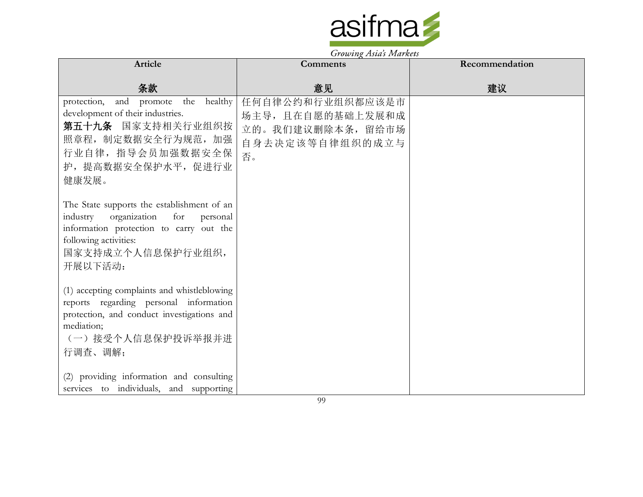

|                                                                                                                                                                                            | $\frac{1}{2}$                                                                     |                |
|--------------------------------------------------------------------------------------------------------------------------------------------------------------------------------------------|-----------------------------------------------------------------------------------|----------------|
| Article                                                                                                                                                                                    | Comments                                                                          | Recommendation |
| 条款                                                                                                                                                                                         | 意见                                                                                | 建议             |
| protection, and promote<br>the healthy<br>development of their industries.<br>第五十九条 国家支持相关行业组织按<br>照章程, 制定数据安全行为规范, 加强<br>行业自律, 指导会员加强数据安全保<br>护, 提高数据安全保护水平, 促进行业<br>健康发展。                | 任何自律公约和行业组织都应该是市<br>场主导,且在自愿的基础上发展和成<br>立的。我们建议删除本条,留给市场<br>自身去决定该等自律组织的成立与<br>否。 |                |
| The State supports the establishment of an<br>industry organization<br>for<br>personal<br>information protection to carry out the<br>following activities:<br>国家支持成立个人信息保护行业组织,<br>开展以下活动: |                                                                                   |                |
| (1) accepting complaints and whistleblowing<br>reports regarding personal information<br>protection, and conduct investigations and<br>mediation;<br>(一) 接受个人信息保护投诉举报并进<br>行调查、调解;         |                                                                                   |                |
| (2) providing information and consulting<br>services to individuals, and supporting                                                                                                        |                                                                                   |                |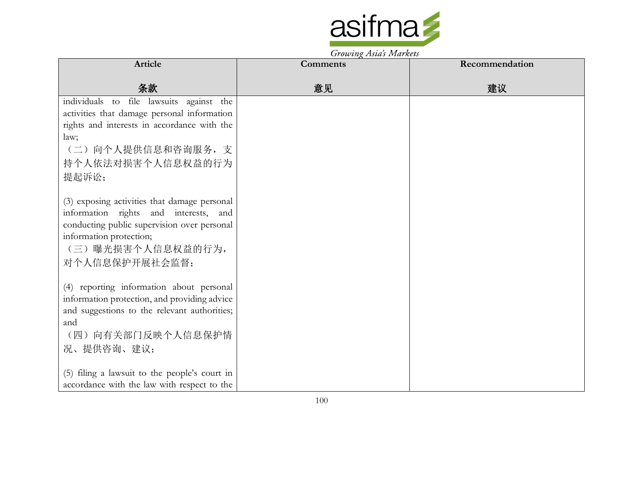

|                                                                                                                                                                                                        | <i>Growing Asias Indianos</i> |                |
|--------------------------------------------------------------------------------------------------------------------------------------------------------------------------------------------------------|-------------------------------|----------------|
| Article                                                                                                                                                                                                | <b>Comments</b>               | Recommendation |
| 条款                                                                                                                                                                                                     | 意见                            | 建议             |
| individuals to file lawsuits against the<br>activities that damage personal information<br>rights and interests in accordance with the<br>law;<br>(二) 向个人提供信息和咨询服务, 支<br>持个人依法对损害个人信息权益的行为<br>提起诉讼;    |                               |                |
| (3) exposing activities that damage personal<br>information rights and interests, and<br>conducting public supervision over personal<br>information protection;<br>(三)曝光损害个人信息权益的行为,<br>对个人信息保护开展社会监督; |                               |                |
| (4) reporting information about personal<br>information protection, and providing advice<br>and suggestions to the relevant authorities;<br>and<br>(四) 向有关部门反映个人信息保护情<br>况、提供咨询、建议;                    |                               |                |
| (5) filing a lawsuit to the people's court in<br>accordance with the law with respect to the                                                                                                           |                               |                |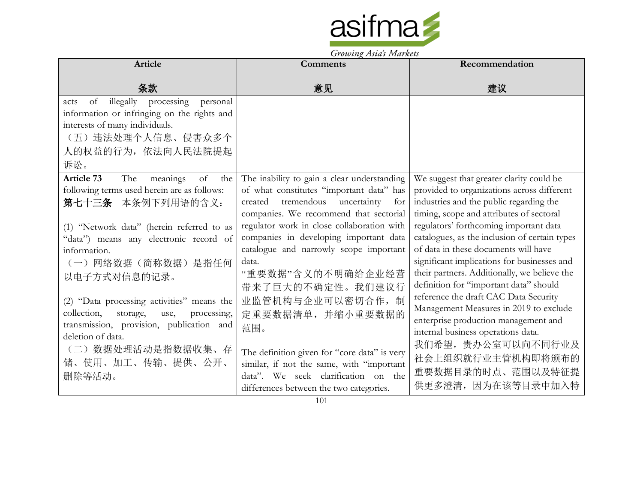

Growing Asia's Markets

|                                                                                                                                                                                                                                                              | $J\prime\sigma\omega\nu\bar{\nu}\zeta$ <i>is to be a set for <math>\sigma\bar{\nu}</math></i>                                                                                                                                                                                                                                                                        |                                                                                                                                                                                                                                                                                                                                                                                                                                                           |
|--------------------------------------------------------------------------------------------------------------------------------------------------------------------------------------------------------------------------------------------------------------|----------------------------------------------------------------------------------------------------------------------------------------------------------------------------------------------------------------------------------------------------------------------------------------------------------------------------------------------------------------------|-----------------------------------------------------------------------------------------------------------------------------------------------------------------------------------------------------------------------------------------------------------------------------------------------------------------------------------------------------------------------------------------------------------------------------------------------------------|
| Article                                                                                                                                                                                                                                                      | Comments                                                                                                                                                                                                                                                                                                                                                             | Recommendation                                                                                                                                                                                                                                                                                                                                                                                                                                            |
| 条款                                                                                                                                                                                                                                                           | 意见                                                                                                                                                                                                                                                                                                                                                                   | 建议                                                                                                                                                                                                                                                                                                                                                                                                                                                        |
| processing<br>illegally<br>of<br>personal<br>acts<br>information or infringing on the rights and<br>interests of many individuals.<br>(五) 违法处理个人信息、侵害众多个<br>人的权益的行为, 依法向人民法院提起<br>诉讼。                                                                        |                                                                                                                                                                                                                                                                                                                                                                      |                                                                                                                                                                                                                                                                                                                                                                                                                                                           |
| Article 73<br>The<br>meanings<br>of<br>the<br>following terms used herein are as follows:<br>第七十三条 本条例下列用语的含义:<br>(1) "Network data" (herein referred to as<br>"data") means any electronic record of<br>information.<br>(一) 网络数据(简称数据) 是指任何<br>以电子方式对信息的记录。 | The inability to gain a clear understanding<br>of what constitutes "important data" has<br>tremendous<br>uncertainty<br>created<br>for<br>companies. We recommend that sectorial<br>regulator work in close collaboration with<br>companies in developing important data<br>catalogue and narrowly scope important<br>data.<br>"重要数据"含义的不明确给企业经营<br>带来了巨大的不确定性。我们建议行 | We suggest that greater clarity could be<br>provided to organizations across different<br>industries and the public regarding the<br>timing, scope and attributes of sectoral<br>regulators' forthcoming important data<br>catalogues, as the inclusion of certain types<br>of data in these documents will have<br>significant implications for businesses and<br>their partners. Additionally, we believe the<br>definition for "important data" should |
| (2) "Data processing activities" means the<br>collection,<br>processing,<br>storage,<br>use,<br>transmission, provision, publication and<br>deletion of data.<br>(二)数据处理活动是指数据收集、存<br>储、使用、加工、传输、提供、公开、<br>删除等活动。                                            | 业监管机构与企业可以密切合作, 制<br>定重要数据清单,并缩小重要数据的<br>范围。<br>The definition given for "core data" is very<br>similar, if not the same, with "important<br>data". We seek clarification on the<br>differences between the two categories.                                                                                                                                          | reference the draft CAC Data Security<br>Management Measures in 2019 to exclude<br>enterprise production management and<br>internal business operations data.<br>我们希望, 贵办公室可以向不同行业及<br>社会上组织就行业主管机构即将颁布的<br>重要数据目录的时点、范围以及特征提<br>供更多澄清, 因为在该等目录中加入特                                                                                                                                                                                                       |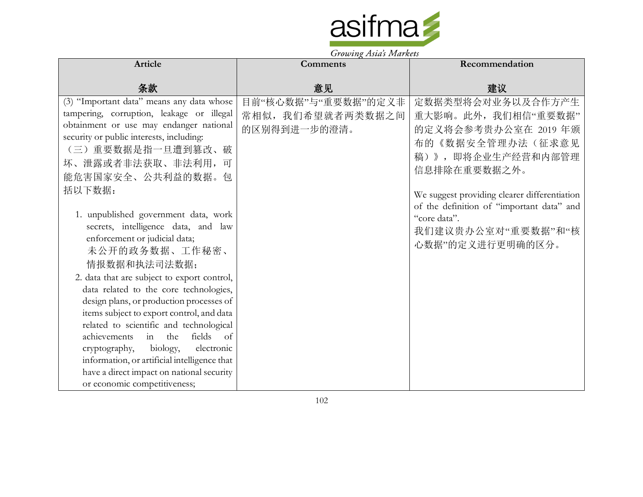

| Comments                                                 | Recommendation                                                                                                                                                                                                                                                                 |
|----------------------------------------------------------|--------------------------------------------------------------------------------------------------------------------------------------------------------------------------------------------------------------------------------------------------------------------------------|
| 意见                                                       | 建议                                                                                                                                                                                                                                                                             |
| 目前"核心数据"与"重要数据"的定义非<br>常相似, 我们希望就者两类数据之间<br>的区别得到进一步的澄清。 | 定数据类型将会对业务以及合作方产生<br>重大影响。此外,我们相信"重要数据"<br>的定义将会参考贵办公室在 2019年颁<br>布的《数据安全管理办法(征求意见<br>稿)》,即将企业生产经营和内部管理<br>信息排除在重要数据之外。<br>We suggest providing clearer differentiation<br>of the definition of "important data" and<br>"core data".<br>我们建议贵办公室对"重要数据"和"核<br>心数据"的定义进行更明确的区分。 |
|                                                          |                                                                                                                                                                                                                                                                                |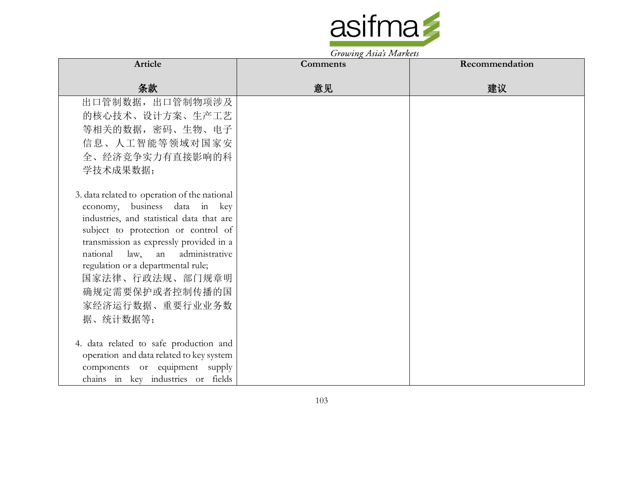

| Article                                                                    | <b>Comments</b> | Recommendation |
|----------------------------------------------------------------------------|-----------------|----------------|
| 条款                                                                         | 意见              | 建议             |
| 出口管制数据, 出口管制物项涉及                                                           |                 |                |
| 的核心技术、设计方案、生产工艺                                                            |                 |                |
| 等相关的数据,密码、生物、电子                                                            |                 |                |
| 信息、人工智能等领域对国家安                                                             |                 |                |
| 全、经济竞争实力有直接影响的科                                                            |                 |                |
| 学技术成果数据;                                                                   |                 |                |
|                                                                            |                 |                |
| 3. data related to operation of the national                               |                 |                |
| economy, business data in key                                              |                 |                |
| industries, and statistical data that are                                  |                 |                |
| subject to protection or control of                                        |                 |                |
| transmission as expressly provided in a<br>national law, an administrative |                 |                |
| regulation or a departmental rule;                                         |                 |                |
| 国家法律、行政法规、部门规章明                                                            |                 |                |
| 确规定需要保护或者控制传播的国                                                            |                 |                |
| 家经济运行数据、重要行业业务数                                                            |                 |                |
| 据、统计数据等;                                                                   |                 |                |
|                                                                            |                 |                |
| 4. data related to safe production and                                     |                 |                |
| operation and data related to key system                                   |                 |                |
| components or equipment supply                                             |                 |                |
| chains in key industries or fields                                         |                 |                |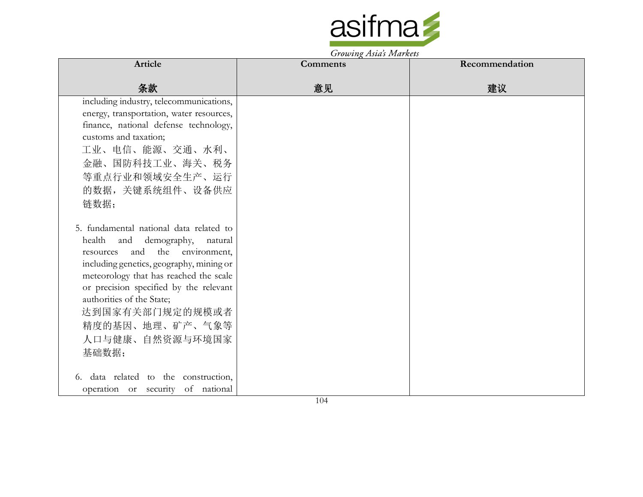

Growing Asia's Markets

| Article                                  | <b>Comments</b> | Recommendation |
|------------------------------------------|-----------------|----------------|
| 条款                                       | 意见              | 建议             |
| including industry, telecommunications,  |                 |                |
| energy, transportation, water resources, |                 |                |
| finance, national defense technology,    |                 |                |
| customs and taxation;                    |                 |                |
| 工业、电信、能源、交通、水利、                          |                 |                |
| 金融、国防科技工业、海关、税务                          |                 |                |
| 等重点行业和领域安全生产、运行                          |                 |                |
| 的数据,关键系统组件、设备供应                          |                 |                |
| 链数据;                                     |                 |                |
|                                          |                 |                |
| 5. fundamental national data related to  |                 |                |
| and demography, natural<br>health        |                 |                |
| and the environment,<br>resources        |                 |                |
| including genetics, geography, mining or |                 |                |
| meteorology that has reached the scale   |                 |                |
| or precision specified by the relevant   |                 |                |
| authorities of the State;                |                 |                |
| 达到国家有关部门规定的规模或者                          |                 |                |
| 精度的基因、地理、矿产、气象等                          |                 |                |
| 人口与健康、自然资源与环境国家                          |                 |                |
| 基础数据;                                    |                 |                |
|                                          |                 |                |
| 6. data related to the construction,     |                 |                |
| operation or security of national        |                 |                |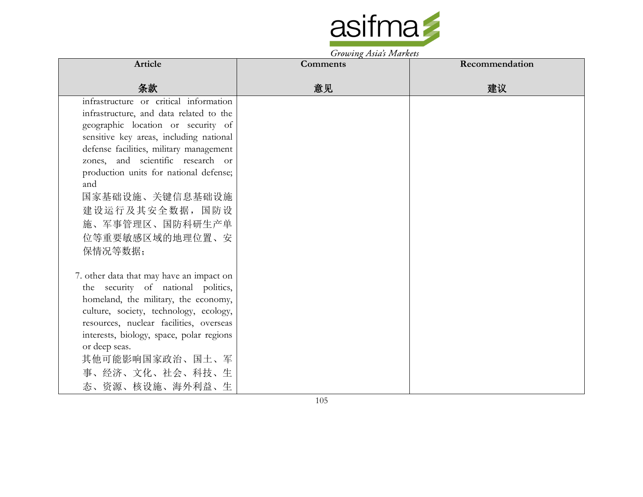

| Article                                  | $370\omega$ ing 1.1910s 1.100 nove<br>Comments | Recommendation |
|------------------------------------------|------------------------------------------------|----------------|
|                                          |                                                |                |
| 条款                                       | 意见                                             | 建议             |
| infrastructure or critical information   |                                                |                |
| infrastructure, and data related to the  |                                                |                |
| geographic location or security of       |                                                |                |
| sensitive key areas, including national  |                                                |                |
| defense facilities, military management  |                                                |                |
| zones, and scientific research or        |                                                |                |
| production units for national defense;   |                                                |                |
| and                                      |                                                |                |
| 国家基础设施、关键信息基础设施                          |                                                |                |
| 建设运行及其安全数据,国防设                           |                                                |                |
| 施、军事管理区、国防科研生产单                          |                                                |                |
| 位等重要敏感区域的地理位置、安                          |                                                |                |
| 保情况等数据;                                  |                                                |                |
|                                          |                                                |                |
| 7. other data that may have an impact on |                                                |                |
| the security of national politics,       |                                                |                |
| homeland, the military, the economy,     |                                                |                |
| culture, society, technology, ecology,   |                                                |                |
| resources, nuclear facilities, overseas  |                                                |                |
| interests, biology, space, polar regions |                                                |                |
| or deep seas.                            |                                                |                |
| 其他可能影响国家政治、国土、军                          |                                                |                |
| 事、经济、文化、社会、科技、生                          |                                                |                |
| 态、资源、核设施、海外利益、生                          |                                                |                |